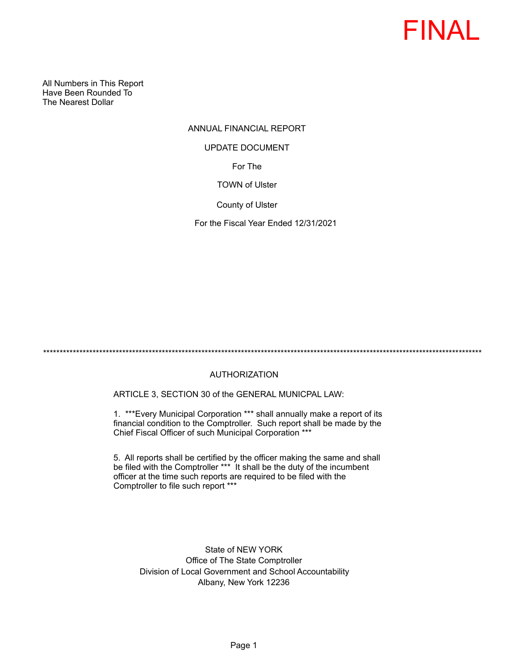

All Numbers in This Report Have Been Rounded To The Nearest Dollar

# ANNUAL FINANCIAL REPORT For The TOWN of Ulster UPDATE DOCUMENT

County of Ulster

For the Fiscal Year Ended 12/31/2021

\*\*\*\*\*\*\*\*\*\*\*\*\*\*\*\*\*\*\*\*\*\*\*\*\*\*\*\*\*\*\*\*\*\*\*\*\*\*\*\*\*\*\*\*\*\*\*\*\*\*\*\*\*\*\*\*\*\*\*\*\*\*\*\*\*\*\*\*\*\*\*\*\*\*\*\*\*\*\*\*\*\*\*\*\*\*\*\*\*\*\*\*\*\*\*\*\*\*\*\*\*\*\*\*\*\*\*\*\*\*\*\*\*\*\*\*\*\*\*\*\*\*\*\*\*\*\*\*\*\*\*\*\*

# AUTHORIZATION

ARTICLE 3, SECTION 30 of the GENERAL MUNICPAL LAW:

1. \*\*\*Every Municipal Corporation \*\*\* shall annually make a report of its financial condition to the Comptroller. Such report shall be made by the Chief Fiscal Officer of such Municipal Corporation \*\*\*

5. All reports shall be certified by the officer making the same and shall be filed with the Comptroller \*\*\* It shall be the duty of the incumbent officer at the time such reports are required to be filed with the Comptroller to file such report \*\*\*

State of NEW YORK Office of The State Comptroller Division of Local Government and School Accountability Albany, New York 12236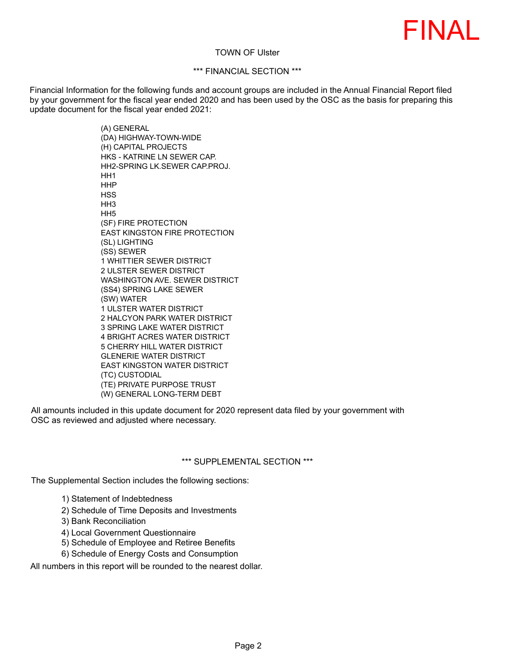

### TOWN OF Ulster

## \*\*\* FINANCIAL SECTION \*\*\*

Financial Information for the following funds and account groups are included in the Annual Financial Report filed by your government for the fiscal year ended 2020 and has been used by the OSC as the basis for preparing this update document for the fiscal year ended 2021:

> (A) GENERAL (DA) HIGHWAY-TOWN-WIDE (H) CAPITAL PROJECTS HKS - KATRINE LN SEWER CAP. HH2-SPRING LK.SEWER CAP.PROJ. HH1 HHP **HSS** HH<sub>3</sub> HH5 (SF) FIRE PROTECTION EAST KINGSTON FIRE PROTECTION (SL) LIGHTING (SS) SEWER 1 WHITTIER SEWER DISTRICT 2 ULSTER SEWER DISTRICT WASHINGTON AVE. SEWER DISTRICT (SS4) SPRING LAKE SEWER (SW) WATER 1 ULSTER WATER DISTRICT 2 HALCYON PARK WATER DISTRICT 3 SPRING LAKE WATER DISTRICT 4 BRIGHT ACRES WATER DISTRICT 5 CHERRY HILL WATER DISTRICT GLENERIE WATER DISTRICT EAST KINGSTON WATER DISTRICT (TC) CUSTODIAL (TE) PRIVATE PURPOSE TRUST (W) GENERAL LONG-TERM DEBT

All amounts included in this update document for 2020 represent data filed by your government with OSC as reviewed and adjusted where necessary.

#### \*\*\* SUPPLEMENTAL SECTION \*\*\*

The Supplemental Section includes the following sections:

- 1) Statement of Indebtedness
- 2) Schedule of Time Deposits and Investments
- 3) Bank Reconciliation
- 4) Local Government Questionnaire
- 5) Schedule of Employee and Retiree Benefits
- 6) Schedule of Energy Costs and Consumption

All numbers in this report will be rounded to the nearest dollar.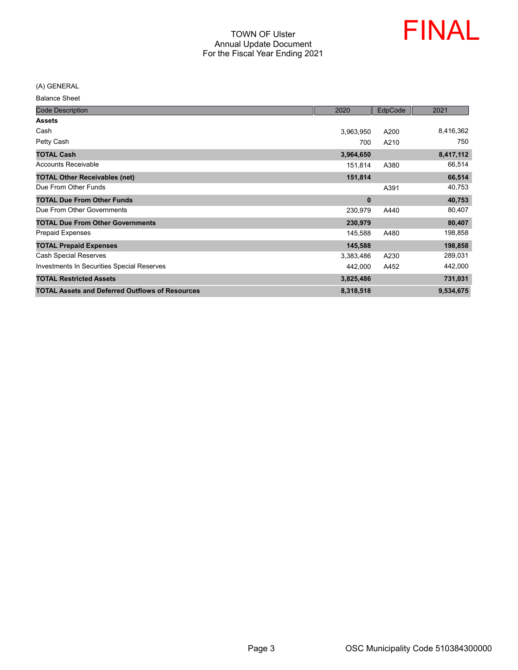

(A) GENERAL

Balance Sheet

| <b>Code Description</b>                                | 2020      | EdpCode | 2021      |
|--------------------------------------------------------|-----------|---------|-----------|
| <b>Assets</b>                                          |           |         |           |
| Cash                                                   | 3,963,950 | A200    | 8,416,362 |
| Petty Cash                                             | 700       | A210    | 750       |
| <b>TOTAL Cash</b>                                      | 3,964,650 |         | 8,417,112 |
| <b>Accounts Receivable</b>                             | 151,814   | A380    | 66,514    |
| <b>TOTAL Other Receivables (net)</b>                   | 151,814   |         | 66,514    |
| Due From Other Funds                                   |           | A391    | 40,753    |
| <b>TOTAL Due From Other Funds</b>                      | $\bf{0}$  |         | 40,753    |
| Due From Other Governments                             | 230,979   | A440    | 80,407    |
| <b>TOTAL Due From Other Governments</b>                | 230,979   |         | 80,407    |
| <b>Prepaid Expenses</b>                                | 145,588   | A480    | 198,858   |
| <b>TOTAL Prepaid Expenses</b>                          | 145,588   |         | 198,858   |
| <b>Cash Special Reserves</b>                           | 3,383,486 | A230    | 289,031   |
| Investments In Securities Special Reserves             | 442,000   | A452    | 442,000   |
| <b>TOTAL Restricted Assets</b>                         | 3,825,486 |         | 731,031   |
| <b>TOTAL Assets and Deferred Outflows of Resources</b> | 8,318,518 |         | 9,534,675 |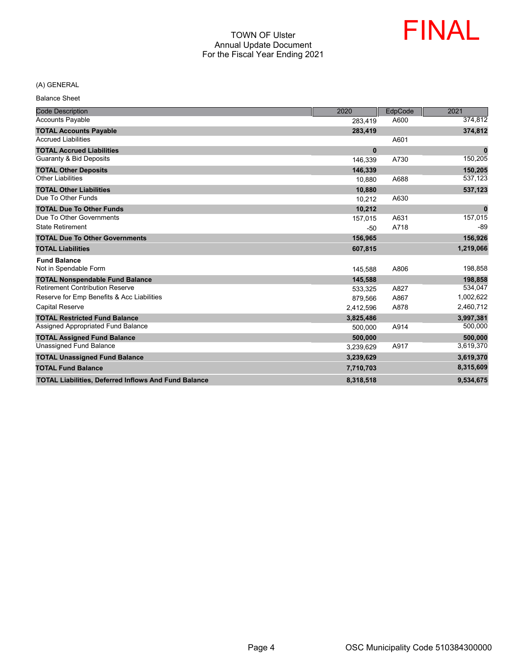

#### (A) GENERAL

Balance Sheet

| <b>Code Description</b>                                     | 2020         | EdpCode | 2021         |
|-------------------------------------------------------------|--------------|---------|--------------|
| <b>Accounts Payable</b>                                     | 283,419      | A600    | 374,812      |
| <b>TOTAL Accounts Payable</b>                               | 283,419      |         | 374,812      |
| <b>Accrued Liabilities</b>                                  |              | A601    |              |
| <b>TOTAL Accrued Liabilities</b>                            | $\mathbf{0}$ |         | $\mathbf 0$  |
| <b>Guaranty &amp; Bid Deposits</b>                          | 146,339      | A730    | 150,205      |
| <b>TOTAL Other Deposits</b>                                 | 146,339      |         | 150,205      |
| <b>Other Liabilities</b>                                    | 10.880       | A688    | 537,123      |
| <b>TOTAL Other Liabilities</b>                              | 10,880       |         | 537,123      |
| Due To Other Funds                                          | 10,212       | A630    |              |
| <b>TOTAL Due To Other Funds</b>                             | 10,212       |         | $\mathbf{0}$ |
| Due To Other Governments                                    | 157.015      | A631    | 157,015      |
| <b>State Retirement</b>                                     | $-50$        | A718    | $-89$        |
| <b>TOTAL Due To Other Governments</b>                       | 156,965      |         | 156,926      |
| <b>TOTAL Liabilities</b>                                    | 607,815      |         | 1,219,066    |
| <b>Fund Balance</b>                                         |              |         |              |
| Not in Spendable Form                                       | 145,588      | A806    | 198,858      |
| <b>TOTAL Nonspendable Fund Balance</b>                      | 145,588      |         | 198,858      |
| <b>Retirement Contribution Reserve</b>                      | 533,325      | A827    | 534,047      |
| Reserve for Emp Benefits & Acc Liabilities                  | 879,566      | A867    | 1,002,622    |
| <b>Capital Reserve</b>                                      | 2,412,596    | A878    | 2,460,712    |
| <b>TOTAL Restricted Fund Balance</b>                        | 3,825,486    |         | 3,997,381    |
| Assigned Appropriated Fund Balance                          | 500,000      | A914    | 500,000      |
| <b>TOTAL Assigned Fund Balance</b>                          | 500,000      |         | 500,000      |
| <b>Unassigned Fund Balance</b>                              | 3,239,629    | A917    | 3,619,370    |
| <b>TOTAL Unassigned Fund Balance</b>                        | 3,239,629    |         | 3,619,370    |
| <b>TOTAL Fund Balance</b>                                   | 7,710,703    |         | 8,315,609    |
| <b>TOTAL Liabilities, Deferred Inflows And Fund Balance</b> | 8,318,518    |         | 9,534,675    |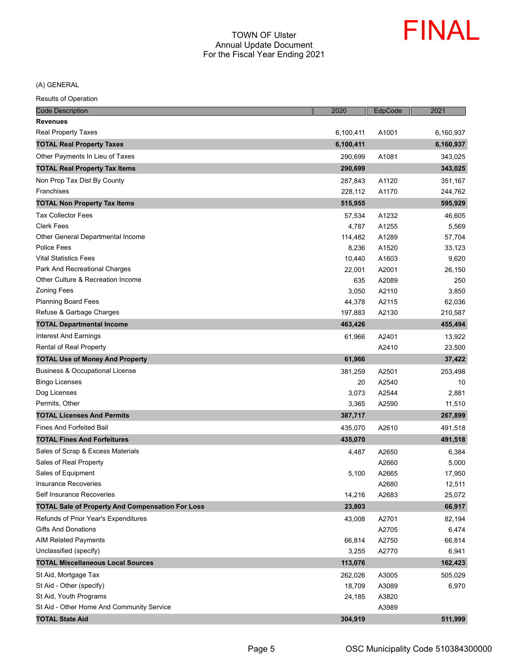

| <b>Code Description</b>                                 | 2020      | EdpCode | 2021      |
|---------------------------------------------------------|-----------|---------|-----------|
| <b>Revenues</b>                                         |           |         |           |
| Real Property Taxes                                     | 6,100,411 | A1001   | 6,160,937 |
| <b>TOTAL Real Property Taxes</b>                        | 6,100,411 |         | 6,160,937 |
| Other Payments In Lieu of Taxes                         | 290.699   | A1081   | 343,025   |
| <b>TOTAL Real Property Tax Items</b>                    | 290,699   |         | 343,025   |
| Non Prop Tax Dist By County                             | 287,843   | A1120   | 351,167   |
| Franchises                                              | 228,112   | A1170   | 244,762   |
| <b>TOTAL Non Property Tax Items</b>                     | 515,955   |         | 595,929   |
| <b>Tax Collector Fees</b>                               | 57,534    | A1232   | 46,605    |
| <b>Clerk Fees</b>                                       | 4,787     | A1255   | 5,569     |
| Other General Departmental Income                       | 114,482   | A1289   | 57,704    |
| <b>Police Fees</b>                                      | 8,236     | A1520   | 33,123    |
| <b>Vital Statistics Fees</b>                            | 10,440    | A1603   | 9,620     |
| Park And Recreational Charges                           | 22,001    | A2001   | 26,150    |
| Other Culture & Recreation Income                       | 635       | A2089   | 250       |
| <b>Zoning Fees</b>                                      | 3,050     | A2110   | 3,850     |
| <b>Planning Board Fees</b>                              | 44,378    | A2115   | 62,036    |
| Refuse & Garbage Charges                                | 197,883   | A2130   | 210,587   |
| <b>TOTAL Departmental Income</b>                        | 463,426   |         | 455,494   |
| Interest And Earnings                                   | 61,966    | A2401   | 13,922    |
| Rental of Real Property                                 |           | A2410   | 23,500    |
| <b>TOTAL Use of Money And Property</b>                  | 61,966    |         | 37,422    |
| <b>Business &amp; Occupational License</b>              | 381,259   | A2501   | 253,498   |
| <b>Bingo Licenses</b>                                   | 20        | A2540   | 10        |
| Dog Licenses                                            | 3,073     | A2544   | 2,881     |
| Permits, Other                                          | 3,365     | A2590   | 11,510    |
| <b>TOTAL Licenses And Permits</b>                       | 387,717   |         | 267,899   |
| <b>Fines And Forfeited Bail</b>                         | 435,070   | A2610   | 491,518   |
| <b>TOTAL Fines And Forfeitures</b>                      | 435,070   |         | 491,518   |
| Sales of Scrap & Excess Materials                       | 4,487     | A2650   | 6,384     |
| Sales of Real Property                                  |           | A2660   | 5,000     |
| Sales of Equipment                                      | 5,100     | A2665   | 17,950    |
| <b>Insurance Recoveries</b>                             |           | A2680   | 12,511    |
| Self Insurance Recoveries                               | 14,216    | A2683   | 25,072    |
| <b>TOTAL Sale of Property And Compensation For Loss</b> | 23,803    |         | 66,917    |
| Refunds of Prior Year's Expenditures                    | 43,008    | A2701   | 82,194    |
| <b>Gifts And Donations</b>                              |           | A2705   | 6,474     |
| <b>AIM Related Payments</b>                             | 66,814    | A2750   | 66,814    |
| Unclassified (specify)                                  | 3,255     | A2770   | 6,941     |
| <b>TOTAL Miscellaneous Local Sources</b>                | 113,076   |         | 162,423   |
| St Aid, Mortgage Tax                                    | 262,026   | A3005   | 505,029   |
| St Aid - Other (specify)                                | 18,709    | A3089   | 6,970     |
| St Aid, Youth Programs                                  | 24,185    | A3820   |           |
| St Aid - Other Home And Community Service               |           | A3989   |           |
| <b>TOTAL State Aid</b>                                  | 304,919   |         | 511,999   |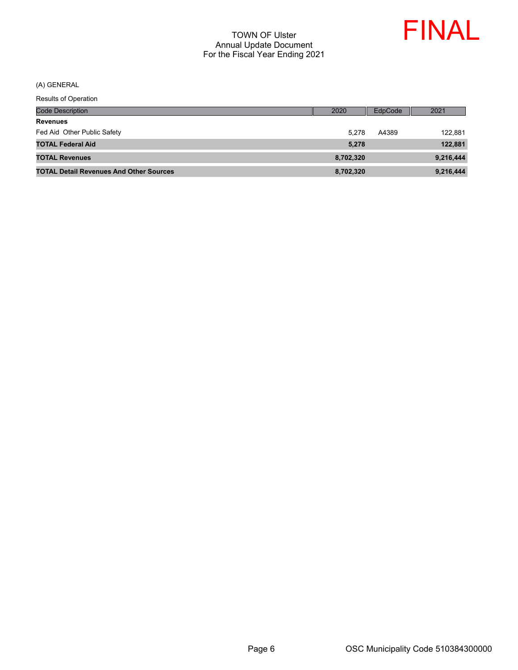

| <b>Code Description</b>                        | 2020      | EdpCode | 2021      |
|------------------------------------------------|-----------|---------|-----------|
| <b>Revenues</b>                                |           |         |           |
| Fed Aid Other Public Safety                    | 5.278     | A4389   | 122,881   |
| <b>TOTAL Federal Aid</b>                       | 5.278     |         | 122,881   |
| <b>TOTAL Revenues</b>                          | 8,702,320 |         | 9,216,444 |
| <b>TOTAL Detail Revenues And Other Sources</b> | 8,702,320 |         | 9,216,444 |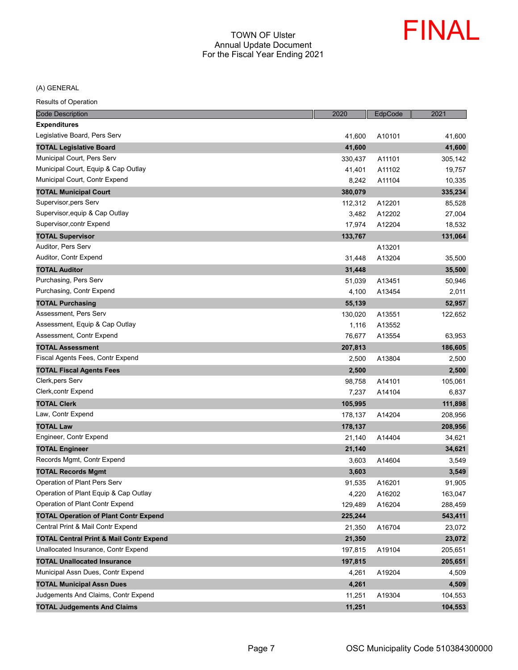

| <b>Code Description</b>                            | 2020    | EdpCode | 2021    |
|----------------------------------------------------|---------|---------|---------|
| <b>Expenditures</b>                                |         |         |         |
| Legislative Board, Pers Serv                       | 41,600  | A10101  | 41,600  |
| <b>TOTAL Legislative Board</b>                     | 41,600  |         | 41,600  |
| Municipal Court, Pers Serv                         | 330,437 | A11101  | 305,142 |
| Municipal Court, Equip & Cap Outlay                | 41,401  | A11102  | 19,757  |
| Municipal Court, Contr Expend                      | 8,242   | A11104  | 10,335  |
| <b>TOTAL Municipal Court</b>                       | 380,079 |         | 335,234 |
| Supervisor, pers Serv                              | 112,312 | A12201  | 85,528  |
| Supervisor, equip & Cap Outlay                     | 3,482   | A12202  | 27,004  |
| Supervisor, contr Expend                           | 17,974  | A12204  | 18,532  |
| <b>TOTAL Supervisor</b>                            | 133,767 |         | 131,064 |
| Auditor, Pers Serv                                 |         | A13201  |         |
| Auditor, Contr Expend                              | 31,448  | A13204  | 35,500  |
| <b>TOTAL Auditor</b>                               | 31,448  |         | 35,500  |
| Purchasing, Pers Serv                              | 51,039  | A13451  | 50,946  |
| Purchasing, Contr Expend                           | 4,100   | A13454  | 2,011   |
| <b>TOTAL Purchasing</b>                            | 55,139  |         | 52,957  |
| Assessment, Pers Serv                              | 130,020 | A13551  | 122,652 |
| Assessment, Equip & Cap Outlay                     | 1,116   | A13552  |         |
| Assessment, Contr Expend                           | 76,677  | A13554  | 63,953  |
| <b>TOTAL Assessment</b>                            | 207,813 |         | 186,605 |
| Fiscal Agents Fees, Contr Expend                   | 2,500   | A13804  | 2,500   |
| <b>TOTAL Fiscal Agents Fees</b>                    | 2,500   |         | 2,500   |
| Clerk, pers Serv                                   | 98,758  | A14101  | 105,061 |
| Clerk, contr Expend                                | 7,237   | A14104  | 6,837   |
| <b>TOTAL Clerk</b>                                 | 105,995 |         | 111,898 |
| Law, Contr Expend                                  | 178,137 | A14204  | 208,956 |
| <b>TOTAL Law</b>                                   | 178,137 |         | 208,956 |
| Engineer, Contr Expend                             | 21,140  | A14404  | 34,621  |
| <b>TOTAL Engineer</b>                              | 21,140  |         | 34,621  |
| Records Mgmt, Contr Expend                         | 3,603   | A14604  | 3,549   |
| <b>TOTAL Records Mgmt</b>                          | 3,603   |         | 3,549   |
| Operation of Plant Pers Serv                       | 91,535  | A16201  | 91,905  |
| Operation of Plant Equip & Cap Outlay              | 4,220   | A16202  | 163,047 |
| Operation of Plant Contr Expend                    | 129,489 | A16204  | 288,459 |
| <b>TOTAL Operation of Plant Contr Expend</b>       | 225,244 |         | 543,411 |
| Central Print & Mail Contr Expend                  | 21,350  | A16704  | 23,072  |
| <b>TOTAL Central Print &amp; Mail Contr Expend</b> | 21,350  |         | 23,072  |
| Unallocated Insurance, Contr Expend                | 197,815 | A19104  | 205,651 |
| <b>TOTAL Unallocated Insurance</b>                 | 197,815 |         | 205,651 |
| Municipal Assn Dues, Contr Expend                  | 4,261   | A19204  | 4,509   |
| <b>TOTAL Municipal Assn Dues</b>                   | 4,261   |         | 4,509   |
| Judgements And Claims, Contr Expend                | 11,251  | A19304  | 104,553 |
| <b>TOTAL Judgements And Claims</b>                 | 11,251  |         | 104,553 |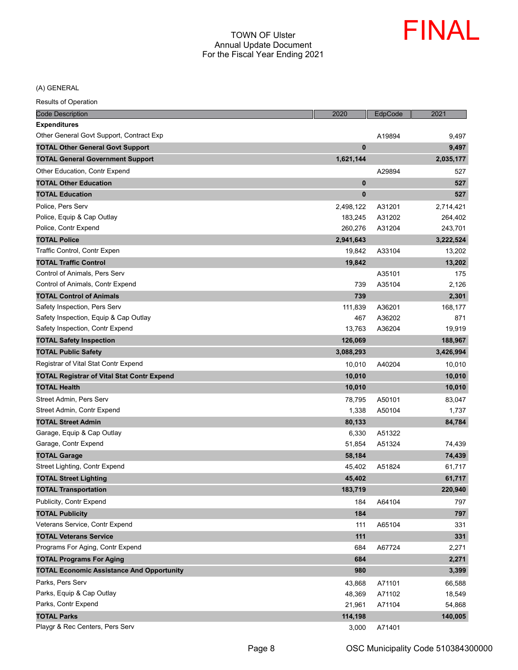

| <b>Code Description</b>                           | 2020        | EdpCode | 2021      |
|---------------------------------------------------|-------------|---------|-----------|
| <b>Expenditures</b>                               |             |         |           |
| Other General Govt Support, Contract Exp          |             | A19894  | 9,497     |
| <b>TOTAL Other General Govt Support</b>           | $\mathbf 0$ |         | 9,497     |
| <b>TOTAL General Government Support</b>           | 1,621,144   |         | 2,035,177 |
| Other Education, Contr Expend                     |             | A29894  | 527       |
| <b>TOTAL Other Education</b>                      | $\bf{0}$    |         | 527       |
| <b>TOTAL Education</b>                            | $\bf{0}$    |         | 527       |
| Police, Pers Serv                                 | 2,498,122   | A31201  | 2,714,421 |
| Police, Equip & Cap Outlay                        | 183,245     | A31202  | 264,402   |
| Police, Contr Expend                              | 260,276     | A31204  | 243,701   |
| <b>TOTAL Police</b>                               | 2,941,643   |         | 3,222,524 |
| Traffic Control, Contr Expen                      | 19,842      | A33104  | 13,202    |
| <b>TOTAL Traffic Control</b>                      | 19,842      |         | 13,202    |
| Control of Animals, Pers Serv                     |             | A35101  | 175       |
| Control of Animals, Contr Expend                  | 739         | A35104  | 2,126     |
| <b>TOTAL Control of Animals</b>                   | 739         |         | 2,301     |
| Safety Inspection, Pers Serv                      | 111,839     | A36201  | 168,177   |
| Safety Inspection, Equip & Cap Outlay             | 467         | A36202  | 871       |
| Safety Inspection, Contr Expend                   | 13,763      | A36204  | 19,919    |
| <b>TOTAL Safety Inspection</b>                    | 126,069     |         | 188,967   |
| <b>TOTAL Public Safety</b>                        | 3,088,293   |         | 3,426,994 |
| Registrar of Vital Stat Contr Expend              | 10,010      | A40204  | 10,010    |
| <b>TOTAL Registrar of Vital Stat Contr Expend</b> | 10,010      |         | 10,010    |
| <b>TOTAL Health</b>                               | 10,010      |         | 10,010    |
| Street Admin, Pers Serv                           | 78,795      | A50101  | 83,047    |
| Street Admin, Contr Expend                        | 1,338       | A50104  | 1,737     |
| <b>TOTAL Street Admin</b>                         | 80,133      |         | 84,784    |
| Garage, Equip & Cap Outlay                        | 6,330       | A51322  |           |
| Garage, Contr Expend                              | 51,854      | A51324  | 74,439    |
| <b>TOTAL Garage</b>                               | 58,184      |         | 74,439    |
| Street Lighting, Contr Expend                     | 45,402      | A51824  | 61,717    |
| <b>TOTAL Street Lighting</b>                      | 45,402      |         | 61,717    |
| <b>TOTAL Transportation</b>                       | 183,719     |         | 220,940   |
| Publicity, Contr Expend                           | 184         | A64104  | 797       |
| <b>TOTAL Publicity</b>                            | 184         |         | 797       |
| Veterans Service, Contr Expend                    | 111         | A65104  | 331       |
| <b>TOTAL Veterans Service</b>                     | 111         |         | 331       |
| Programs For Aging, Contr Expend                  | 684         | A67724  | 2,271     |
| <b>TOTAL Programs For Aging</b>                   | 684         |         | 2,271     |
| <b>TOTAL Economic Assistance And Opportunity</b>  | 980         |         | 3,399     |
| Parks, Pers Serv                                  | 43,868      | A71101  | 66,588    |
| Parks, Equip & Cap Outlay                         | 48,369      | A71102  | 18,549    |
| Parks, Contr Expend                               | 21,961      | A71104  | 54,868    |
| <b>TOTAL Parks</b>                                | 114,198     |         | 140,005   |
| Playgr & Rec Centers, Pers Serv                   | 3,000       | A71401  |           |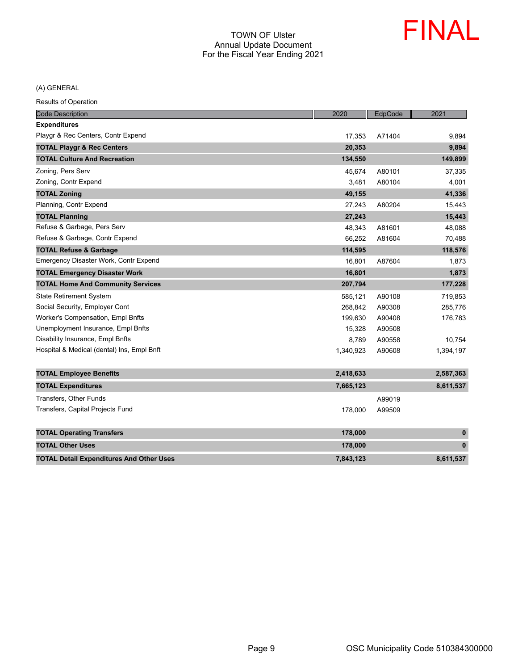

| <b>Code Description</b>                         | 2020      | EdpCode | 2021      |
|-------------------------------------------------|-----------|---------|-----------|
| <b>Expenditures</b>                             |           |         |           |
| Playgr & Rec Centers, Contr Expend              | 17,353    | A71404  | 9,894     |
| <b>TOTAL Playgr &amp; Rec Centers</b>           | 20,353    |         | 9,894     |
| <b>TOTAL Culture And Recreation</b>             | 134,550   |         | 149,899   |
| Zoning, Pers Serv                               | 45,674    | A80101  | 37,335    |
| Zoning, Contr Expend                            | 3,481     | A80104  | 4,001     |
| <b>TOTAL Zoning</b>                             | 49,155    |         | 41,336    |
| Planning, Contr Expend                          | 27,243    | A80204  | 15,443    |
| <b>TOTAL Planning</b>                           | 27,243    |         | 15,443    |
| Refuse & Garbage, Pers Serv                     | 48,343    | A81601  | 48,088    |
| Refuse & Garbage, Contr Expend                  | 66,252    | A81604  | 70,488    |
| <b>TOTAL Refuse &amp; Garbage</b>               | 114,595   |         | 118,576   |
| Emergency Disaster Work, Contr Expend           | 16,801    | A87604  | 1,873     |
| <b>TOTAL Emergency Disaster Work</b>            | 16,801    |         | 1,873     |
| <b>TOTAL Home And Community Services</b>        | 207,794   |         | 177,228   |
| <b>State Retirement System</b>                  | 585,121   | A90108  | 719,853   |
| Social Security, Employer Cont                  | 268,842   | A90308  | 285,776   |
| Worker's Compensation, Empl Bnfts               | 199,630   | A90408  | 176,783   |
| Unemployment Insurance, Empl Bnfts              | 15,328    | A90508  |           |
| Disability Insurance, Empl Bnfts                | 8,789     | A90558  | 10,754    |
| Hospital & Medical (dental) Ins, Empl Bnft      | 1,340,923 | A90608  | 1,394,197 |
|                                                 |           |         |           |
| <b>TOTAL Employee Benefits</b>                  | 2,418,633 |         | 2,587,363 |
| <b>TOTAL Expenditures</b>                       | 7,665,123 |         | 8,611,537 |
| Transfers, Other Funds                          |           | A99019  |           |
| Transfers, Capital Projects Fund                | 178,000   | A99509  |           |
| <b>TOTAL Operating Transfers</b>                | 178,000   |         | $\pmb{0}$ |
| <b>TOTAL Other Uses</b>                         | 178,000   |         | $\pmb{0}$ |
| <b>TOTAL Detail Expenditures And Other Uses</b> | 7,843,123 |         | 8,611,537 |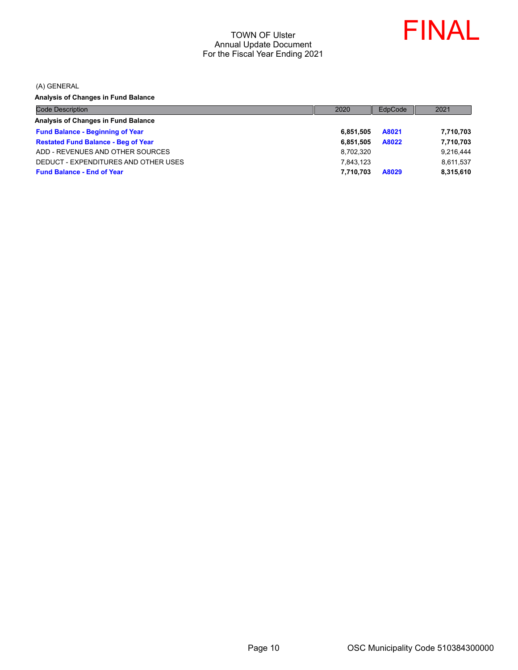

(A) GENERAL

**Analysis of Changes in Fund Balance**

| <b>Code Description</b>                    | 2020      | EdpCode | 2021      |
|--------------------------------------------|-----------|---------|-----------|
| Analysis of Changes in Fund Balance        |           |         |           |
| <b>Fund Balance - Beginning of Year</b>    | 6.851.505 | A8021   | 7,710,703 |
| <b>Restated Fund Balance - Beg of Year</b> | 6.851.505 | A8022   | 7,710,703 |
| ADD - REVENUES AND OTHER SOURCES           | 8,702,320 |         | 9,216,444 |
| DEDUCT - EXPENDITURES AND OTHER USES       | 7.843.123 |         | 8,611,537 |
| <b>Fund Balance - End of Year</b>          | 7.710.703 | A8029   | 8,315,610 |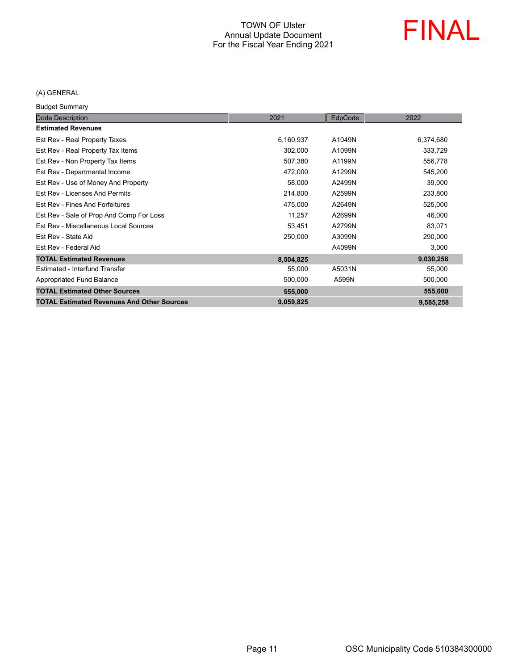

## (A) GENERAL

Budget Summary

| <b>Code Description</b>                           | 2021      | EdpCode | 2022      |
|---------------------------------------------------|-----------|---------|-----------|
| <b>Estimated Revenues</b>                         |           |         |           |
| Est Rev - Real Property Taxes                     | 6,160,937 | A1049N  | 6,374,680 |
| Est Rev - Real Property Tax Items                 | 302,000   | A1099N  | 333,729   |
| Est Rev - Non Property Tax Items                  | 507,380   | A1199N  | 556,778   |
| Est Rev - Departmental Income                     | 472,000   | A1299N  | 545,200   |
| Est Rev - Use of Money And Property               | 58,000    | A2499N  | 39,000    |
| Est Rev - Licenses And Permits                    | 214,800   | A2599N  | 233,800   |
| Est Rev - Fines And Forfeitures                   | 475,000   | A2649N  | 525,000   |
| Est Rev - Sale of Prop And Comp For Loss          | 11,257    | A2699N  | 46,000    |
| Est Rev - Miscellaneous Local Sources             | 53,451    | A2799N  | 83,071    |
| Est Rev - State Aid                               | 250,000   | A3099N  | 290,000   |
| Est Rev - Federal Aid                             |           | A4099N  | 3,000     |
| <b>TOTAL Estimated Revenues</b>                   | 8,504,825 |         | 9,030,258 |
| Estimated - Interfund Transfer                    | 55,000    | A5031N  | 55,000    |
| Appropriated Fund Balance                         | 500,000   | A599N   | 500,000   |
| <b>TOTAL Estimated Other Sources</b>              | 555,000   |         | 555,000   |
| <b>TOTAL Estimated Revenues And Other Sources</b> | 9,059,825 |         | 9,585,258 |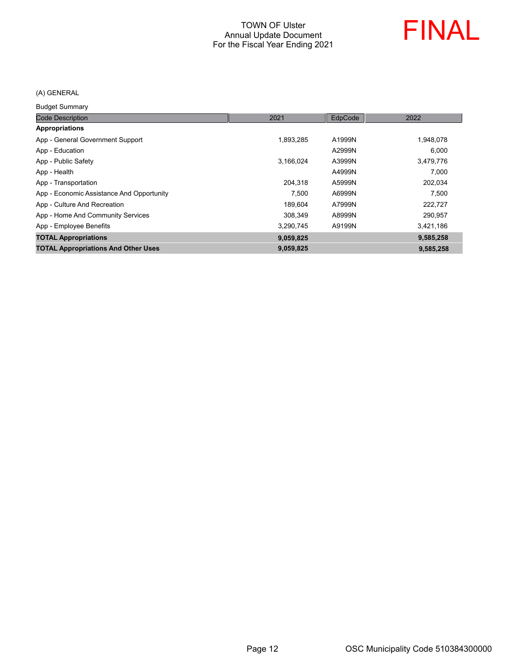

## (A) GENERAL

Budget Summary

| <b>Code Description</b>                    | 2021      | EdpCode | 2022      |
|--------------------------------------------|-----------|---------|-----------|
| <b>Appropriations</b>                      |           |         |           |
| App - General Government Support           | 1,893,285 | A1999N  | 1,948,078 |
| App - Education                            |           | A2999N  | 6.000     |
| App - Public Safety                        | 3.166.024 | A3999N  | 3,479,776 |
| App - Health                               |           | A4999N  | 7.000     |
| App - Transportation                       | 204,318   | A5999N  | 202,034   |
| App - Economic Assistance And Opportunity  | 7.500     | A6999N  | 7.500     |
| App - Culture And Recreation               | 189.604   | A7999N  | 222,727   |
| App - Home And Community Services          | 308.349   | A8999N  | 290,957   |
| App - Employee Benefits                    | 3.290.745 | A9199N  | 3,421,186 |
| <b>TOTAL Appropriations</b>                | 9,059,825 |         | 9,585,258 |
| <b>TOTAL Appropriations And Other Uses</b> | 9,059,825 |         | 9,585,258 |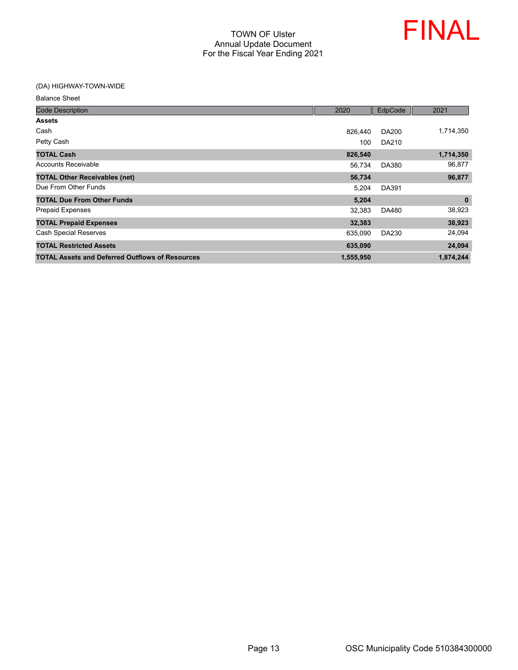

#### (DA) HIGHWAY-TOWN-WIDE

| <b>Code Description</b>                                | 2020      | EdpCode      | 2021      |
|--------------------------------------------------------|-----------|--------------|-----------|
| <b>Assets</b>                                          |           |              |           |
| Cash                                                   | 826.440   | DA200        | 1,714,350 |
| Petty Cash                                             | 100       | DA210        |           |
| <b>TOTAL Cash</b>                                      | 826,540   |              | 1,714,350 |
| <b>Accounts Receivable</b>                             | 56,734    | <b>DA380</b> | 96,877    |
| <b>TOTAL Other Receivables (net)</b>                   | 56,734    |              | 96,877    |
| Due From Other Funds                                   | 5,204     | <b>DA391</b> |           |
| <b>TOTAL Due From Other Funds</b>                      | 5,204     |              | $\bf{0}$  |
| <b>Prepaid Expenses</b>                                | 32,383    | DA480        | 38,923    |
| <b>TOTAL Prepaid Expenses</b>                          | 32,383    |              | 38,923    |
| <b>Cash Special Reserves</b>                           | 635,090   | DA230        | 24,094    |
| <b>TOTAL Restricted Assets</b>                         | 635,090   |              | 24,094    |
| <b>TOTAL Assets and Deferred Outflows of Resources</b> | 1,555,950 |              | 1,874,244 |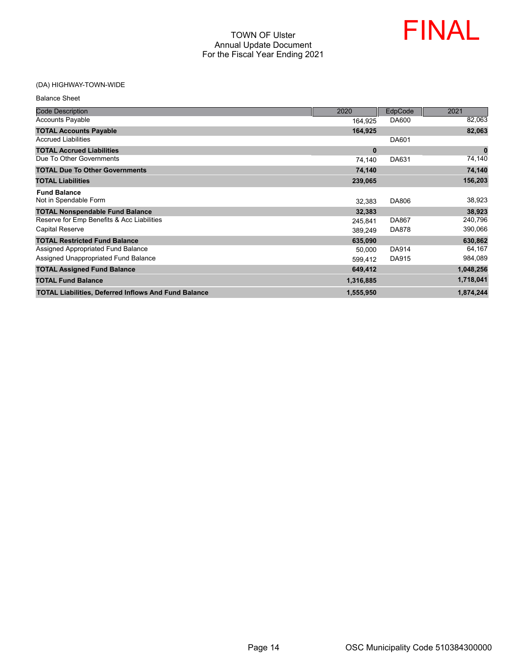

## (DA) HIGHWAY-TOWN-WIDE

| <b>Balance Sheet</b>                                        |           |              |             |
|-------------------------------------------------------------|-----------|--------------|-------------|
| <b>Code Description</b>                                     | 2020      | EdpCode      | 2021        |
| <b>Accounts Payable</b>                                     | 164,925   | DA600        | 82,063      |
| <b>TOTAL Accounts Payable</b>                               | 164,925   |              | 82,063      |
| <b>Accrued Liabilities</b>                                  |           | DA601        |             |
| <b>TOTAL Accrued Liabilities</b>                            | $\bf{0}$  |              | $\mathbf 0$ |
| Due To Other Governments                                    | 74,140    | DA631        | 74,140      |
| <b>TOTAL Due To Other Governments</b>                       | 74,140    |              | 74,140      |
| <b>TOTAL Liabilities</b>                                    | 239,065   |              | 156,203     |
| <b>Fund Balance</b><br>Not in Spendable Form                | 32,383    | DA806        | 38,923      |
| <b>TOTAL Nonspendable Fund Balance</b>                      | 32,383    |              | 38,923      |
| Reserve for Emp Benefits & Acc Liabilities                  | 245,841   | <b>DA867</b> | 240,796     |
| <b>Capital Reserve</b>                                      | 389,249   | DA878        | 390,066     |
| <b>TOTAL Restricted Fund Balance</b>                        | 635,090   |              | 630,862     |
| Assigned Appropriated Fund Balance                          | 50.000    | <b>DA914</b> | 64,167      |
| Assigned Unappropriated Fund Balance                        | 599,412   | DA915        | 984,089     |
| <b>TOTAL Assigned Fund Balance</b>                          | 649,412   |              | 1,048,256   |
| <b>TOTAL Fund Balance</b>                                   | 1,316,885 |              | 1,718,041   |
| <b>TOTAL Liabilities, Deferred Inflows And Fund Balance</b> | 1,555,950 |              | 1,874,244   |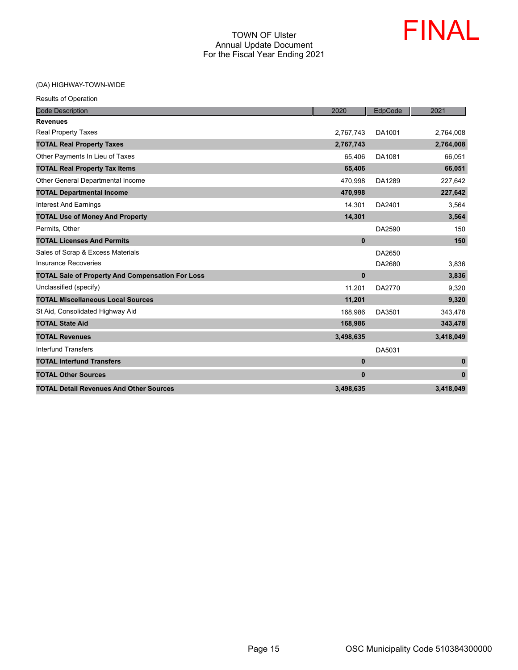

#### (DA) HIGHWAY-TOWN-WIDE

| <b>Code Description</b>                                 | 2020         | EdpCode | 2021         |
|---------------------------------------------------------|--------------|---------|--------------|
| <b>Revenues</b>                                         |              |         |              |
| <b>Real Property Taxes</b>                              | 2,767,743    | DA1001  | 2,764,008    |
| <b>TOTAL Real Property Taxes</b>                        | 2,767,743    |         | 2,764,008    |
| Other Payments In Lieu of Taxes                         | 65,406       | DA1081  | 66,051       |
| <b>TOTAL Real Property Tax Items</b>                    | 65,406       |         | 66,051       |
| Other General Departmental Income                       | 470.998      | DA1289  | 227,642      |
| <b>TOTAL Departmental Income</b>                        | 470,998      |         | 227,642      |
| <b>Interest And Earnings</b>                            | 14,301       | DA2401  | 3,564        |
| <b>TOTAL Use of Money And Property</b>                  | 14,301       |         | 3,564        |
| Permits, Other                                          |              | DA2590  | 150          |
| <b>TOTAL Licenses And Permits</b>                       | $\bf{0}$     |         | 150          |
| Sales of Scrap & Excess Materials                       |              | DA2650  |              |
| <b>Insurance Recoveries</b>                             |              | DA2680  | 3,836        |
| <b>TOTAL Sale of Property And Compensation For Loss</b> | $\bf{0}$     |         | 3,836        |
| Unclassified (specify)                                  | 11,201       | DA2770  | 9,320        |
| <b>TOTAL Miscellaneous Local Sources</b>                | 11,201       |         | 9,320        |
| St Aid, Consolidated Highway Aid                        | 168,986      | DA3501  | 343,478      |
| <b>TOTAL State Aid</b>                                  | 168,986      |         | 343,478      |
| <b>TOTAL Revenues</b>                                   | 3,498,635    |         | 3,418,049    |
| <b>Interfund Transfers</b>                              |              | DA5031  |              |
| <b>TOTAL Interfund Transfers</b>                        | $\bf{0}$     |         | $\pmb{0}$    |
| <b>TOTAL Other Sources</b>                              | $\mathbf{0}$ |         | $\mathbf{0}$ |
| <b>TOTAL Detail Revenues And Other Sources</b>          | 3,498,635    |         | 3,418,049    |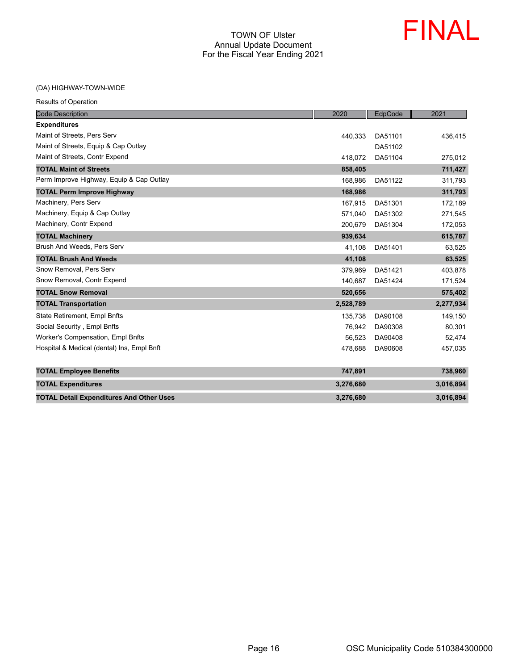

(DA) HIGHWAY-TOWN-WIDE

| <b>Results of Operation</b> |  |  |
|-----------------------------|--|--|
|                             |  |  |

| <b>Code Description</b>                         | 2020      | EdpCode | 2021      |
|-------------------------------------------------|-----------|---------|-----------|
| <b>Expenditures</b>                             |           |         |           |
| Maint of Streets, Pers Serv                     | 440,333   | DA51101 | 436,415   |
| Maint of Streets, Equip & Cap Outlay            |           | DA51102 |           |
| Maint of Streets, Contr Expend                  | 418,072   | DA51104 | 275,012   |
| <b>TOTAL Maint of Streets</b>                   | 858,405   |         | 711,427   |
| Perm Improve Highway, Equip & Cap Outlay        | 168,986   | DA51122 | 311,793   |
| <b>TOTAL Perm Improve Highway</b>               | 168,986   |         | 311,793   |
| Machinery, Pers Serv                            | 167.915   | DA51301 | 172,189   |
| Machinery, Equip & Cap Outlay                   | 571,040   | DA51302 | 271,545   |
| Machinery, Contr Expend                         | 200,679   | DA51304 | 172,053   |
| <b>TOTAL Machinery</b>                          | 939,634   |         | 615,787   |
| Brush And Weeds, Pers Serv                      | 41,108    | DA51401 | 63,525    |
| <b>TOTAL Brush And Weeds</b>                    | 41,108    |         | 63,525    |
| Snow Removal, Pers Serv                         | 379,969   | DA51421 | 403,878   |
| Snow Removal, Contr Expend                      | 140,687   | DA51424 | 171,524   |
| <b>TOTAL Snow Removal</b>                       | 520,656   |         | 575,402   |
| <b>TOTAL Transportation</b>                     | 2,528,789 |         | 2,277,934 |
| <b>State Retirement, Empl Bnfts</b>             | 135,738   | DA90108 | 149,150   |
| Social Security, Empl Bnfts                     | 76,942    | DA90308 | 80,301    |
| <b>Worker's Compensation, Empl Bnfts</b>        | 56.523    | DA90408 | 52,474    |
| Hospital & Medical (dental) Ins, Empl Bnft      | 478,688   | DA90608 | 457,035   |
|                                                 |           |         |           |
| <b>TOTAL Employee Benefits</b>                  | 747,891   |         | 738,960   |
| <b>TOTAL Expenditures</b>                       | 3,276,680 |         | 3,016,894 |
| <b>TOTAL Detail Expenditures And Other Uses</b> | 3,276,680 |         | 3,016,894 |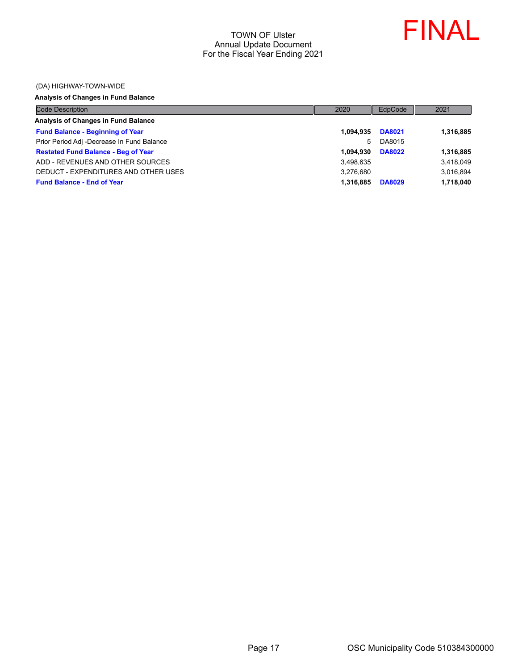

#### (DA) HIGHWAY-TOWN-WIDE

#### **Analysis of Changes in Fund Balance**

| <b>Code Description</b>                    | 2020      | EdpCode       | 2021      |
|--------------------------------------------|-----------|---------------|-----------|
| Analysis of Changes in Fund Balance        |           |               |           |
| <b>Fund Balance - Beginning of Year</b>    | 1.094.935 | <b>DA8021</b> | 1,316,885 |
| Prior Period Adj -Decrease In Fund Balance | 5.        | DA8015        |           |
| <b>Restated Fund Balance - Beg of Year</b> | 1.094.930 | <b>DA8022</b> | 1,316,885 |
| ADD - REVENUES AND OTHER SOURCES           | 3,498,635 |               | 3,418,049 |
| DEDUCT - EXPENDITURES AND OTHER USES       | 3.276.680 |               | 3,016,894 |
| <b>Fund Balance - End of Year</b>          | 1.316.885 | <b>DA8029</b> | 1,718,040 |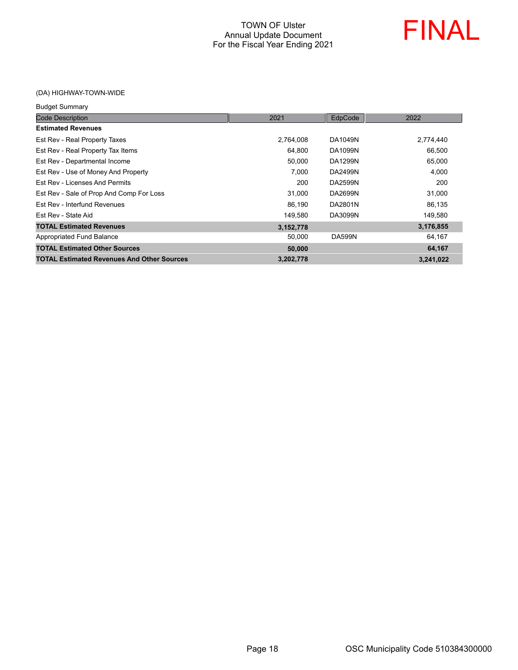

(DA) HIGHWAY-TOWN-WIDE

| <b>Budget Summary</b>                             |           |               |           |
|---------------------------------------------------|-----------|---------------|-----------|
| <b>Code Description</b>                           | 2021      | EdpCode       | 2022      |
| <b>Estimated Revenues</b>                         |           |               |           |
| Est Rev - Real Property Taxes                     | 2,764,008 | DA1049N       | 2,774,440 |
| Est Rev - Real Property Tax Items                 | 64,800    | DA1099N       | 66,500    |
| Est Rev - Departmental Income                     | 50,000    | DA1299N       | 65,000    |
| Est Rev - Use of Money And Property               | 7,000     | DA2499N       | 4,000     |
| Est Rev - Licenses And Permits                    | 200       | DA2599N       | 200       |
| Est Rev - Sale of Prop And Comp For Loss          | 31,000    | DA2699N       | 31,000    |
| Est Rev - Interfund Revenues                      | 86,190    | DA2801N       | 86,135    |
| Est Rev - State Aid                               | 149,580   | DA3099N       | 149,580   |
| <b>TOTAL Estimated Revenues</b>                   | 3,152,778 |               | 3,176,855 |
| Appropriated Fund Balance                         | 50,000    | <b>DA599N</b> | 64,167    |
| <b>TOTAL Estimated Other Sources</b>              | 50,000    |               | 64,167    |
| <b>TOTAL Estimated Revenues And Other Sources</b> | 3,202,778 |               | 3,241,022 |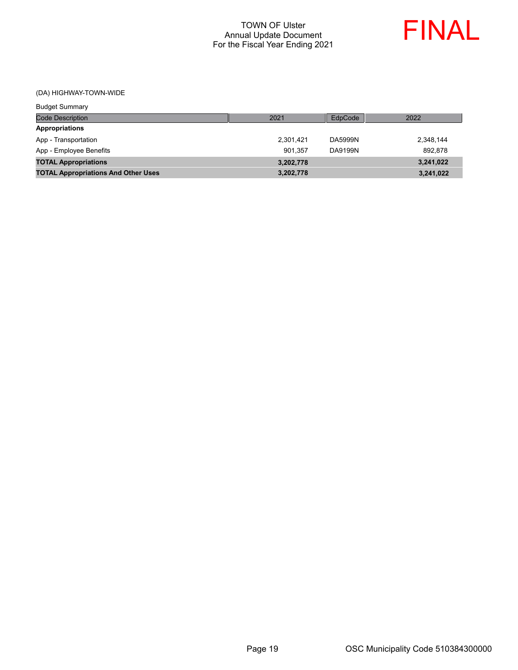

(DA) HIGHWAY-TOWN-WIDE

| <b>Budget Summary</b>                      |           |         |           |
|--------------------------------------------|-----------|---------|-----------|
| Code Description                           | 2021      | EdpCode | 2022      |
| <b>Appropriations</b>                      |           |         |           |
| App - Transportation                       | 2,301,421 | DA5999N | 2,348,144 |
| App - Employee Benefits                    | 901.357   | DA9199N | 892.878   |
| <b>TOTAL Appropriations</b>                | 3,202,778 |         | 3,241,022 |
| <b>TOTAL Appropriations And Other Uses</b> | 3,202,778 |         | 3,241,022 |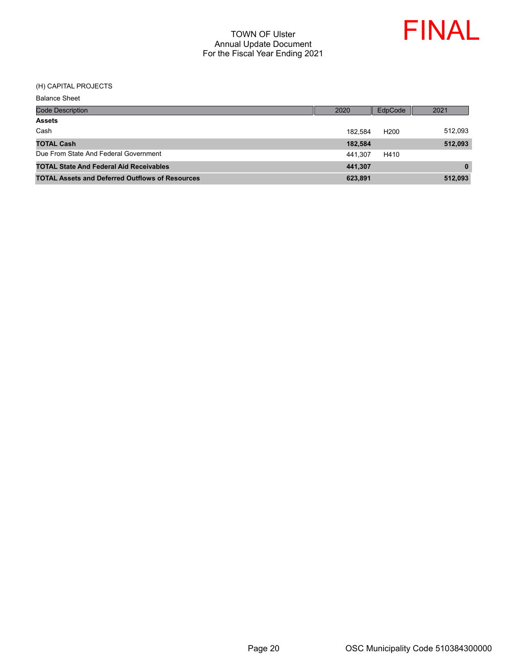

#### (H) CAPITAL PROJECTS

| <b>Balance Sheet</b>                                   |         |                  |          |
|--------------------------------------------------------|---------|------------------|----------|
| <b>Code Description</b>                                | 2020    | EdpCode          | 2021     |
| <b>Assets</b>                                          |         |                  |          |
| Cash                                                   | 182.584 | H <sub>200</sub> | 512,093  |
| <b>TOTAL Cash</b>                                      | 182,584 |                  | 512,093  |
| Due From State And Federal Government                  | 441.307 | H410             |          |
| <b>TOTAL State And Federal Aid Receivables</b>         | 441,307 |                  | $\bf{0}$ |
| <b>TOTAL Assets and Deferred Outflows of Resources</b> | 623,891 |                  | 512,093  |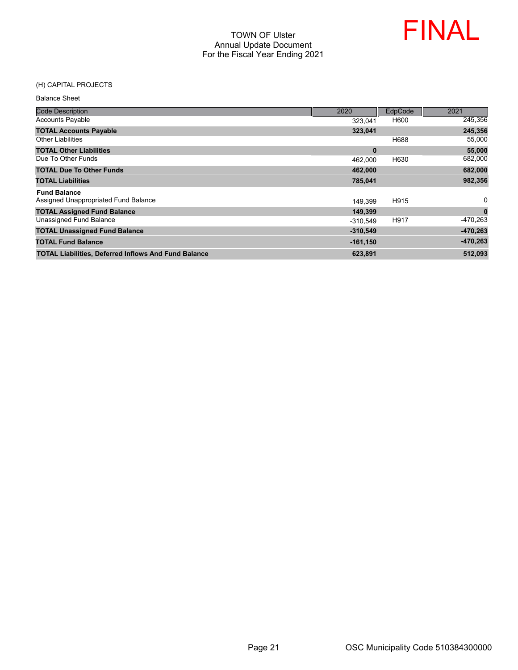

#### (H) CAPITAL PROJECTS

Balance Sheet

| <b>Code Description</b>                                     | 2020        | EdpCode | 2021         |
|-------------------------------------------------------------|-------------|---------|--------------|
| <b>Accounts Payable</b>                                     | 323.041     | H600    | 245,356      |
| <b>TOTAL Accounts Payable</b>                               | 323,041     |         | 245,356      |
| <b>Other Liabilities</b>                                    |             | H688    | 55,000       |
| <b>TOTAL Other Liabilities</b>                              | $\bf{0}$    |         | 55,000       |
| Due To Other Funds                                          | 462,000     | H630    | 682,000      |
| <b>TOTAL Due To Other Funds</b>                             | 462.000     |         | 682,000      |
| <b>TOTAL Liabilities</b>                                    | 785,041     |         | 982,356      |
| <b>Fund Balance</b>                                         |             |         |              |
| Assigned Unappropriated Fund Balance                        | 149.399     | H915    | $\mathbf{0}$ |
| <b>TOTAL Assigned Fund Balance</b>                          | 149,399     |         | $\bf{0}$     |
| Unassigned Fund Balance                                     | $-310.549$  | H917    | -470,263     |
| <b>TOTAL Unassigned Fund Balance</b>                        | $-310,549$  |         | $-470,263$   |
| <b>TOTAL Fund Balance</b>                                   | $-161, 150$ |         | $-470,263$   |
| <b>TOTAL Liabilities, Deferred Inflows And Fund Balance</b> | 623,891     |         | 512.093      |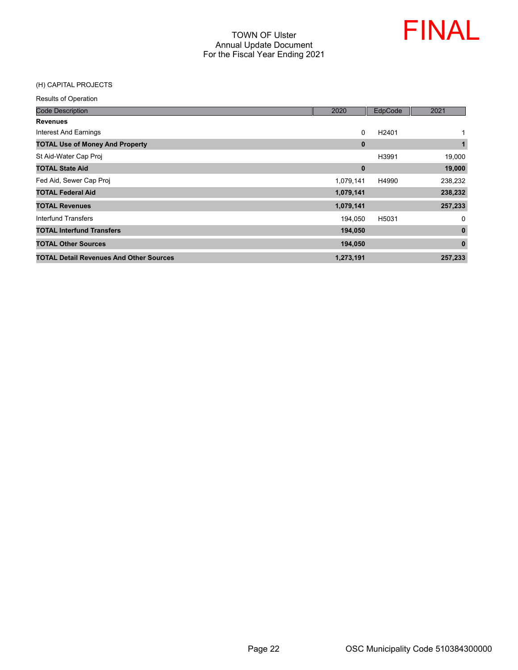

#### (H) CAPITAL PROJECTS

| <b>Code Description</b>                        | 2020      | EdpCode           | 2021         |
|------------------------------------------------|-----------|-------------------|--------------|
| <b>Revenues</b>                                |           |                   |              |
| Interest And Earnings                          | 0         | H <sub>2401</sub> | $\mathbf{1}$ |
| <b>TOTAL Use of Money And Property</b>         | $\bf{0}$  |                   | 1            |
| St Aid-Water Cap Proj                          |           | H3991             | 19,000       |
| <b>TOTAL State Aid</b>                         | $\bf{0}$  |                   | 19,000       |
| Fed Aid, Sewer Cap Proj                        | 1,079,141 | H4990             | 238,232      |
| <b>TOTAL Federal Aid</b>                       | 1,079,141 |                   | 238,232      |
| <b>TOTAL Revenues</b>                          | 1,079,141 |                   | 257,233      |
| Interfund Transfers                            | 194.050   | H5031             | 0            |
| <b>TOTAL Interfund Transfers</b>               | 194,050   |                   | 0            |
| <b>TOTAL Other Sources</b>                     | 194,050   |                   | $\bf{0}$     |
| <b>TOTAL Detail Revenues And Other Sources</b> | 1,273,191 |                   | 257.233      |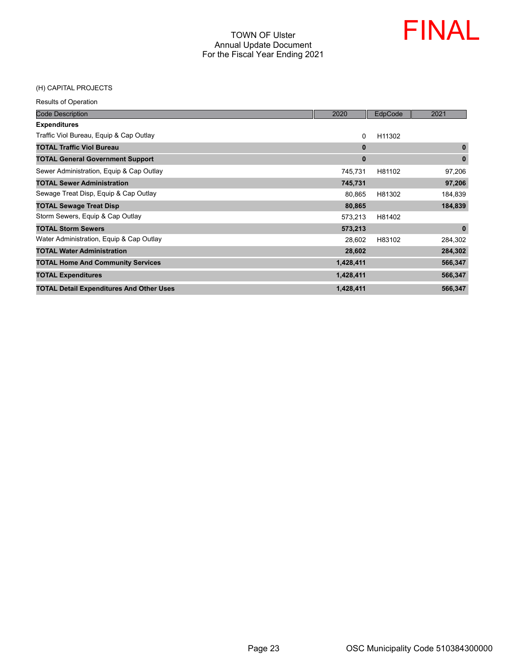

## (H) CAPITAL PROJECTS

| <b>Code Description</b>                         | 2020      | EdpCode | 2021         |
|-------------------------------------------------|-----------|---------|--------------|
| <b>Expenditures</b>                             |           |         |              |
| Traffic Viol Bureau, Equip & Cap Outlay         | $\Omega$  | H11302  |              |
| <b>TOTAL Traffic Viol Bureau</b>                | $\bf{0}$  |         | $\mathbf{0}$ |
| <b>TOTAL General Government Support</b>         | $\bf{0}$  |         | $\bf{0}$     |
| Sewer Administration, Equip & Cap Outlay        | 745,731   | H81102  | 97,206       |
| <b>TOTAL Sewer Administration</b>               | 745,731   |         | 97,206       |
| Sewage Treat Disp, Equip & Cap Outlay           | 80,865    | H81302  | 184,839      |
| <b>TOTAL Sewage Treat Disp</b>                  | 80,865    |         | 184,839      |
| Storm Sewers, Equip & Cap Outlay                | 573,213   | H81402  |              |
| <b>TOTAL Storm Sewers</b>                       | 573,213   |         | $\mathbf{0}$ |
| Water Administration, Equip & Cap Outlay        | 28,602    | H83102  | 284,302      |
| <b>TOTAL Water Administration</b>               | 28,602    |         | 284,302      |
| <b>TOTAL Home And Community Services</b>        | 1,428,411 |         | 566,347      |
| <b>TOTAL Expenditures</b>                       | 1,428,411 |         | 566,347      |
| <b>TOTAL Detail Expenditures And Other Uses</b> | 1,428,411 |         | 566,347      |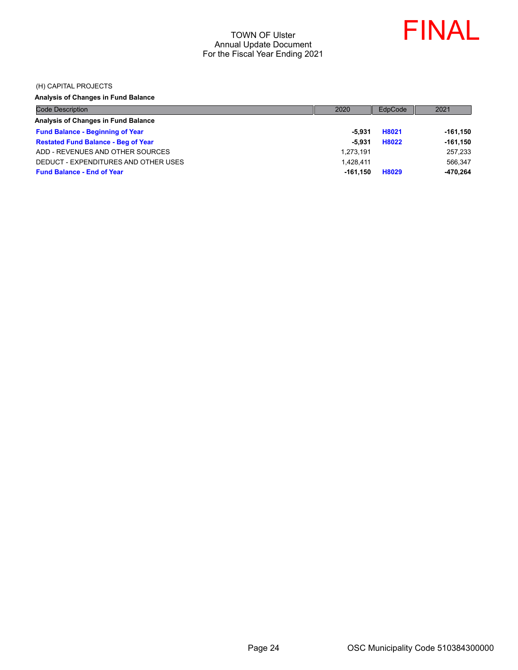

(H) CAPITAL PROJECTS

## **Analysis of Changes in Fund Balance**

| <b>Code Description</b>                    | 2020       | EdpCode | 2021        |
|--------------------------------------------|------------|---------|-------------|
| Analysis of Changes in Fund Balance        |            |         |             |
| <b>Fund Balance - Beginning of Year</b>    | -5.931     | H8021   | $-161,150$  |
| <b>Restated Fund Balance - Beg of Year</b> | -5.931     | H8022   | $-161, 150$ |
| ADD - REVENUES AND OTHER SOURCES           | 1,273,191  |         | 257,233     |
| DEDUCT - EXPENDITURES AND OTHER USES       | 1.428.411  |         | 566.347     |
| <b>Fund Balance - End of Year</b>          | $-161.150$ | H8029   | $-470,264$  |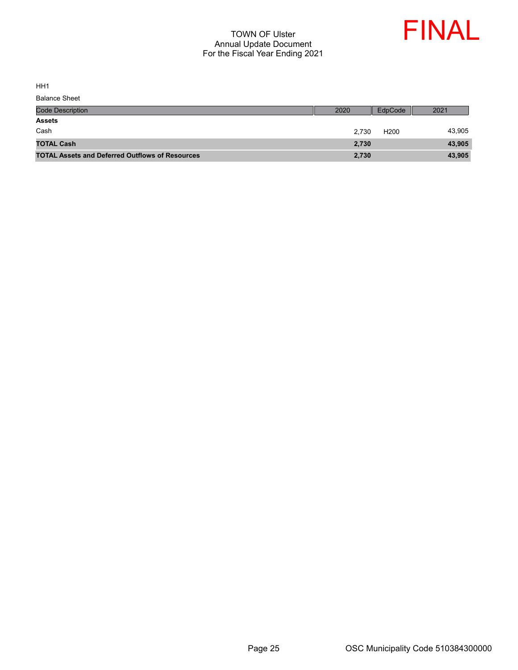

HH1

| <b>Code Description</b>                                | 2020  | EdpCode          | 2021   |
|--------------------------------------------------------|-------|------------------|--------|
| <b>Assets</b>                                          |       |                  |        |
| Cash                                                   | 2.730 | H <sub>200</sub> | 43,905 |
| <b>TOTAL Cash</b>                                      | 2,730 |                  | 43,905 |
| <b>TOTAL Assets and Deferred Outflows of Resources</b> | 2,730 |                  | 43,905 |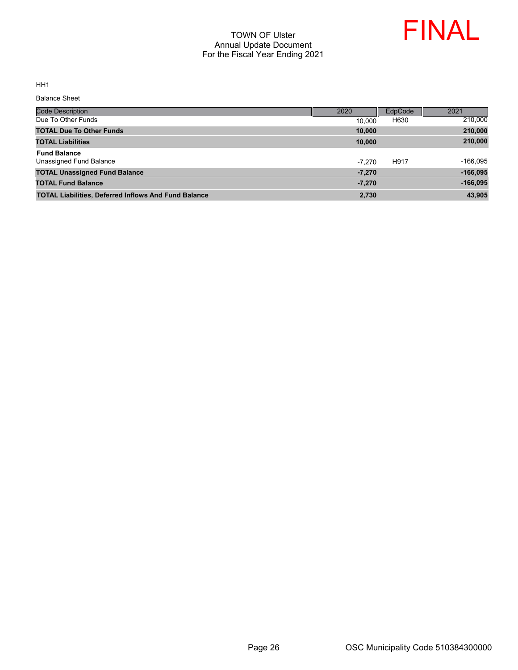

HH1

Balance Sheet

| Code Description                                            | 2020     | EdpCode | 2021       |
|-------------------------------------------------------------|----------|---------|------------|
| Due To Other Funds                                          | 10.000   | H630    | 210,000    |
| <b>TOTAL Due To Other Funds</b>                             | 10,000   |         | 210,000    |
| <b>TOTAL Liabilities</b>                                    | 10,000   |         | 210,000    |
| <b>Fund Balance</b><br>Unassigned Fund Balance              | $-7.270$ | H917    | $-166,095$ |
| <b>TOTAL Unassigned Fund Balance</b>                        | $-7.270$ |         | $-166.095$ |
| <b>TOTAL Fund Balance</b>                                   | $-7,270$ |         | $-166,095$ |
| <b>TOTAL Liabilities, Deferred Inflows And Fund Balance</b> | 2,730    |         | 43,905     |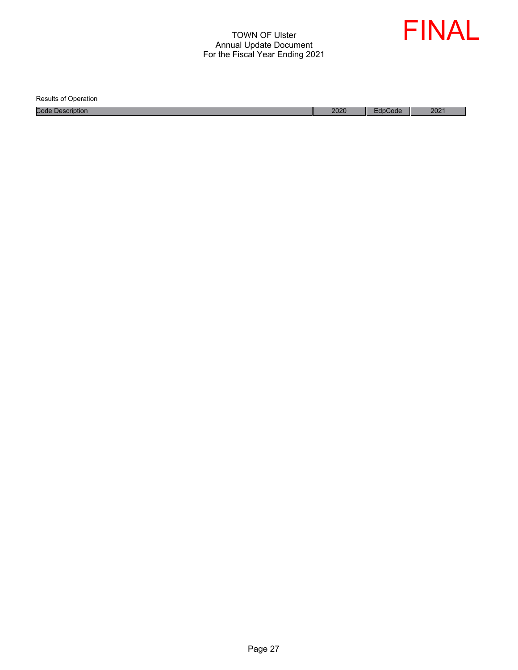

Results of Operation

Code Description 2021 2021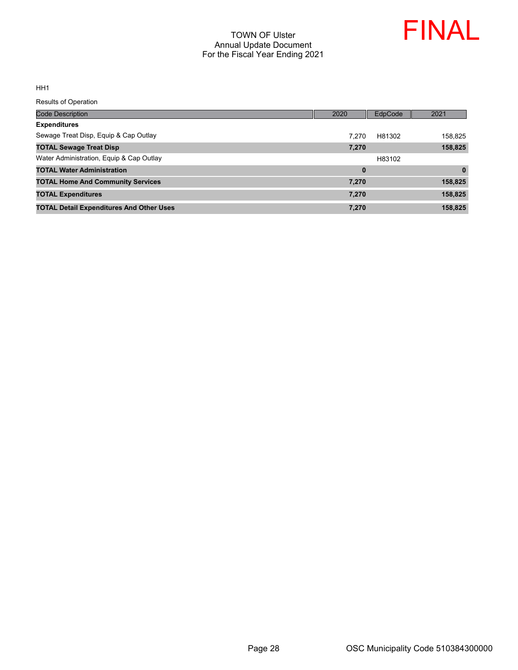

HH1

| <b>Code Description</b>                         | 2020     | <b>EdpCode</b> | 2021    |
|-------------------------------------------------|----------|----------------|---------|
| <b>Expenditures</b>                             |          |                |         |
| Sewage Treat Disp, Equip & Cap Outlay           | 7.270    | H81302         | 158,825 |
| <b>TOTAL Sewage Treat Disp</b>                  | 7,270    |                | 158,825 |
| Water Administration, Equip & Cap Outlay        |          | H83102         |         |
| <b>TOTAL Water Administration</b>               | $\bf{0}$ |                | 0       |
| <b>TOTAL Home And Community Services</b>        | 7,270    |                | 158,825 |
| <b>TOTAL Expenditures</b>                       | 7,270    |                | 158,825 |
| <b>TOTAL Detail Expenditures And Other Uses</b> | 7.270    |                | 158,825 |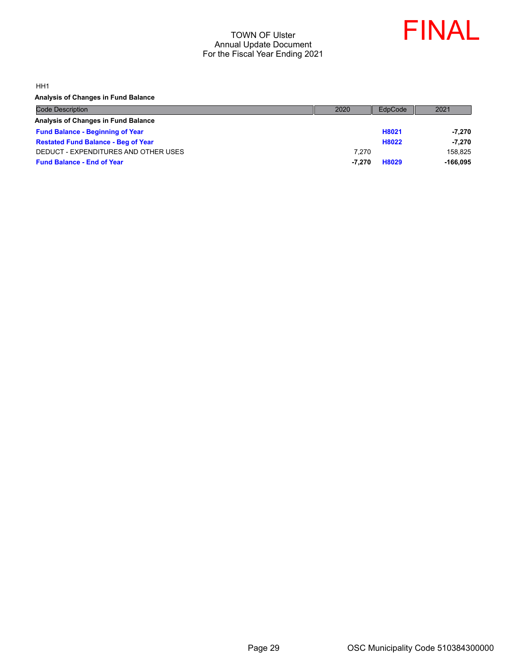

HH1

**Analysis of Changes in Fund Balance**

| <b>Code Description</b>                    | 2020   | EdpCode | 2021       |
|--------------------------------------------|--------|---------|------------|
| Analysis of Changes in Fund Balance        |        |         |            |
| <b>Fund Balance - Beginning of Year</b>    |        | H8021   | $-7,270$   |
| <b>Restated Fund Balance - Beg of Year</b> |        | H8022   | $-7.270$   |
| DEDUCT - EXPENDITURES AND OTHER USES       | 7.270  |         | 158.825    |
| <b>Fund Balance - End of Year</b>          | -7.270 | H8029   | $-166.095$ |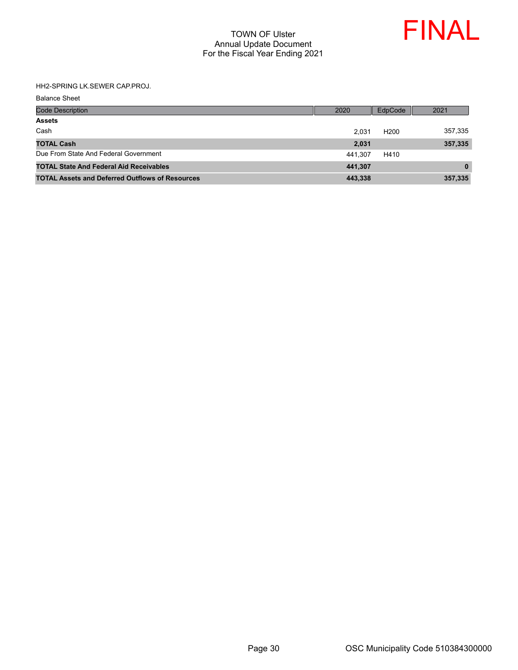

#### HH2-SPRING LK.SEWER CAP.PROJ.

Balance Sheet

| <b>Code Description</b>                                | 2020    | EdpCode          | 2021     |
|--------------------------------------------------------|---------|------------------|----------|
| <b>Assets</b>                                          |         |                  |          |
| Cash                                                   | 2.031   | H <sub>200</sub> | 357,335  |
| <b>TOTAL Cash</b>                                      | 2.031   |                  | 357,335  |
| Due From State And Federal Government                  | 441.307 | H410             |          |
| <b>TOTAL State And Federal Aid Receivables</b>         | 441.307 |                  | $\bf{0}$ |
| <b>TOTAL Assets and Deferred Outflows of Resources</b> | 443,338 |                  | 357,335  |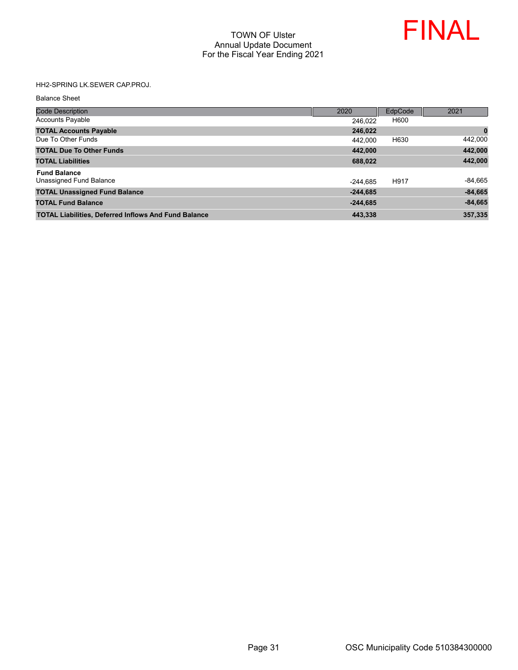

## HH2-SPRING LK.SEWER CAP.PROJ.

Balance Sheet

| <b>Code Description</b>                                     | 2020       | EdpCode | 2021      |
|-------------------------------------------------------------|------------|---------|-----------|
| <b>Accounts Payable</b>                                     | 246.022    | H600    |           |
| <b>TOTAL Accounts Payable</b>                               | 246,022    |         | $\bf{0}$  |
| Due To Other Funds                                          | 442.000    | H630    | 442,000   |
| <b>TOTAL Due To Other Funds</b>                             | 442.000    |         | 442,000   |
| <b>TOTAL Liabilities</b>                                    | 688,022    |         | 442,000   |
| <b>Fund Balance</b>                                         |            |         |           |
| Unassigned Fund Balance                                     | $-244.685$ | H917    | $-84,665$ |
| <b>TOTAL Unassigned Fund Balance</b>                        | $-244,685$ |         | $-84,665$ |
| <b>TOTAL Fund Balance</b>                                   | $-244,685$ |         | $-84,665$ |
| <b>TOTAL Liabilities, Deferred Inflows And Fund Balance</b> | 443.338    |         | 357,335   |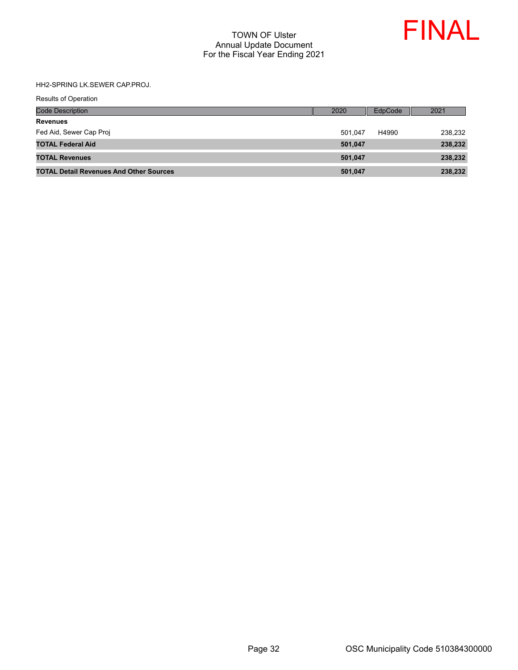

## HH2-SPRING LK.SEWER CAP.PROJ.

| <b>Code Description</b>                        | 2020    | EdpCode | 2021    |
|------------------------------------------------|---------|---------|---------|
| <b>Revenues</b>                                |         |         |         |
| Fed Aid, Sewer Cap Proj                        | 501.047 | H4990   | 238.232 |
| <b>TOTAL Federal Aid</b>                       | 501,047 |         | 238,232 |
| <b>TOTAL Revenues</b>                          | 501,047 |         | 238,232 |
| <b>TOTAL Detail Revenues And Other Sources</b> | 501,047 |         | 238,232 |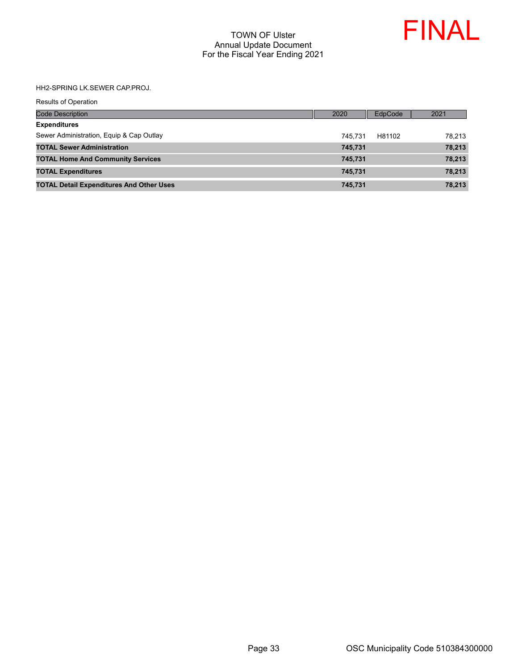

HH2-SPRING LK.SEWER CAP.PROJ.

| <b>Results of Operation</b>                     |      |         |         |        |
|-------------------------------------------------|------|---------|---------|--------|
| <b>Code Description</b>                         | 2020 |         | EdpCode | 2021   |
| <b>Expenditures</b>                             |      |         |         |        |
| Sewer Administration, Equip & Cap Outlay        |      | 745.731 | H81102  | 78,213 |
| <b>TOTAL Sewer Administration</b>               |      | 745,731 |         | 78,213 |
| <b>TOTAL Home And Community Services</b>        |      | 745,731 |         | 78,213 |
| <b>TOTAL Expenditures</b>                       |      | 745,731 |         | 78,213 |
| <b>TOTAL Detail Expenditures And Other Uses</b> |      | 745,731 |         | 78,213 |
|                                                 |      |         |         |        |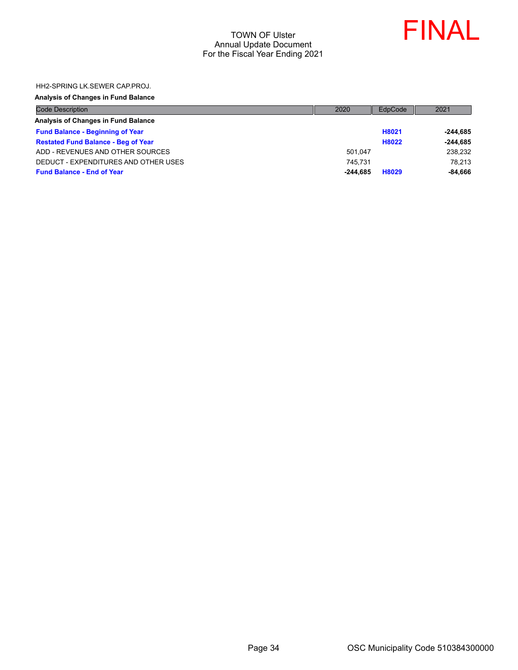

HH2-SPRING LK.SEWER CAP.PROJ.

### **Analysis of Changes in Fund Balance**

| <b>Code Description</b>                    | 2020       | EdpCode | 2021       |
|--------------------------------------------|------------|---------|------------|
| Analysis of Changes in Fund Balance        |            |         |            |
| <b>Fund Balance - Beginning of Year</b>    |            | H8021   | -244.685   |
| <b>Restated Fund Balance - Beg of Year</b> |            | H8022   | $-244.685$ |
| ADD - REVENUES AND OTHER SOURCES           | 501.047    |         | 238,232    |
| DEDUCT - EXPENDITURES AND OTHER USES       | 745.731    |         | 78.213     |
| <b>Fund Balance - End of Year</b>          | $-244.685$ | H8029   | $-84,666$  |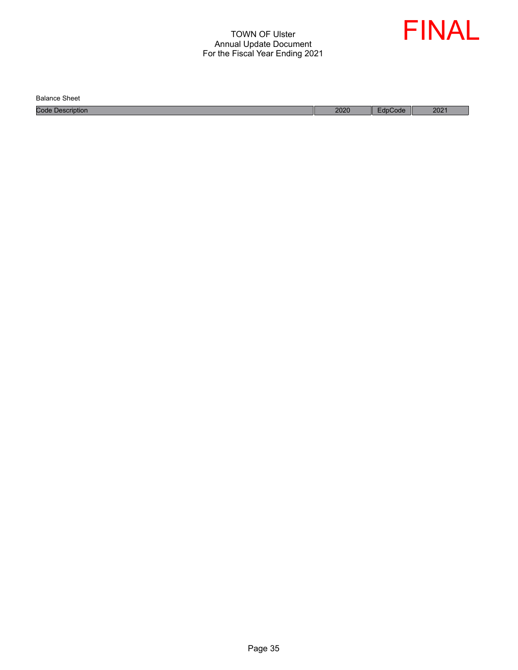

Balance Sheet

Code Description 2020 EdpCode 2021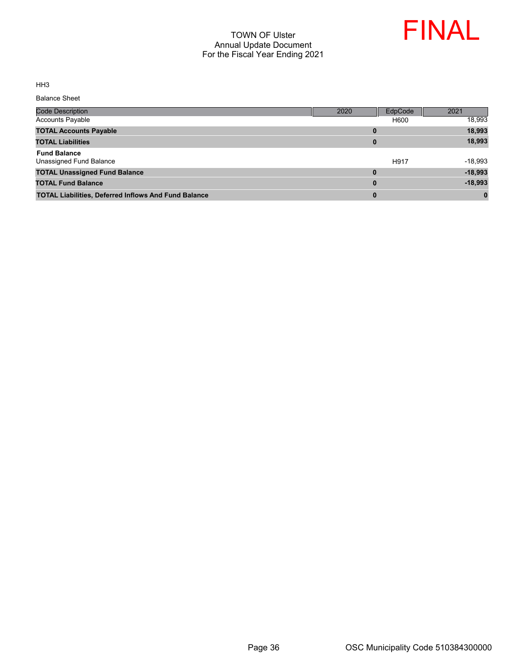

HH3

Balance Sheet

| Code Description                                            | 2020     | EdpCode | 2021      |
|-------------------------------------------------------------|----------|---------|-----------|
| <b>Accounts Payable</b>                                     |          | H600    | 18,993    |
| <b>TOTAL Accounts Payable</b>                               | 0        |         | 18,993    |
| <b>TOTAL Liabilities</b>                                    | $\bf{0}$ |         | 18,993    |
| <b>Fund Balance</b><br>Unassigned Fund Balance              |          | H917    | $-18,993$ |
| <b>TOTAL Unassigned Fund Balance</b>                        | $\bf{0}$ |         | $-18,993$ |
| <b>TOTAL Fund Balance</b>                                   | $\bf{0}$ |         | $-18,993$ |
| <b>TOTAL Liabilities, Deferred Inflows And Fund Balance</b> | 0        |         | $\bf{0}$  |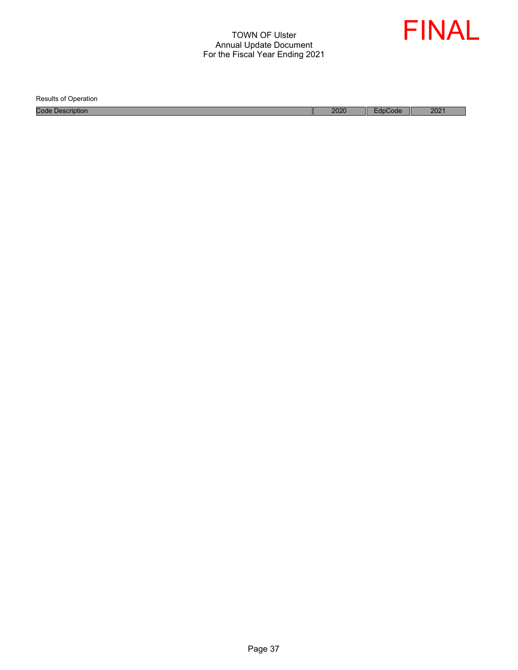

Results of Operation

Code Description 2021 2021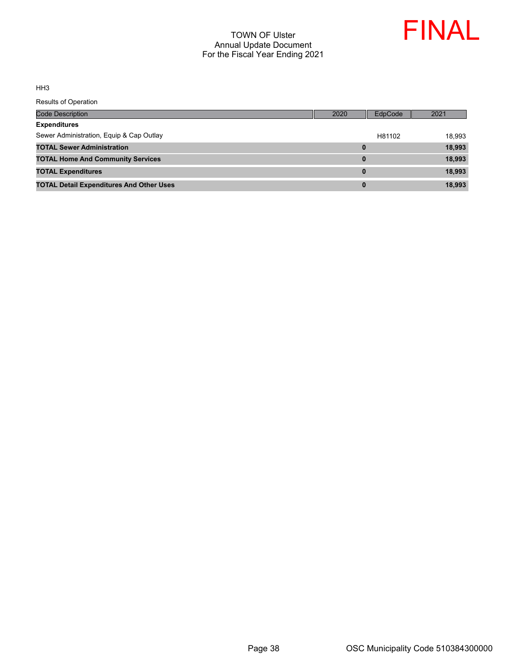

HH3

| <b>Code Description</b>                         | 2020     | <b>EdpCode</b> | 2021   |
|-------------------------------------------------|----------|----------------|--------|
| <b>Expenditures</b>                             |          |                |        |
| Sewer Administration, Equip & Cap Outlay        |          | H81102         | 18.993 |
| <b>TOTAL Sewer Administration</b>               | 0        |                | 18,993 |
| <b>TOTAL Home And Community Services</b>        | 0        |                | 18,993 |
| <b>TOTAL Expenditures</b>                       | $\bf{0}$ |                | 18,993 |
| <b>TOTAL Detail Expenditures And Other Uses</b> | 0        |                | 18,993 |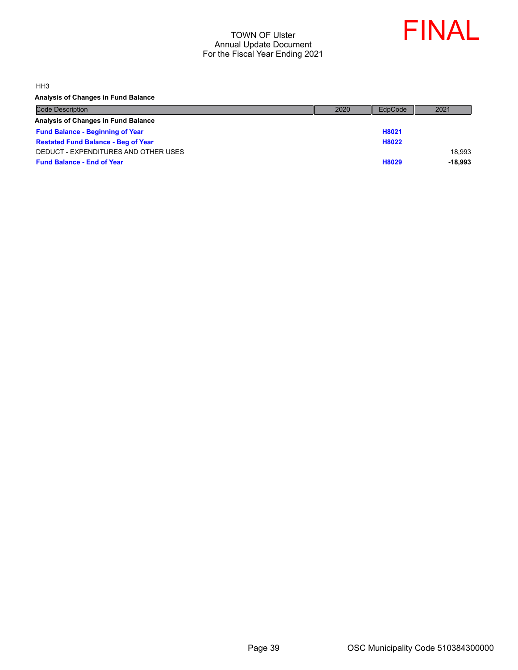

HH3

**Analysis of Changes in Fund Balance**

| <b>Code Description</b>                    | 2020 | EdpCode | 2021      |
|--------------------------------------------|------|---------|-----------|
| Analysis of Changes in Fund Balance        |      |         |           |
| <b>Fund Balance - Beginning of Year</b>    |      | H8021   |           |
| <b>Restated Fund Balance - Beg of Year</b> |      | H8022   |           |
| DEDUCT - EXPENDITURES AND OTHER USES       |      |         | 18.993    |
| <b>Fund Balance - End of Year</b>          |      | H8029   | $-18.993$ |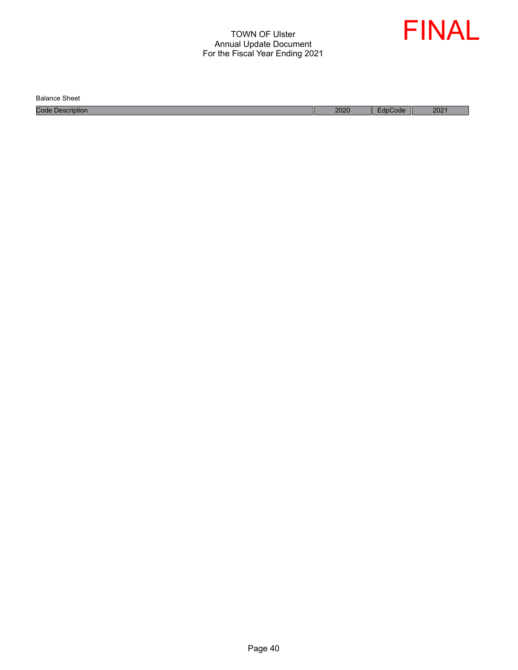

Balance Sheet

Code Description 2020 EdpCode 2021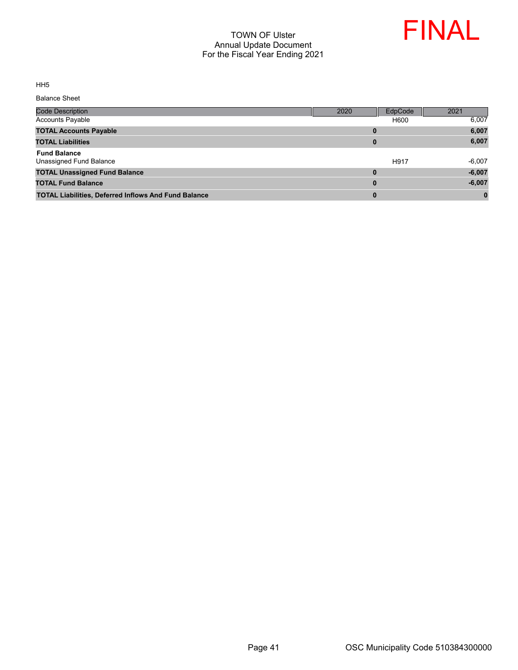

HH5

Balance Sheet

| <b>Code Description</b>                                     | 2020     | EdpCode | 2021     |
|-------------------------------------------------------------|----------|---------|----------|
| <b>Accounts Payable</b>                                     |          | H600    | 6,007    |
| <b>TOTAL Accounts Payable</b>                               | 0        |         | 6,007    |
| <b>TOTAL Liabilities</b>                                    | 0        |         | 6,007    |
| <b>Fund Balance</b><br>Unassigned Fund Balance              |          | H917    | $-6,007$ |
| <b>TOTAL Unassigned Fund Balance</b>                        | 0        |         | $-6,007$ |
| <b>TOTAL Fund Balance</b>                                   | $\bf{0}$ |         | $-6,007$ |
| <b>TOTAL Liabilities, Deferred Inflows And Fund Balance</b> | $\bf{0}$ |         |          |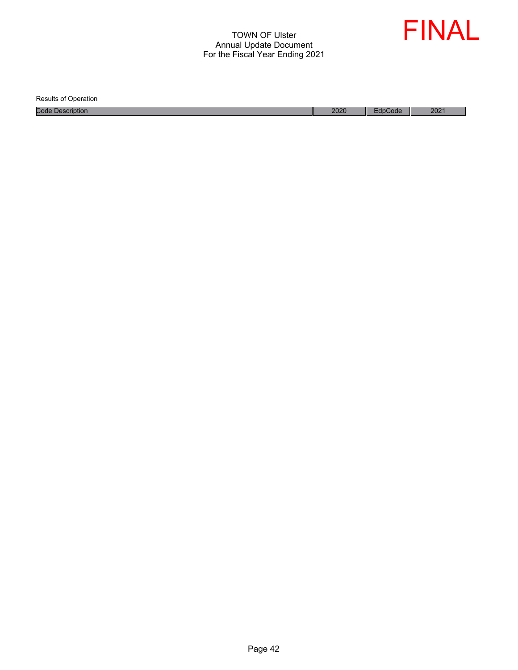

Results of Operation

Code Description 2021 2021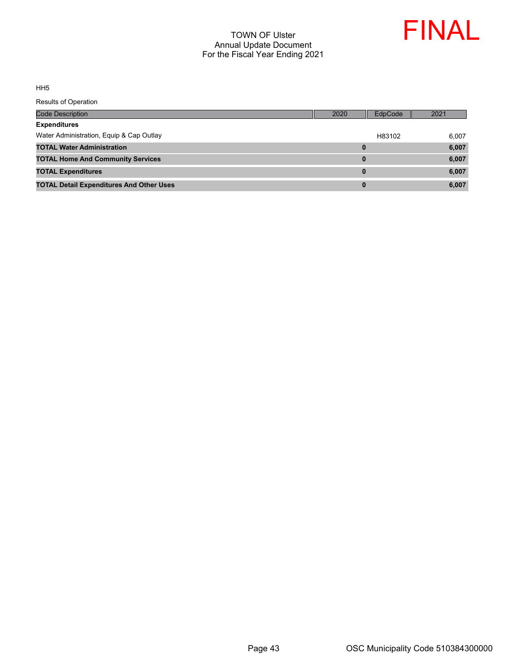

HH5

| <b>Code Description</b>                         | 2020     | EdpCode | 2021  |
|-------------------------------------------------|----------|---------|-------|
| <b>Expenditures</b>                             |          |         |       |
| Water Administration, Equip & Cap Outlay        |          | H83102  | 6.007 |
| <b>TOTAL Water Administration</b>               | 0        |         | 6,007 |
| <b>TOTAL Home And Community Services</b>        | $\bf{0}$ |         | 6,007 |
| <b>TOTAL Expenditures</b>                       | $\bf{0}$ |         | 6,007 |
| <b>TOTAL Detail Expenditures And Other Uses</b> | $\bf{0}$ |         | 6,007 |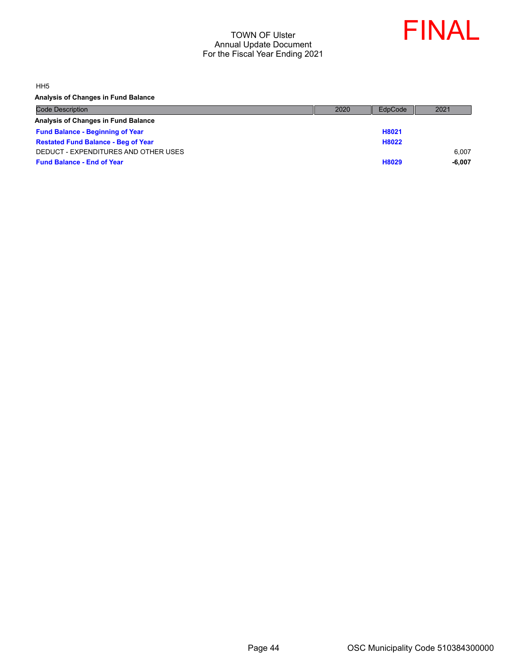

HH5

**Analysis of Changes in Fund Balance**

| <b>Code Description</b>                    | 2020 | EdpCode | 2021     |
|--------------------------------------------|------|---------|----------|
| Analysis of Changes in Fund Balance        |      |         |          |
| <b>Fund Balance - Beginning of Year</b>    |      | H8021   |          |
| <b>Restated Fund Balance - Beg of Year</b> |      | H8022   |          |
| DEDUCT - EXPENDITURES AND OTHER USES       |      |         | 6.007    |
| <b>Fund Balance - End of Year</b>          |      | H8029   | $-6.007$ |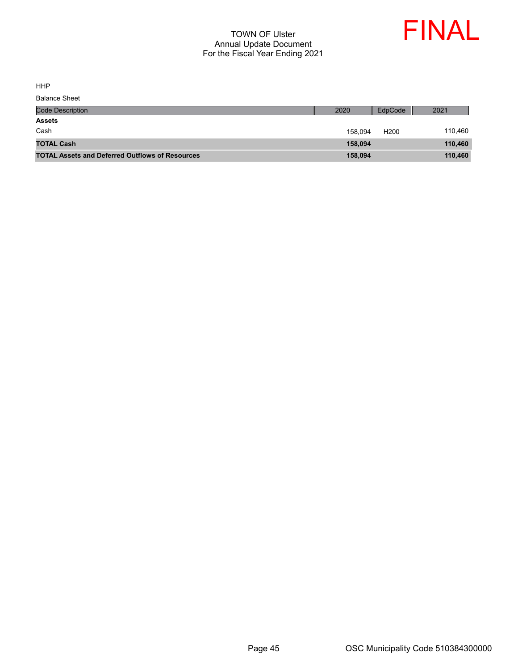

HHP

| <b>Balance Sheet</b>                                   |         |                  |         |
|--------------------------------------------------------|---------|------------------|---------|
| <b>Code Description</b>                                | 2020    | EdpCode          | 2021    |
| <b>Assets</b>                                          |         |                  |         |
| Cash                                                   | 158.094 | H <sub>200</sub> | 110,460 |
| <b>TOTAL Cash</b>                                      | 158,094 |                  | 110,460 |
| <b>TOTAL Assets and Deferred Outflows of Resources</b> | 158,094 |                  | 110,460 |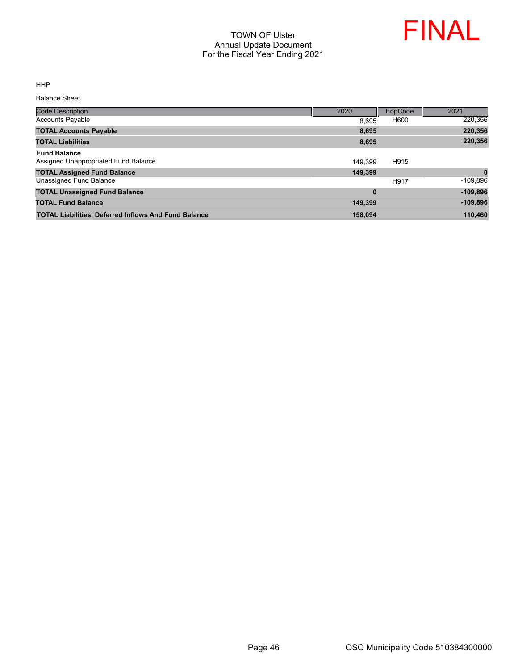

HHP

Balance Sheet

| <b>Code Description</b>                                     | 2020     | EdpCode | 2021       |
|-------------------------------------------------------------|----------|---------|------------|
| <b>Accounts Payable</b>                                     | 8.695    | H600    | 220,356    |
| <b>TOTAL Accounts Payable</b>                               | 8,695    |         | 220,356    |
| <b>TOTAL Liabilities</b>                                    | 8,695    |         | 220,356    |
| <b>Fund Balance</b><br>Assigned Unappropriated Fund Balance | 149.399  | H915    |            |
| <b>TOTAL Assigned Fund Balance</b>                          | 149,399  |         | $\bf{0}$   |
| Unassigned Fund Balance                                     |          | H917    | $-109,896$ |
| <b>TOTAL Unassigned Fund Balance</b>                        | $\bf{0}$ |         | $-109,896$ |
| <b>TOTAL Fund Balance</b>                                   | 149.399  |         | $-109,896$ |
| <b>TOTAL Liabilities, Deferred Inflows And Fund Balance</b> | 158.094  |         | 110,460    |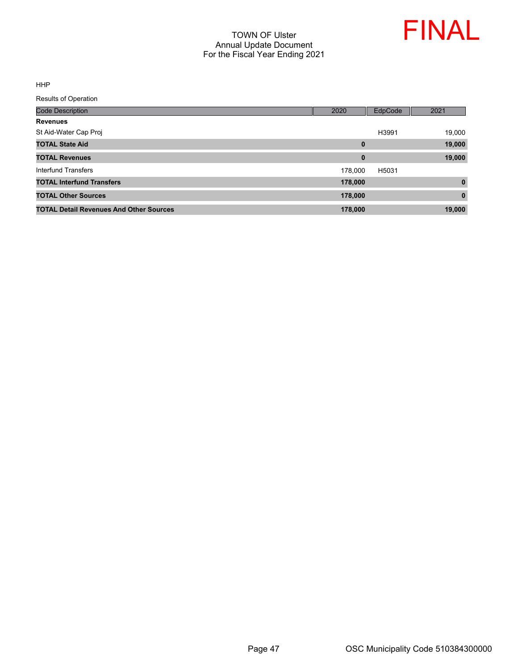

HHP

| <b>Code Description</b>                        | 2020     | EdpCode | 2021     |
|------------------------------------------------|----------|---------|----------|
| <b>Revenues</b>                                |          |         |          |
| St Aid-Water Cap Proj                          |          | H3991   | 19,000   |
| <b>TOTAL State Aid</b>                         | $\bf{0}$ |         | 19,000   |
| <b>TOTAL Revenues</b>                          | $\bf{0}$ |         | 19,000   |
| Interfund Transfers                            | 178.000  | H5031   |          |
| <b>TOTAL Interfund Transfers</b>               | 178,000  |         | $\bf{0}$ |
| <b>TOTAL Other Sources</b>                     | 178,000  |         | $\bf{0}$ |
| <b>TOTAL Detail Revenues And Other Sources</b> | 178,000  |         | 19,000   |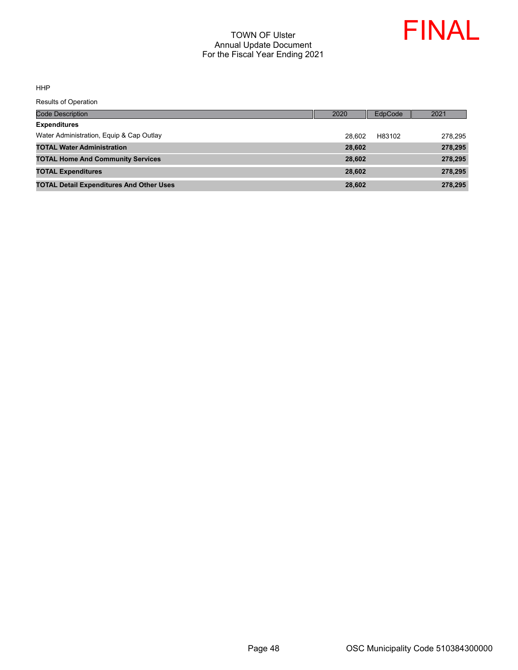

HHP

| Code Description                                | 2020   | EdpCode | 2021    |
|-------------------------------------------------|--------|---------|---------|
| <b>Expenditures</b>                             |        |         |         |
| Water Administration, Equip & Cap Outlay        | 28.602 | H83102  | 278.295 |
| <b>TOTAL Water Administration</b>               | 28,602 |         | 278,295 |
| <b>TOTAL Home And Community Services</b>        | 28,602 |         | 278,295 |
| <b>TOTAL Expenditures</b>                       | 28,602 |         | 278,295 |
| <b>TOTAL Detail Expenditures And Other Uses</b> | 28,602 |         | 278,295 |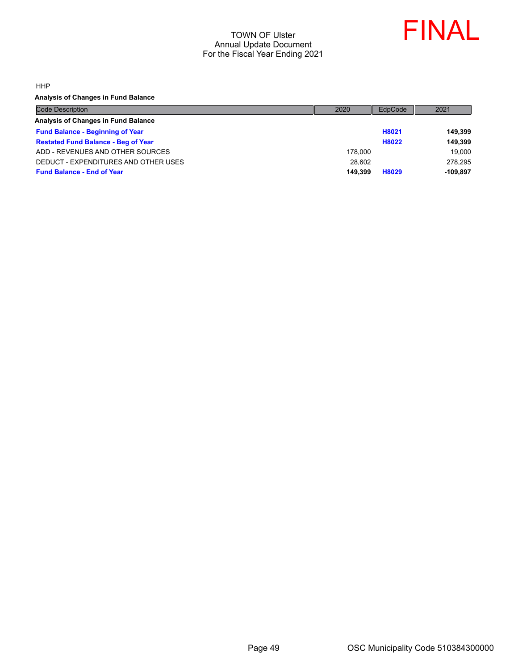

HHP

**Analysis of Changes in Fund Balance**

| <b>Code Description</b>                    | 2020    | EdpCode | 2021       |
|--------------------------------------------|---------|---------|------------|
| Analysis of Changes in Fund Balance        |         |         |            |
| <b>Fund Balance - Beginning of Year</b>    |         | H8021   | 149.399    |
| <b>Restated Fund Balance - Beg of Year</b> |         | H8022   | 149.399    |
| ADD - REVENUES AND OTHER SOURCES           | 178,000 |         | 19,000     |
| DEDUCT - EXPENDITURES AND OTHER USES       | 28.602  |         | 278.295    |
| <b>Fund Balance - End of Year</b>          | 149.399 | H8029   | $-109.897$ |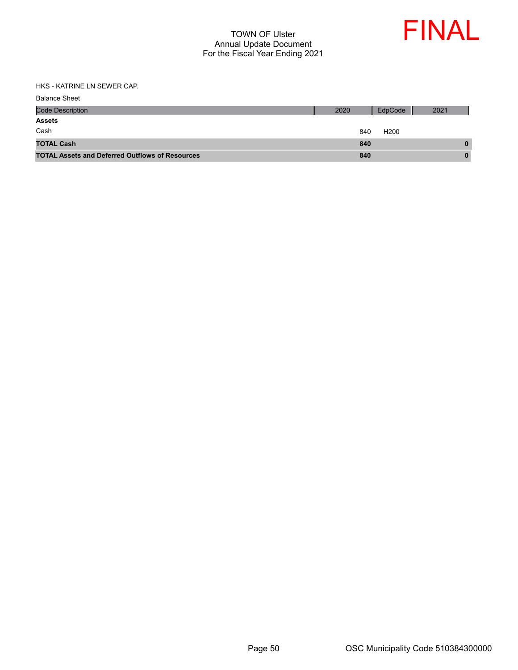

HKS - KATRINE LN SEWER CAP.

| <b>Balance Sheet</b>                                   |      |                  |      |
|--------------------------------------------------------|------|------------------|------|
| <b>Code Description</b>                                | 2020 | EdpCode          | 2021 |
| <b>Assets</b>                                          |      |                  |      |
| Cash                                                   | 840  | H <sub>200</sub> |      |
| <b>TOTAL Cash</b>                                      | 840  |                  | 0    |
| <b>TOTAL Assets and Deferred Outflows of Resources</b> | 840  |                  | 0    |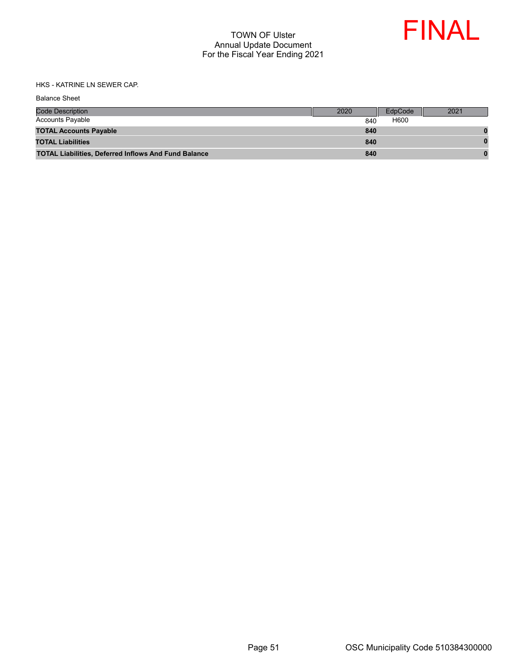

HKS - KATRINE LN SEWER CAP.

| <b>Balance Sheet</b>                                        |      |         |      |
|-------------------------------------------------------------|------|---------|------|
| <b>Code Description</b>                                     | 2020 | EdpCode | 2021 |
| <b>Accounts Payable</b>                                     | 840  | H600    |      |
| <b>TOTAL Accounts Payable</b>                               | 840  |         |      |
| <b>TOTAL Liabilities</b>                                    | 840  |         |      |
| <b>TOTAL Liabilities, Deferred Inflows And Fund Balance</b> | 840  |         |      |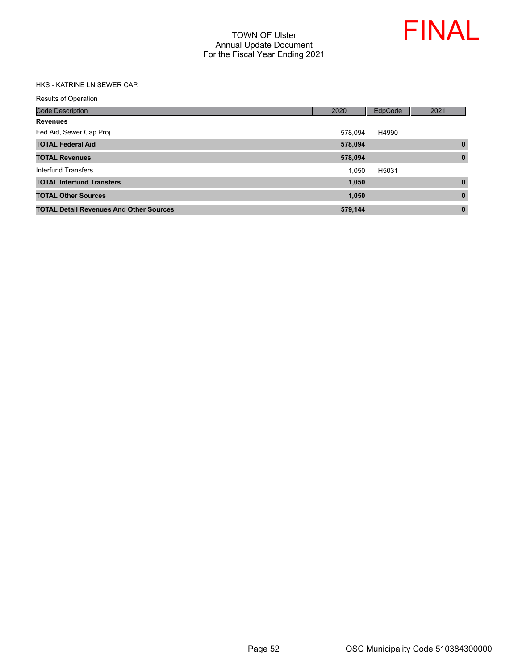

#### HKS - KATRINE LN SEWER CAP.

| <b>Code Description</b>                        | 2020    | EdpCode | 2021         |
|------------------------------------------------|---------|---------|--------------|
| <b>Revenues</b>                                |         |         |              |
| Fed Aid, Sewer Cap Proj                        | 578.094 | H4990   |              |
| <b>TOTAL Federal Aid</b>                       | 578,094 |         | $\bf{0}$     |
| <b>TOTAL Revenues</b>                          | 578,094 |         | $\mathbf{0}$ |
| <b>Interfund Transfers</b>                     | 1.050   | H5031   |              |
| <b>TOTAL Interfund Transfers</b>               | 1,050   |         | $\bf{0}$     |
| <b>TOTAL Other Sources</b>                     | 1,050   |         | $\bf{0}$     |
| <b>TOTAL Detail Revenues And Other Sources</b> | 579,144 |         | $\bf{0}$     |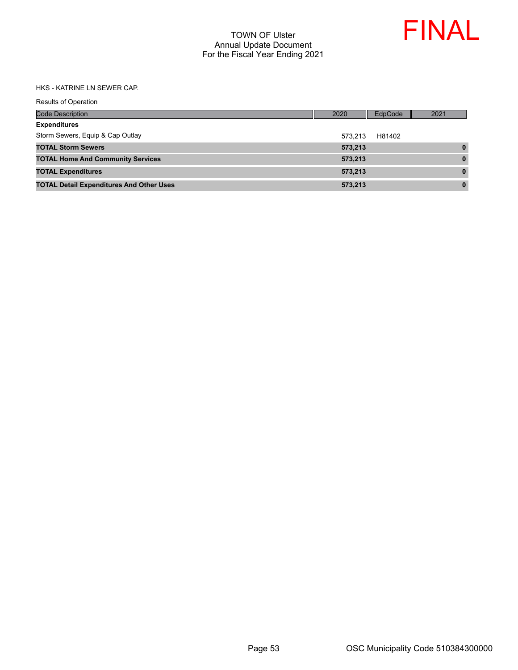

#### HKS - KATRINE LN SEWER CAP.

|  |  | Results of Operation |
|--|--|----------------------|
|--|--|----------------------|

| <b>Code Description</b>                         | 2020    | EdpCode | 2021         |
|-------------------------------------------------|---------|---------|--------------|
| <b>Expenditures</b>                             |         |         |              |
| Storm Sewers, Equip & Cap Outlay                | 573.213 | H81402  |              |
| <b>TOTAL Storm Sewers</b>                       | 573.213 |         | $\mathbf{0}$ |
| <b>TOTAL Home And Community Services</b>        | 573.213 |         | $\bf{0}$     |
| <b>TOTAL Expenditures</b>                       | 573,213 |         | $\bf{0}$     |
| <b>TOTAL Detail Expenditures And Other Uses</b> | 573,213 |         | $\bf{0}$     |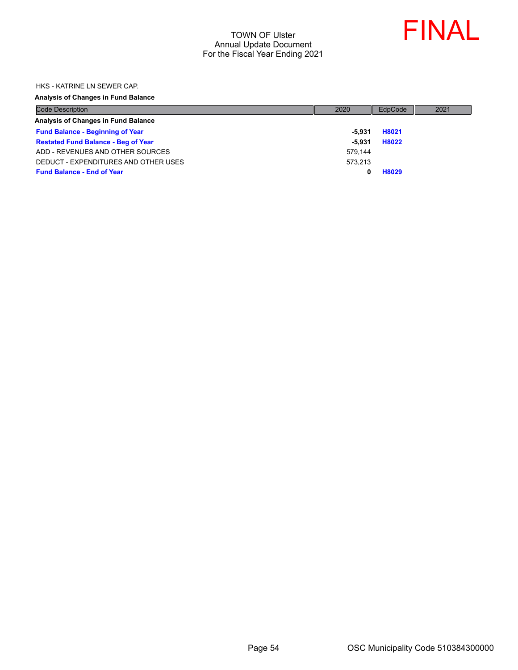

HKS - KATRINE LN SEWER CAP.

#### **Analysis of Changes in Fund Balance**

| <b>Code Description</b>                    | 2020    | EdpCode | 2021 |
|--------------------------------------------|---------|---------|------|
| <b>Analysis of Changes in Fund Balance</b> |         |         |      |
| <b>Fund Balance - Beginning of Year</b>    | -5.931  | H8021   |      |
| <b>Restated Fund Balance - Beg of Year</b> | -5.931  | H8022   |      |
| ADD - REVENUES AND OTHER SOURCES           | 579.144 |         |      |
| DEDUCT - EXPENDITURES AND OTHER USES       | 573.213 |         |      |
| <b>Fund Balance - End of Year</b>          |         | H8029   |      |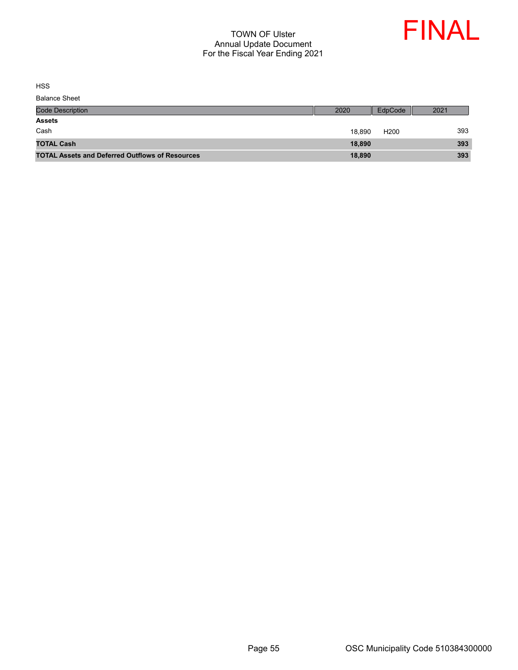

HSS

| <b>Balance Sheet</b>                                   |        |                  |      |
|--------------------------------------------------------|--------|------------------|------|
| <b>Code Description</b>                                | 2020   | EdpCode          | 2021 |
| <b>Assets</b>                                          |        |                  |      |
| Cash                                                   | 18.890 | H <sub>200</sub> | 393  |
| <b>TOTAL Cash</b>                                      | 18,890 |                  | 393  |
| <b>TOTAL Assets and Deferred Outflows of Resources</b> | 18,890 |                  | 393  |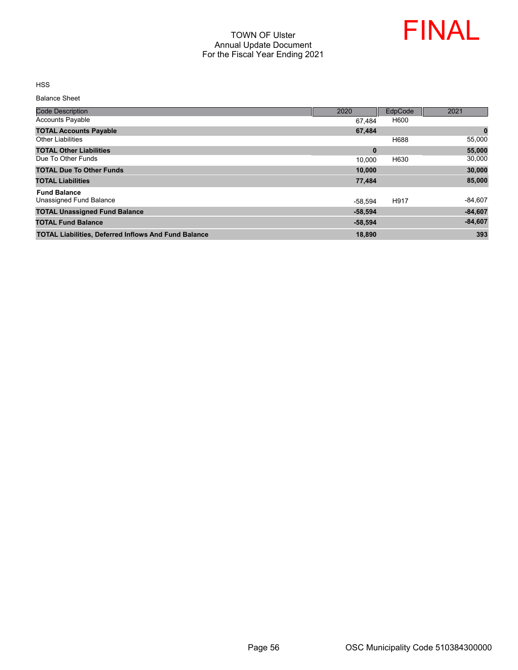

HSS

Balance Sheet

| <b>Code Description</b>                                     | 2020      | EdpCode | 2021      |
|-------------------------------------------------------------|-----------|---------|-----------|
| <b>Accounts Payable</b>                                     | 67.484    | H600    |           |
| <b>TOTAL Accounts Payable</b>                               | 67,484    |         | $\pmb{0}$ |
| <b>Other Liabilities</b>                                    |           | H688    | 55,000    |
| <b>TOTAL Other Liabilities</b>                              | $\bf{0}$  |         | 55,000    |
| Due To Other Funds                                          | 10.000    | H630    | 30,000    |
| <b>TOTAL Due To Other Funds</b>                             | 10.000    |         | 30,000    |
| <b>TOTAL Liabilities</b>                                    | 77,484    |         | 85,000    |
| <b>Fund Balance</b>                                         |           |         |           |
| Unassigned Fund Balance                                     | $-58.594$ | H917    | $-84,607$ |
| <b>TOTAL Unassigned Fund Balance</b>                        | $-58,594$ |         | $-84,607$ |
| <b>TOTAL Fund Balance</b>                                   | $-58,594$ |         | $-84,607$ |
| <b>TOTAL Liabilities, Deferred Inflows And Fund Balance</b> | 18,890    |         | 393       |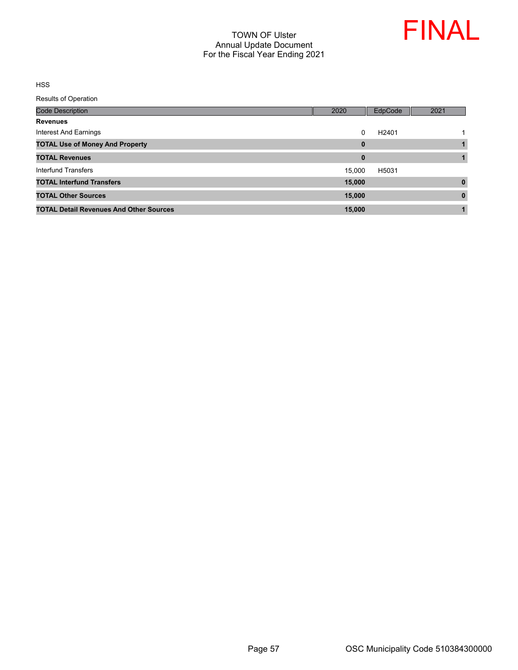

HSS

| <b>Code Description</b>                        | 2020        | EdpCode           | 2021     |
|------------------------------------------------|-------------|-------------------|----------|
| <b>Revenues</b>                                |             |                   |          |
| Interest And Earnings                          | $\Omega$    | H <sub>2401</sub> |          |
| <b>TOTAL Use of Money And Property</b>         | $\mathbf 0$ |                   |          |
| <b>TOTAL Revenues</b>                          | $\bf{0}$    |                   |          |
| <b>Interfund Transfers</b>                     | 15,000      | H5031             |          |
| <b>TOTAL Interfund Transfers</b>               | 15,000      |                   | $\bf{0}$ |
| <b>TOTAL Other Sources</b>                     | 15,000      |                   | $\bf{0}$ |
| <b>TOTAL Detail Revenues And Other Sources</b> | 15,000      |                   |          |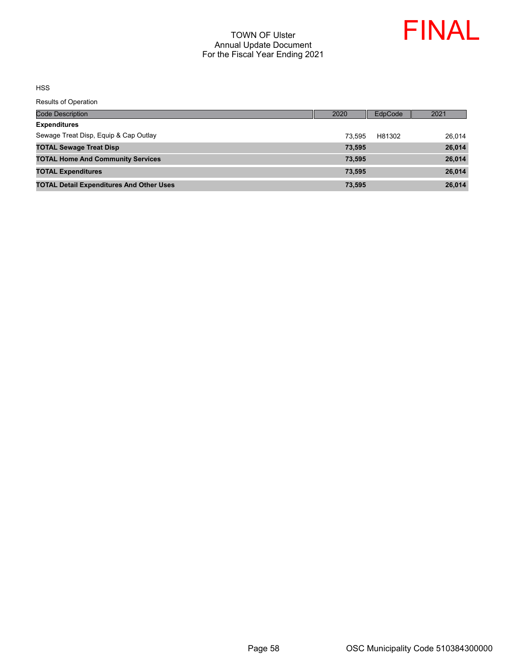

HSS

| Code Description                                | 2020   | <b>EdpCode</b> | 2021   |
|-------------------------------------------------|--------|----------------|--------|
| <b>Expenditures</b>                             |        |                |        |
| Sewage Treat Disp, Equip & Cap Outlay           | 73.595 | H81302         | 26.014 |
| <b>TOTAL Sewage Treat Disp</b>                  | 73.595 |                | 26,014 |
| <b>TOTAL Home And Community Services</b>        | 73,595 |                | 26,014 |
| <b>TOTAL Expenditures</b>                       | 73,595 |                | 26,014 |
| <b>TOTAL Detail Expenditures And Other Uses</b> | 73,595 |                | 26,014 |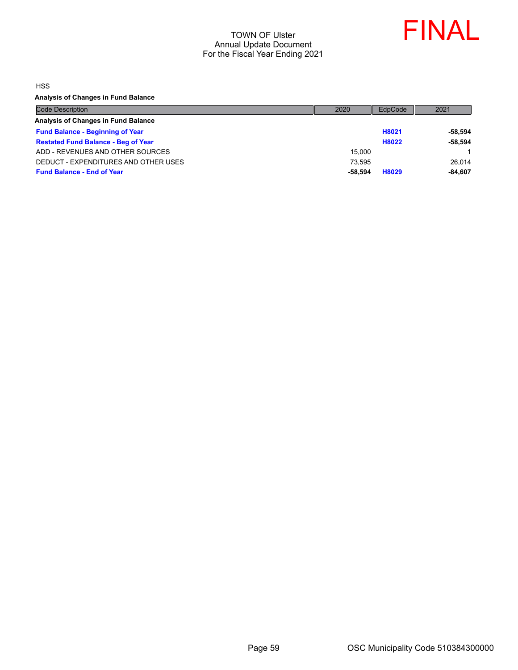

HSS

**Analysis of Changes in Fund Balance**

| <b>Code Description</b>                    | 2020    | EdpCode | 2021      |
|--------------------------------------------|---------|---------|-----------|
| Analysis of Changes in Fund Balance        |         |         |           |
| <b>Fund Balance - Beginning of Year</b>    |         | H8021   | $-58.594$ |
| <b>Restated Fund Balance - Beg of Year</b> |         | H8022   | $-58.594$ |
| ADD - REVENUES AND OTHER SOURCES           | 15.000  |         |           |
| DEDUCT - EXPENDITURES AND OTHER USES       | 73.595  |         | 26.014    |
| <b>Fund Balance - End of Year</b>          | -58.594 | H8029   | $-84.607$ |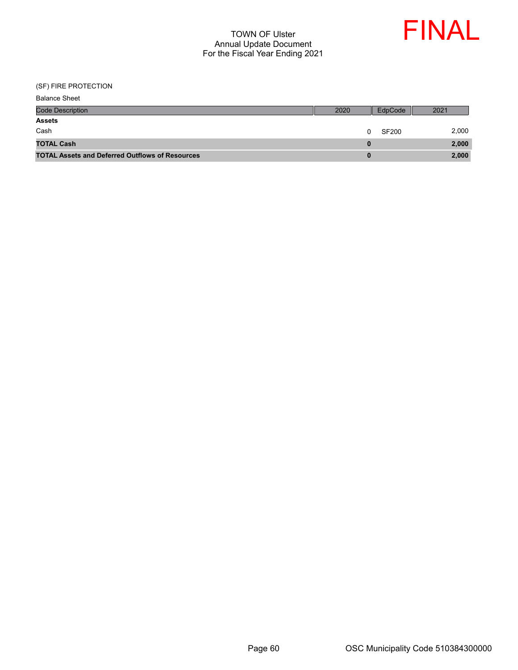

(SF) FIRE PROTECTION

| <b>Balance Sheet</b>                                   |      |         |       |
|--------------------------------------------------------|------|---------|-------|
| <b>Code Description</b>                                | 2020 | EdpCode | 2021  |
| <b>Assets</b>                                          |      |         |       |
| Cash                                                   | 0    | SF200   | 2,000 |
| <b>TOTAL Cash</b>                                      |      |         | 2,000 |
| <b>TOTAL Assets and Deferred Outflows of Resources</b> |      |         | 2,000 |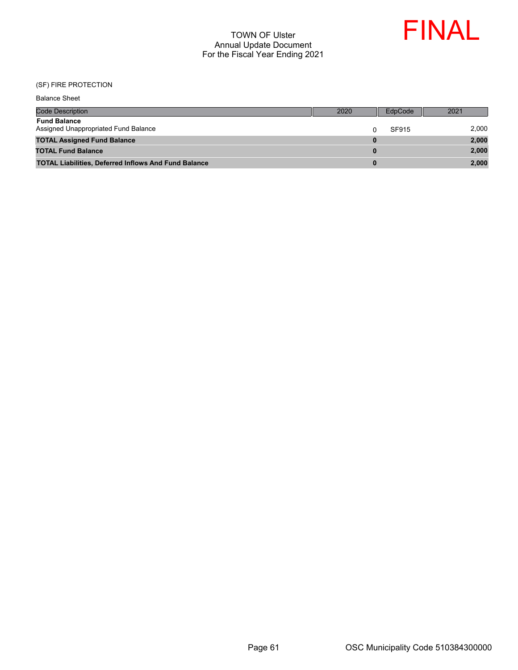

#### (SF) FIRE PROTECTION

| <b>Balance Sheet</b>                                        |              |         |       |
|-------------------------------------------------------------|--------------|---------|-------|
| <b>Code Description</b>                                     | 2020         | EdpCode | 2021  |
| <b>Fund Balance</b><br>Assigned Unappropriated Fund Balance |              | SF915   | 2,000 |
| <b>TOTAL Assigned Fund Balance</b>                          | <sup>0</sup> |         | 2,000 |
| <b>TOTAL Fund Balance</b>                                   | $\bf{0}$     |         | 2,000 |
| <b>TOTAL Liabilities, Deferred Inflows And Fund Balance</b> | 0            |         | 2,000 |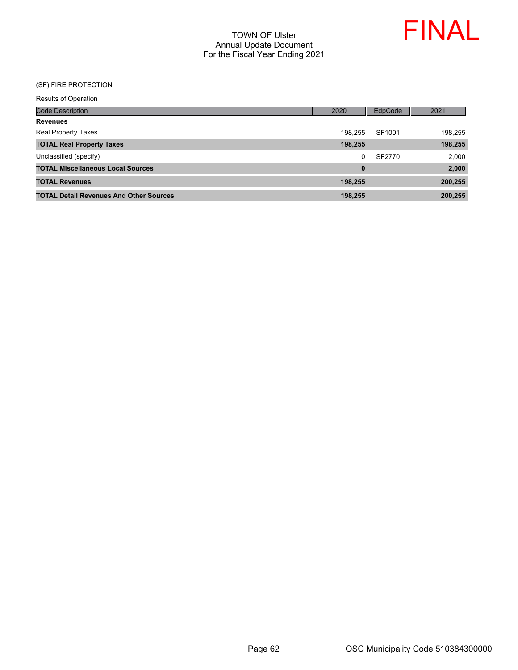

#### (SF) FIRE PROTECTION

| Code Description                               | 2020     | EdpCode | 2021    |
|------------------------------------------------|----------|---------|---------|
| <b>Revenues</b>                                |          |         |         |
| <b>Real Property Taxes</b>                     | 198.255  | SF1001  | 198,255 |
| <b>TOTAL Real Property Taxes</b>               | 198,255  |         | 198,255 |
| Unclassified (specify)                         | 0        | SF2770  | 2,000   |
| <b>TOTAL Miscellaneous Local Sources</b>       | $\bf{0}$ |         | 2,000   |
| <b>TOTAL Revenues</b>                          | 198.255  |         | 200,255 |
| <b>TOTAL Detail Revenues And Other Sources</b> | 198.255  |         | 200.255 |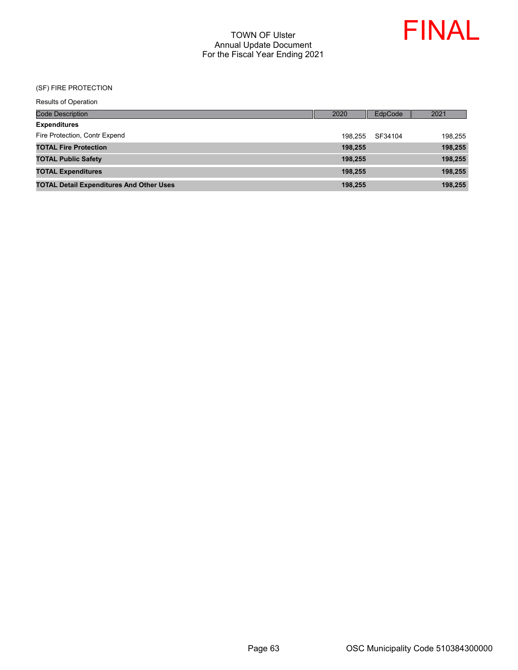

## (SF) FIRE PROTECTION

| <b>Results of Operation</b> |
|-----------------------------|
|-----------------------------|

| Code Description                                | 2020    | EdpCode | 2021    |
|-------------------------------------------------|---------|---------|---------|
| <b>Expenditures</b>                             |         |         |         |
| Fire Protection, Contr Expend                   | 198.255 | SF34104 | 198,255 |
| <b>TOTAL Fire Protection</b>                    | 198.255 |         | 198,255 |
| <b>TOTAL Public Safety</b>                      | 198,255 |         | 198,255 |
| <b>TOTAL Expenditures</b>                       | 198.255 |         | 198,255 |
| <b>TOTAL Detail Expenditures And Other Uses</b> | 198,255 |         | 198,255 |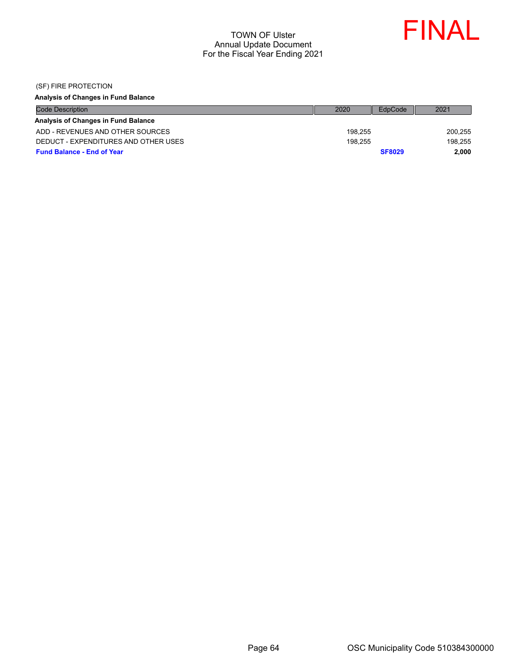

(SF) FIRE PROTECTION

# **Analysis of Changes in Fund Balance**

| <b>Code Description</b>              | 2020    | EdpCode       | 2021    |
|--------------------------------------|---------|---------------|---------|
| Analysis of Changes in Fund Balance  |         |               |         |
| ADD - REVENUES AND OTHER SOURCES     | 198.255 | 200,255       |         |
| DEDUCT - EXPENDITURES AND OTHER USES | 198.255 |               | 198.255 |
| <b>Fund Balance - End of Year</b>    |         | <b>SF8029</b> | 2.000   |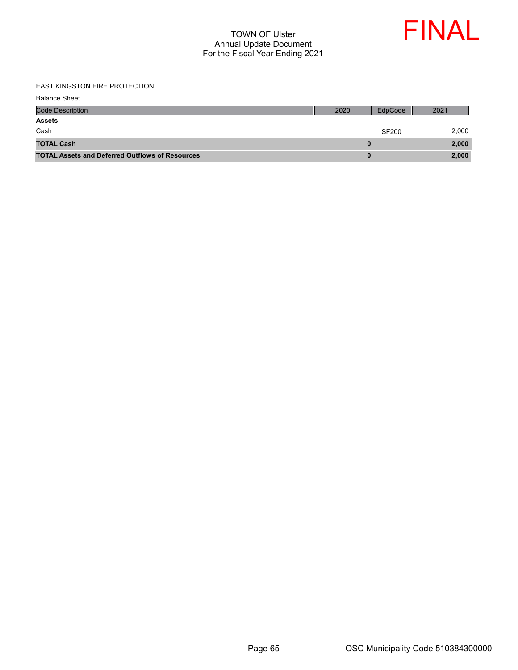

#### EAST KINGSTON FIRE PROTECTION

| <b>Balance Sheet</b>                                   |      |              |       |
|--------------------------------------------------------|------|--------------|-------|
| <b>Code Description</b>                                | 2020 | EdpCode      | 2021  |
| <b>Assets</b>                                          |      |              |       |
| Cash                                                   |      | <b>SF200</b> | 2,000 |
| <b>TOTAL Cash</b>                                      |      |              | 2,000 |
| <b>TOTAL Assets and Deferred Outflows of Resources</b> |      |              | 2,000 |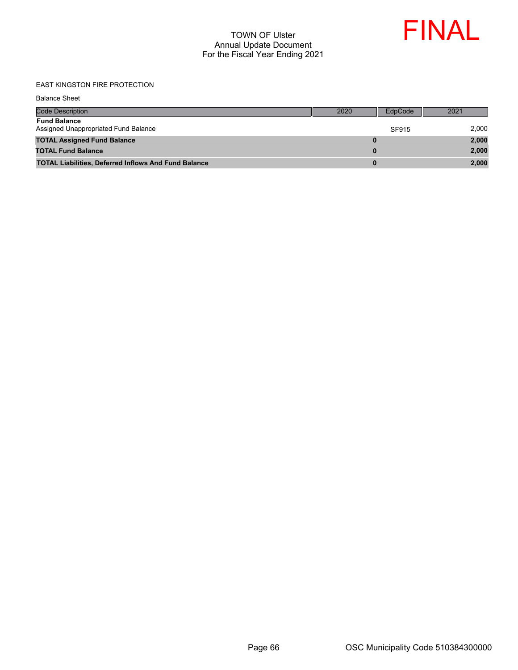

## EAST KINGSTON FIRE PROTECTION

| <b>Code Description</b>                                     | 2020 | EdpCode | 2021  |
|-------------------------------------------------------------|------|---------|-------|
| <b>Fund Balance</b><br>Assigned Unappropriated Fund Balance |      | SF915   | 2.000 |
| <b>TOTAL Assigned Fund Balance</b>                          | 0    |         | 2,000 |
| <b>TOTAL Fund Balance</b>                                   | 0    |         | 2,000 |
| <b>TOTAL Liabilities, Deferred Inflows And Fund Balance</b> | 0    |         | 2,000 |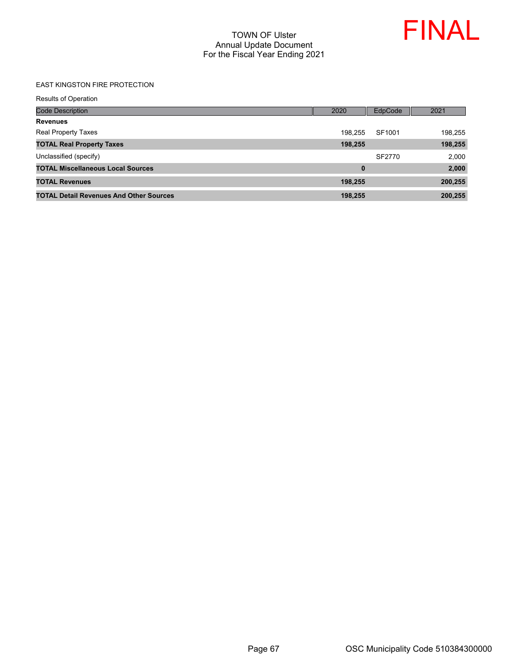

#### EAST KINGSTON FIRE PROTECTION

| Code Description                               | 2020     | <b>EdpCode</b> | 2021    |
|------------------------------------------------|----------|----------------|---------|
| <b>Revenues</b>                                |          |                |         |
| <b>Real Property Taxes</b>                     | 198.255  | SF1001         | 198,255 |
| <b>TOTAL Real Property Taxes</b>               | 198,255  |                | 198,255 |
| Unclassified (specify)                         |          | SF2770         | 2,000   |
| <b>TOTAL Miscellaneous Local Sources</b>       | $\bf{0}$ |                | 2,000   |
| <b>TOTAL Revenues</b>                          | 198,255  |                | 200,255 |
| <b>TOTAL Detail Revenues And Other Sources</b> | 198.255  |                | 200,255 |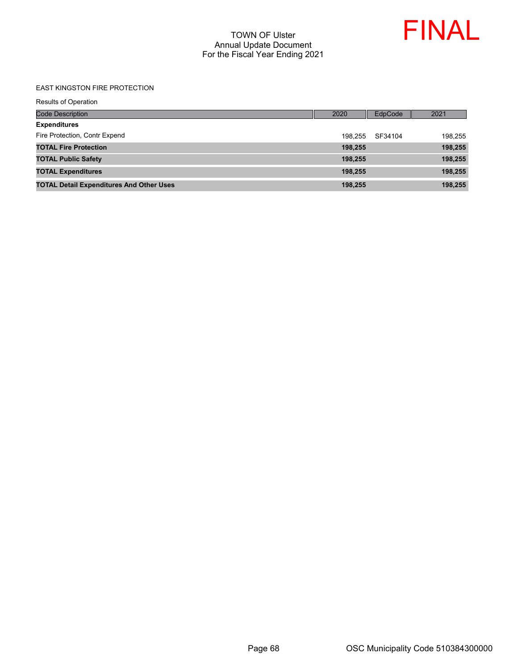

#### EAST KINGSTON FIRE PROTECTION

|  | <b>Results of Operation</b> |
|--|-----------------------------|
|  |                             |

| <b>Code Description</b>                         | 2020    | EdpCode | 2021    |
|-------------------------------------------------|---------|---------|---------|
| <b>Expenditures</b>                             |         |         |         |
| Fire Protection, Contr Expend                   | 198.255 | SF34104 | 198,255 |
| <b>TOTAL Fire Protection</b>                    | 198.255 |         | 198,255 |
| <b>TOTAL Public Safety</b>                      | 198.255 |         | 198,255 |
| <b>TOTAL Expenditures</b>                       | 198,255 |         | 198,255 |
| <b>TOTAL Detail Expenditures And Other Uses</b> | 198,255 |         | 198,255 |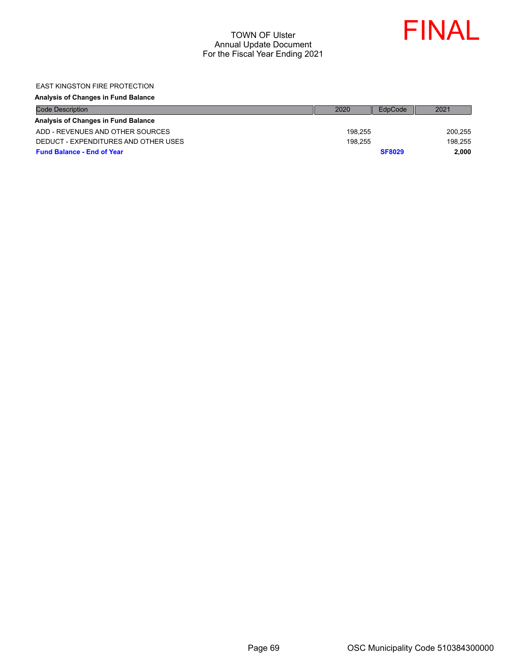

#### EAST KINGSTON FIRE PROTECTION

#### **Analysis of Changes in Fund Balance**

| <b>Code Description</b>              | 2020    | EdpCode       | 2021    |
|--------------------------------------|---------|---------------|---------|
| Analysis of Changes in Fund Balance  |         |               |         |
| ADD - REVENUES AND OTHER SOURCES     | 198.255 |               | 200,255 |
| DEDUCT - EXPENDITURES AND OTHER USES | 198.255 |               | 198.255 |
| <b>Fund Balance - End of Year</b>    |         | <b>SF8029</b> | 2.000   |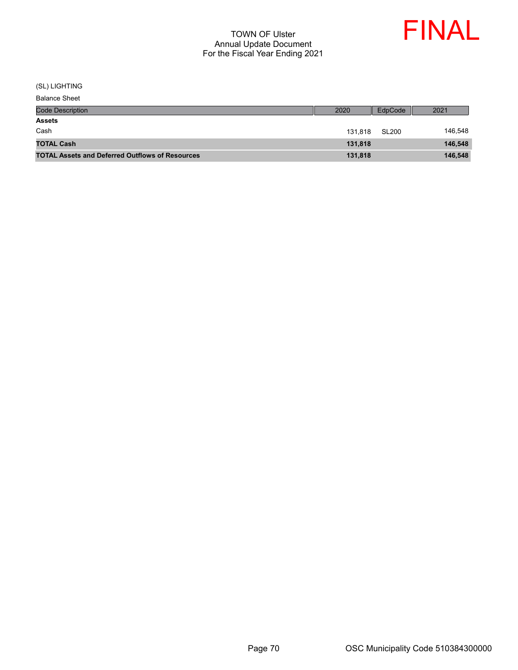

(SL) LIGHTING

| <b>Code Description</b>                                | 2020    | EdpCode | 2021    |
|--------------------------------------------------------|---------|---------|---------|
| <b>Assets</b>                                          |         |         |         |
| Cash                                                   | 131.818 | SL200   | 146,548 |
| <b>TOTAL Cash</b>                                      | 131.818 |         | 146,548 |
| <b>TOTAL Assets and Deferred Outflows of Resources</b> | 131,818 |         | 146,548 |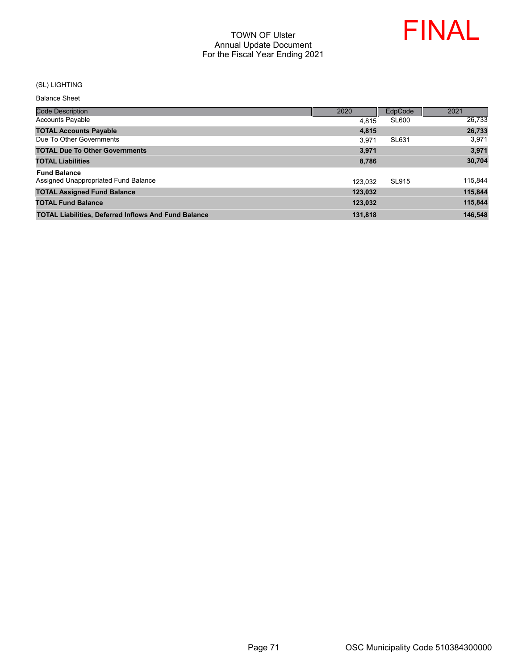

#### (SL) LIGHTING

Balance Sheet

| <b>Code Description</b>                                     | 2020    | EdpCode      | 2021    |
|-------------------------------------------------------------|---------|--------------|---------|
| <b>Accounts Payable</b>                                     | 4.815   | <b>SL600</b> | 26,733  |
| <b>TOTAL Accounts Payable</b>                               | 4,815   |              | 26,733  |
| Due To Other Governments                                    | 3.971   | SL631        | 3,971   |
| <b>TOTAL Due To Other Governments</b>                       | 3.971   |              | 3,971   |
| <b>TOTAL Liabilities</b>                                    | 8,786   |              | 30,704  |
| <b>Fund Balance</b>                                         |         |              |         |
| Assigned Unappropriated Fund Balance                        | 123.032 | SL915        | 115,844 |
| <b>TOTAL Assigned Fund Balance</b>                          | 123,032 |              | 115,844 |
| <b>TOTAL Fund Balance</b>                                   | 123,032 |              | 115,844 |
| <b>TOTAL Liabilities, Deferred Inflows And Fund Balance</b> | 131,818 |              | 146.548 |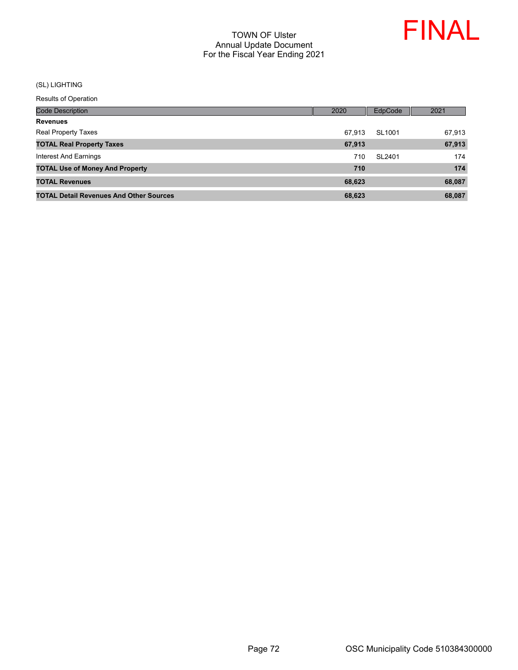

#### (SL) LIGHTING

| Code Description                               | 2020   | EdpCode | 2021   |
|------------------------------------------------|--------|---------|--------|
| <b>Revenues</b>                                |        |         |        |
| <b>Real Property Taxes</b>                     | 67.913 | SL1001  | 67,913 |
| <b>TOTAL Real Property Taxes</b>               | 67,913 |         | 67,913 |
| Interest And Earnings                          | 710    | SL2401  | 174    |
| <b>TOTAL Use of Money And Property</b>         | 710    |         | 174    |
| <b>TOTAL Revenues</b>                          | 68,623 |         | 68,087 |
| <b>TOTAL Detail Revenues And Other Sources</b> | 68.623 |         | 68.087 |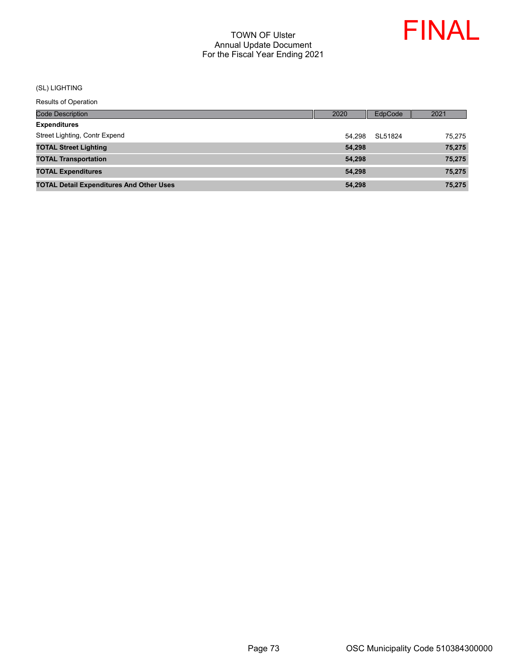

# (SL) LIGHTING

| Code Description                                | 2020   | EdpCode | 2021   |
|-------------------------------------------------|--------|---------|--------|
| <b>Expenditures</b>                             |        |         |        |
| Street Lighting, Contr Expend                   | 54.298 | SL51824 | 75.275 |
| <b>TOTAL Street Lighting</b>                    | 54,298 |         | 75,275 |
| <b>TOTAL Transportation</b>                     | 54,298 |         | 75,275 |
| <b>TOTAL Expenditures</b>                       | 54.298 |         | 75,275 |
| <b>TOTAL Detail Expenditures And Other Uses</b> | 54,298 |         | 75,275 |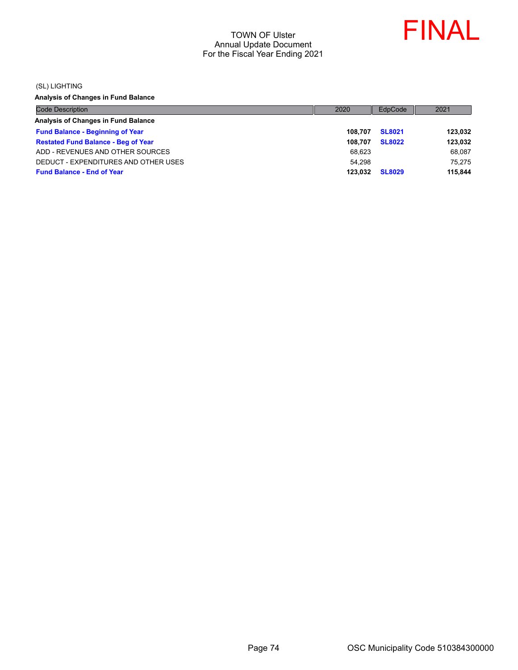

(SL) LIGHTING

**Analysis of Changes in Fund Balance**

| <b>Code Description</b>                    | 2020    | EdpCode       | 2021    |
|--------------------------------------------|---------|---------------|---------|
| Analysis of Changes in Fund Balance        |         |               |         |
| <b>Fund Balance - Beginning of Year</b>    | 108.707 | <b>SL8021</b> | 123.032 |
| <b>Restated Fund Balance - Beg of Year</b> | 108.707 | <b>SL8022</b> | 123,032 |
| ADD - REVENUES AND OTHER SOURCES           | 68,623  |               | 68.087  |
| DEDUCT - EXPENDITURES AND OTHER USES       | 54.298  |               | 75.275  |
| <b>Fund Balance - End of Year</b>          | 123.032 | <b>SL8029</b> | 115.844 |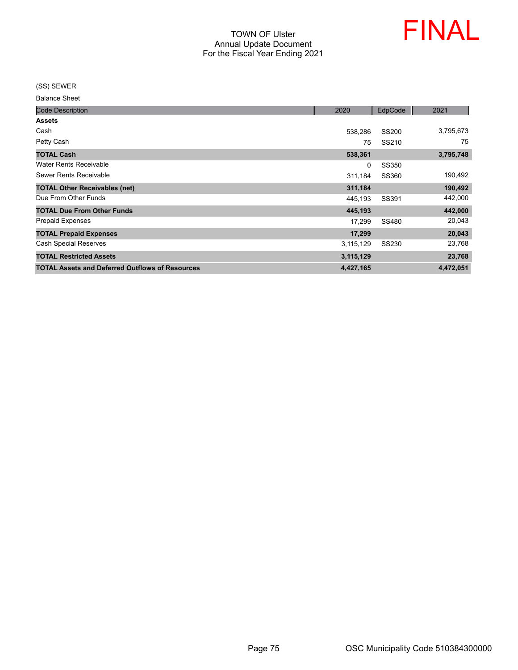

(SS) SEWER

Balance Sheet

| <b>Code Description</b>                                | 2020      | EdpCode      | 2021      |
|--------------------------------------------------------|-----------|--------------|-----------|
| <b>Assets</b>                                          |           |              |           |
| Cash                                                   | 538,286   | <b>SS200</b> | 3,795,673 |
| Petty Cash                                             | 75        | SS210        | 75        |
| <b>TOTAL Cash</b>                                      | 538,361   |              | 3,795,748 |
| <b>Water Rents Receivable</b>                          | 0         | <b>SS350</b> |           |
| Sewer Rents Receivable                                 | 311,184   | SS360        | 190,492   |
| <b>TOTAL Other Receivables (net)</b>                   | 311,184   |              | 190,492   |
| Due From Other Funds                                   | 445,193   | SS391        | 442,000   |
| <b>TOTAL Due From Other Funds</b>                      | 445,193   |              | 442,000   |
| <b>Prepaid Expenses</b>                                | 17,299    | SS480        | 20,043    |
| <b>TOTAL Prepaid Expenses</b>                          | 17,299    |              | 20,043    |
| <b>Cash Special Reserves</b>                           | 3,115,129 | SS230        | 23,768    |
| <b>TOTAL Restricted Assets</b>                         | 3,115,129 |              | 23,768    |
| <b>TOTAL Assets and Deferred Outflows of Resources</b> | 4,427,165 |              | 4,472,051 |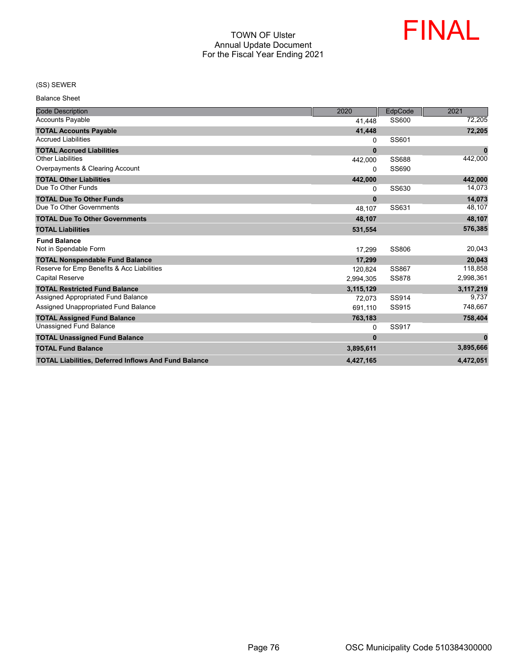

#### (SS) SEWER

Balance Sheet

| <b>Code Description</b>                                     | 2020      | EdpCode      | 2021      |
|-------------------------------------------------------------|-----------|--------------|-----------|
| <b>Accounts Payable</b>                                     | 41,448    | SS600        | 72,205    |
| <b>TOTAL Accounts Payable</b>                               | 41,448    |              | 72,205    |
| <b>Accrued Liabilities</b>                                  | 0         | SS601        |           |
| <b>TOTAL Accrued Liabilities</b>                            | $\bf{0}$  |              | $\bf{0}$  |
| <b>Other Liabilities</b>                                    | 442,000   | <b>SS688</b> | 442,000   |
| Overpayments & Clearing Account                             | $\Omega$  | SS690        |           |
| <b>TOTAL Other Liabilities</b>                              | 442,000   |              | 442,000   |
| Due To Other Funds                                          | 0         | SS630        | 14,073    |
| <b>TOTAL Due To Other Funds</b>                             | $\bf{0}$  |              | 14,073    |
| Due To Other Governments                                    | 48,107    | SS631        | 48,107    |
| <b>TOTAL Due To Other Governments</b>                       | 48.107    |              | 48,107    |
| <b>TOTAL Liabilities</b>                                    | 531,554   |              | 576,385   |
| <b>Fund Balance</b>                                         |           |              |           |
| Not in Spendable Form                                       | 17.299    | SS806        | 20,043    |
| <b>TOTAL Nonspendable Fund Balance</b>                      | 17,299    |              | 20,043    |
| Reserve for Emp Benefits & Acc Liabilities                  | 120,824   | SS867        | 118,858   |
| <b>Capital Reserve</b>                                      | 2,994,305 | <b>SS878</b> | 2,998,361 |
| <b>TOTAL Restricted Fund Balance</b>                        | 3,115,129 |              | 3,117,219 |
| Assigned Appropriated Fund Balance                          | 72.073    | SS914        | 9,737     |
| Assigned Unappropriated Fund Balance                        | 691,110   | SS915        | 748,667   |
| <b>TOTAL Assigned Fund Balance</b>                          | 763,183   |              | 758,404   |
| <b>Unassigned Fund Balance</b>                              | 0         | SS917        |           |
| <b>TOTAL Unassigned Fund Balance</b>                        | $\bf{0}$  |              | $\bf{0}$  |
| <b>TOTAL Fund Balance</b>                                   | 3,895,611 |              | 3,895,666 |
| <b>TOTAL Liabilities, Deferred Inflows And Fund Balance</b> | 4,427,165 |              | 4,472,051 |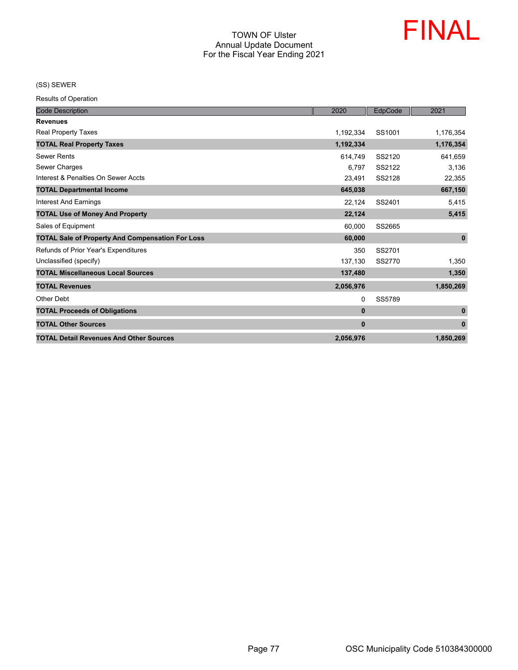

(SS) SEWER

| <b>Code Description</b>                                 | 2020         | EdpCode | 2021         |
|---------------------------------------------------------|--------------|---------|--------------|
| <b>Revenues</b>                                         |              |         |              |
| Real Property Taxes                                     | 1,192,334    | SS1001  | 1,176,354    |
| <b>TOTAL Real Property Taxes</b>                        | 1,192,334    |         | 1,176,354    |
| <b>Sewer Rents</b>                                      | 614,749      | SS2120  | 641,659      |
| Sewer Charges                                           | 6.797        | SS2122  | 3,136        |
| Interest & Penalties On Sewer Accts                     | 23,491       | SS2128  | 22,355       |
| <b>TOTAL Departmental Income</b>                        | 645,038      |         | 667,150      |
| <b>Interest And Earnings</b>                            | 22,124       | SS2401  | 5,415        |
| <b>TOTAL Use of Money And Property</b>                  | 22,124       |         | 5,415        |
| Sales of Equipment                                      | 60,000       | SS2665  |              |
| <b>TOTAL Sale of Property And Compensation For Loss</b> | 60,000       |         | $\mathbf{0}$ |
| Refunds of Prior Year's Expenditures                    | 350          | SS2701  |              |
| Unclassified (specify)                                  | 137,130      | SS2770  | 1,350        |
| <b>TOTAL Miscellaneous Local Sources</b>                | 137,480      |         | 1,350        |
| <b>TOTAL Revenues</b>                                   | 2,056,976    |         | 1,850,269    |
| Other Debt                                              | 0            | SS5789  |              |
| <b>TOTAL Proceeds of Obligations</b>                    | $\mathbf{0}$ |         | $\mathbf{0}$ |
| <b>TOTAL Other Sources</b>                              | $\mathbf{0}$ |         | $\mathbf{0}$ |
| <b>TOTAL Detail Revenues And Other Sources</b>          | 2,056,976    |         | 1,850,269    |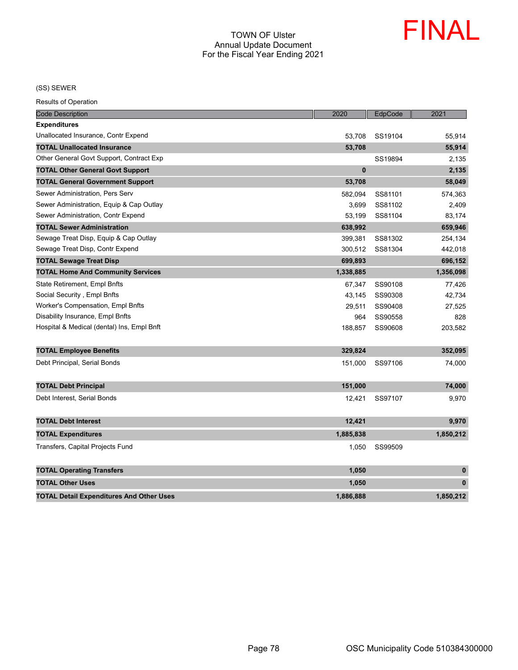

(SS) SEWER

| <b>Code Description</b>                         | 2020      | EdpCode | 2021         |
|-------------------------------------------------|-----------|---------|--------------|
| <b>Expenditures</b>                             |           |         |              |
| Unallocated Insurance, Contr Expend             | 53,708    | SS19104 | 55,914       |
| <b>TOTAL Unallocated Insurance</b>              | 53,708    |         | 55,914       |
| Other General Govt Support, Contract Exp        |           | SS19894 | 2,135        |
| <b>TOTAL Other General Govt Support</b>         | $\bf{0}$  |         | 2,135        |
| <b>TOTAL General Government Support</b>         | 53,708    |         | 58,049       |
| Sewer Administration, Pers Serv                 | 582,094   | SS81101 | 574,363      |
| Sewer Administration, Equip & Cap Outlay        | 3,699     | SS81102 | 2,409        |
| Sewer Administration, Contr Expend              | 53,199    | SS81104 | 83,174       |
| <b>TOTAL Sewer Administration</b>               | 638,992   |         | 659,946      |
| Sewage Treat Disp, Equip & Cap Outlay           | 399,381   | SS81302 | 254,134      |
| Sewage Treat Disp, Contr Expend                 | 300,512   | SS81304 | 442,018      |
| <b>TOTAL Sewage Treat Disp</b>                  | 699,893   |         | 696,152      |
| <b>TOTAL Home And Community Services</b>        | 1,338,885 |         | 1,356,098    |
| State Retirement, Empl Bnfts                    | 67,347    | SS90108 | 77,426       |
| Social Security, Empl Bnfts                     | 43,145    | SS90308 | 42,734       |
| Worker's Compensation, Empl Bnfts               | 29,511    | SS90408 | 27,525       |
| Disability Insurance, Empl Bnfts                | 964       | SS90558 | 828          |
| Hospital & Medical (dental) Ins, Empl Bnft      | 188,857   | SS90608 | 203,582      |
| <b>TOTAL Employee Benefits</b>                  | 329,824   |         | 352,095      |
| Debt Principal, Serial Bonds                    | 151,000   | SS97106 | 74,000       |
| <b>TOTAL Debt Principal</b>                     | 151,000   |         | 74,000       |
| Debt Interest, Serial Bonds                     | 12,421    | SS97107 | 9,970        |
| <b>TOTAL Debt Interest</b>                      | 12,421    |         | 9,970        |
| <b>TOTAL Expenditures</b>                       | 1,885,838 |         | 1,850,212    |
| Transfers, Capital Projects Fund                | 1,050     | SS99509 |              |
| <b>TOTAL Operating Transfers</b>                | 1,050     |         | $\bf{0}$     |
| <b>TOTAL Other Uses</b>                         | 1,050     |         | $\mathbf{0}$ |
| <b>TOTAL Detail Expenditures And Other Uses</b> | 1.886.888 |         | 1.850.212    |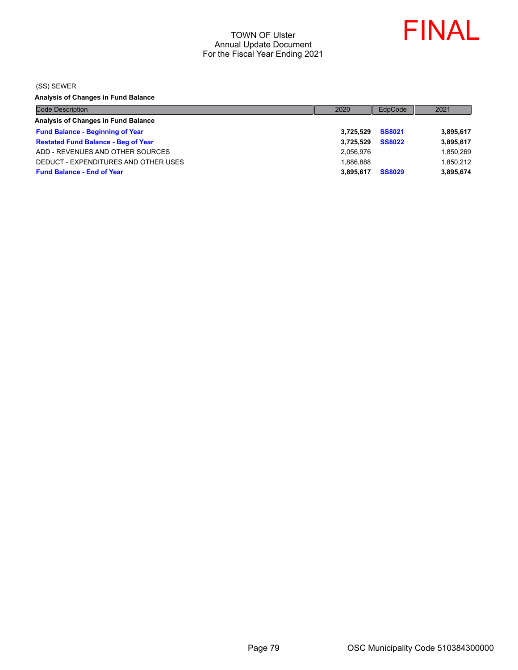

(SS) SEWER

**Analysis of Changes in Fund Balance**

| <b>Code Description</b>                    | 2020      | EdpCode       | 2021      |
|--------------------------------------------|-----------|---------------|-----------|
| Analysis of Changes in Fund Balance        |           |               |           |
| <b>Fund Balance - Beginning of Year</b>    | 3.725.529 | <b>SS8021</b> | 3,895,617 |
| <b>Restated Fund Balance - Beg of Year</b> | 3.725.529 | <b>SS8022</b> | 3,895,617 |
| ADD - REVENUES AND OTHER SOURCES           | 2.056.976 |               | 1,850,269 |
| DEDUCT - EXPENDITURES AND OTHER USES       | 1.886.888 |               | 1,850,212 |
| <b>Fund Balance - End of Year</b>          | 3.895.617 | <b>SS8029</b> | 3,895,674 |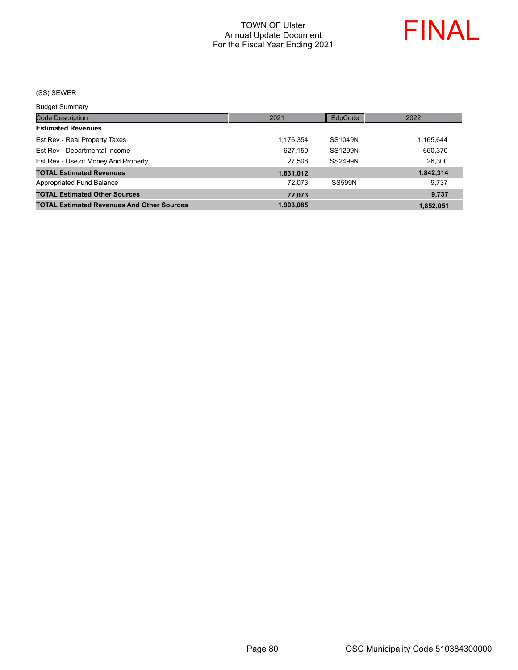

#### (SS) SEWER

Budget Summary

| <b>Code Description</b>                           | 2021      | EdpCode        | 2022      |
|---------------------------------------------------|-----------|----------------|-----------|
| <b>Estimated Revenues</b>                         |           |                |           |
| Est Rev - Real Property Taxes                     | 1,176,354 | SS1049N        | 1,165,644 |
| Est Rev - Departmental Income                     | 627.150   | <b>SS1299N</b> | 650,370   |
| Est Rev - Use of Money And Property               | 27.508    | <b>SS2499N</b> | 26,300    |
| <b>TOTAL Estimated Revenues</b>                   | 1,831,012 |                | 1,842,314 |
| Appropriated Fund Balance                         | 72.073    | <b>SS599N</b>  | 9.737     |
| <b>TOTAL Estimated Other Sources</b>              | 72.073    |                | 9,737     |
| <b>TOTAL Estimated Revenues And Other Sources</b> | 1,903,085 |                | 1,852,051 |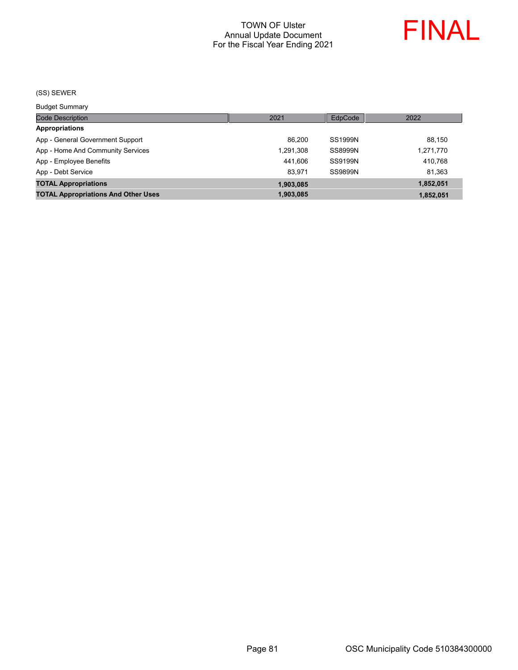

#### (SS) SEWER

Budget Summary

| ___________                                |           |                |           |
|--------------------------------------------|-----------|----------------|-----------|
| <b>Code Description</b>                    | 2021      | EdpCode        | 2022      |
| <b>Appropriations</b>                      |           |                |           |
| App - General Government Support           | 86.200    | SS1999N        | 88.150    |
| App - Home And Community Services          | 1,291,308 | <b>SS8999N</b> | 1,271,770 |
| App - Employee Benefits                    | 441.606   | SS9199N        | 410.768   |
| App - Debt Service                         | 83.971    | <b>SS9899N</b> | 81,363    |
| <b>TOTAL Appropriations</b>                | 1,903,085 |                | 1,852,051 |
| <b>TOTAL Appropriations And Other Uses</b> | 1,903,085 |                | 1,852,051 |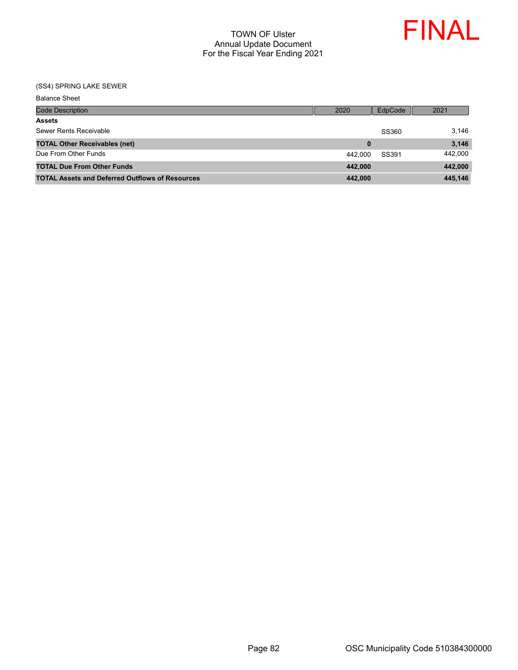

| <b>Balance Sheet</b>                                   |          |         |         |
|--------------------------------------------------------|----------|---------|---------|
| <b>Code Description</b>                                | 2020     | EdpCode | 2021    |
| <b>Assets</b>                                          |          |         |         |
| Sewer Rents Receivable                                 |          | SS360   | 3,146   |
| <b>TOTAL Other Receivables (net)</b>                   | $\bf{0}$ |         | 3,146   |
| Due From Other Funds                                   | 442.000  | SS391   | 442,000 |
| <b>TOTAL Due From Other Funds</b>                      | 442,000  |         | 442,000 |
| <b>TOTAL Assets and Deferred Outflows of Resources</b> | 442,000  |         | 445,146 |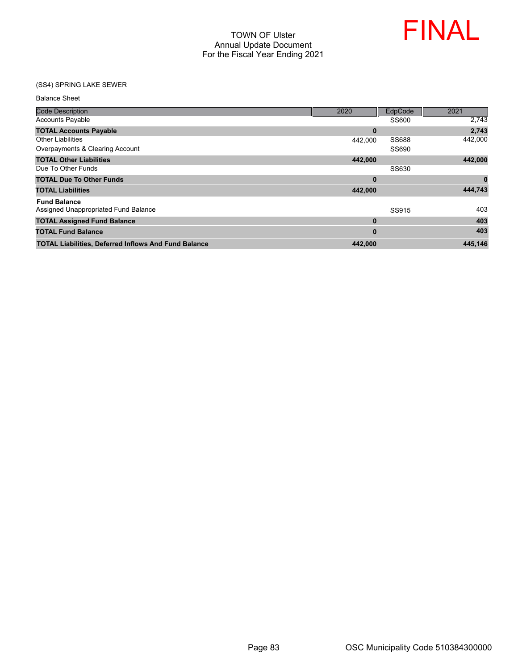

| <b>Balance Sheet</b>                                        |              |              |          |
|-------------------------------------------------------------|--------------|--------------|----------|
| <b>Code Description</b>                                     | 2020         | EdpCode      | 2021     |
| <b>Accounts Payable</b>                                     |              | SS600        | 2,743    |
| <b>TOTAL Accounts Payable</b>                               | $\bf{0}$     |              | 2,743    |
| <b>Other Liabilities</b>                                    | 442,000      | <b>SS688</b> | 442,000  |
| Overpayments & Clearing Account                             |              | SS690        |          |
| <b>TOTAL Other Liabilities</b>                              | 442,000      |              | 442,000  |
| Due To Other Funds                                          |              | SS630        |          |
| <b>TOTAL Due To Other Funds</b>                             | 0            |              | $\bf{0}$ |
| <b>TOTAL Liabilities</b>                                    | 442,000      |              | 444,743  |
| <b>Fund Balance</b><br>Assigned Unappropriated Fund Balance |              | SS915        | 403      |
| <b>TOTAL Assigned Fund Balance</b>                          | $\mathbf{0}$ |              | 403      |
|                                                             |              |              |          |
| <b>TOTAL Fund Balance</b>                                   | 0            |              | 403      |
| <b>TOTAL Liabilities, Deferred Inflows And Fund Balance</b> | 442.000      |              | 445,146  |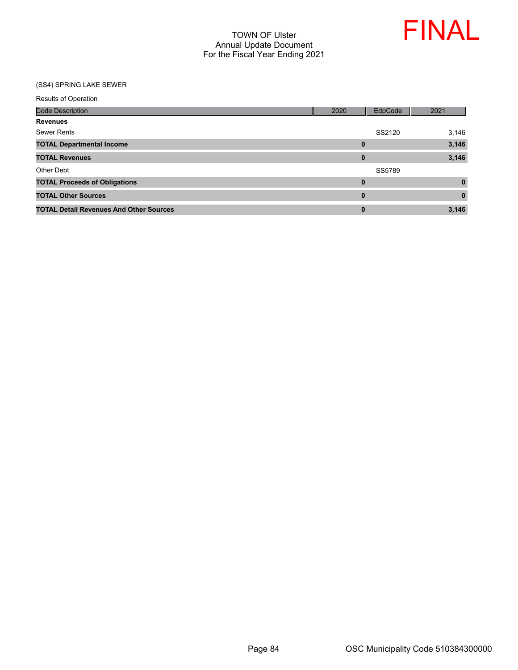

| <b>Results of Operation</b>                    |      |          |          |
|------------------------------------------------|------|----------|----------|
| <b>Code Description</b>                        | 2020 | EdpCode  | 2021     |
| <b>Revenues</b>                                |      |          |          |
| <b>Sewer Rents</b>                             |      | SS2120   | 3,146    |
| <b>TOTAL Departmental Income</b>               |      | $\bf{0}$ | 3,146    |
| <b>TOTAL Revenues</b>                          |      | $\bf{0}$ | 3,146    |
| Other Debt                                     |      | SS5789   |          |
| <b>TOTAL Proceeds of Obligations</b>           |      | $\bf{0}$ | $\bf{0}$ |
| <b>TOTAL Other Sources</b>                     |      | $\bf{0}$ | $\bf{0}$ |
| <b>TOTAL Detail Revenues And Other Sources</b> |      | $\bf{0}$ | 3,146    |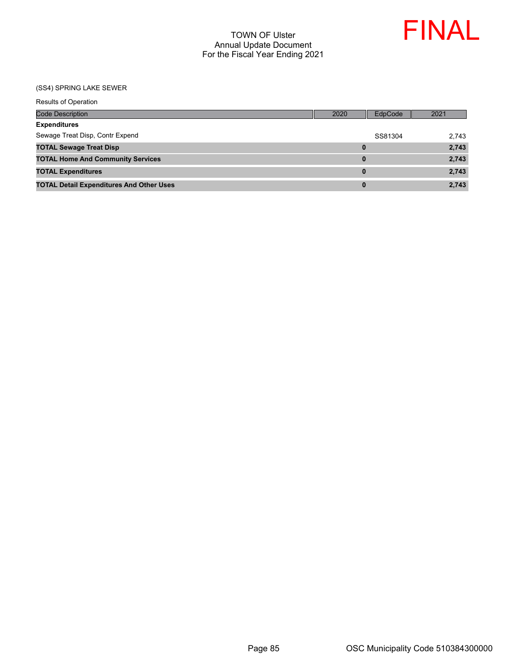

| <b>Results of Operation</b>                     |          |         |       |
|-------------------------------------------------|----------|---------|-------|
| <b>Code Description</b>                         | 2020     | EdpCode | 2021  |
| <b>Expenditures</b>                             |          |         |       |
| Sewage Treat Disp, Contr Expend                 |          | SS81304 | 2,743 |
| <b>TOTAL Sewage Treat Disp</b>                  | 0        |         | 2,743 |
| <b>TOTAL Home And Community Services</b>        | 0        |         | 2,743 |
| <b>TOTAL Expenditures</b>                       | $\bf{0}$ |         | 2,743 |
| <b>TOTAL Detail Expenditures And Other Uses</b> | 0        |         | 2,743 |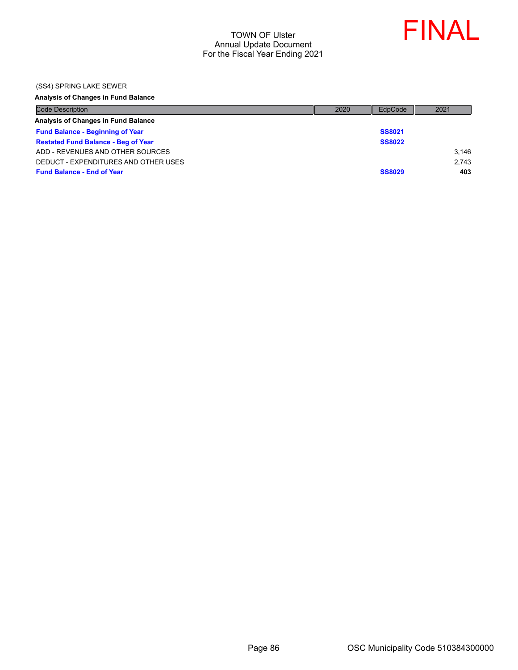

(SS4) SPRING LAKE SEWER

## **Analysis of Changes in Fund Balance**

| <b>Code Description</b>                    | 2020 | EdpCode       | 2021  |
|--------------------------------------------|------|---------------|-------|
| Analysis of Changes in Fund Balance        |      |               |       |
| <b>Fund Balance - Beginning of Year</b>    |      | <b>SS8021</b> |       |
| <b>Restated Fund Balance - Beg of Year</b> |      | <b>SS8022</b> |       |
| ADD - REVENUES AND OTHER SOURCES           |      |               | 3.146 |
| DEDUCT - EXPENDITURES AND OTHER USES       |      |               | 2.743 |
| <b>Fund Balance - End of Year</b>          |      | <b>SS8029</b> | 403   |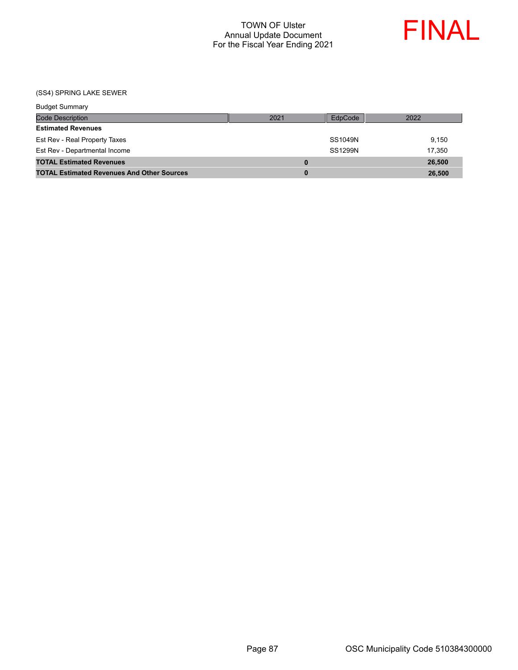

| <b>Budget Summary</b>                             |      |                |        |
|---------------------------------------------------|------|----------------|--------|
| <b>Code Description</b>                           | 2021 | EdpCode        | 2022   |
| <b>Estimated Revenues</b>                         |      |                |        |
| Est Rev - Real Property Taxes                     |      | SS1049N        | 9.150  |
| Est Rev - Departmental Income                     |      | <b>SS1299N</b> | 17.350 |
| <b>TOTAL Estimated Revenues</b>                   | 0    |                | 26,500 |
| <b>TOTAL Estimated Revenues And Other Sources</b> | 0    |                | 26,500 |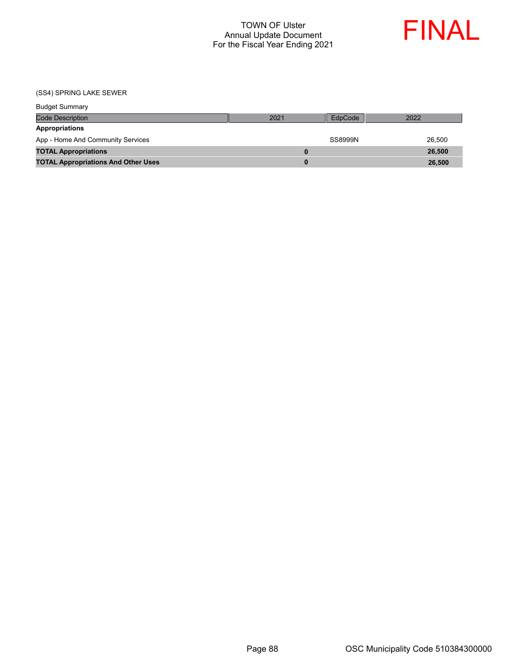

| <b>Budget Summary</b>                      |      |         |        |
|--------------------------------------------|------|---------|--------|
| <b>Code Description</b>                    | 2021 | EdpCode | 2022   |
| Appropriations                             |      |         |        |
| App - Home And Community Services          |      | SS8999N | 26.500 |
| <b>TOTAL Appropriations</b>                |      |         | 26,500 |
| <b>TOTAL Appropriations And Other Uses</b> |      |         | 26,500 |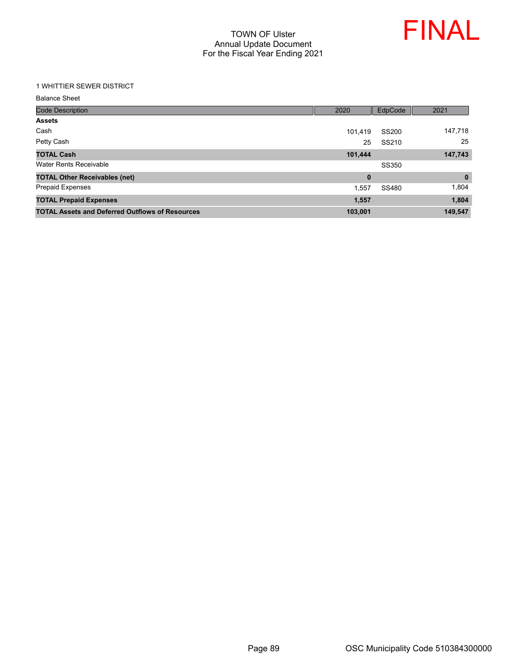

## 1 WHITTIER SEWER DISTRICT

| <b>Balance Sheet</b> |  |
|----------------------|--|
|----------------------|--|

| <b>Code Description</b>                                | 2020     | EdpCode      | 2021         |
|--------------------------------------------------------|----------|--------------|--------------|
| <b>Assets</b>                                          |          |              |              |
| Cash                                                   | 101,419  | <b>SS200</b> | 147,718      |
| Petty Cash                                             | 25       | SS210        | 25           |
| <b>TOTAL Cash</b>                                      | 101,444  |              | 147,743      |
| Water Rents Receivable                                 |          | SS350        |              |
| <b>TOTAL Other Receivables (net)</b>                   | $\bf{0}$ |              | $\mathbf{0}$ |
| <b>Prepaid Expenses</b>                                | 1,557    | SS480        | 1,804        |
| <b>TOTAL Prepaid Expenses</b>                          | 1,557    |              | 1,804        |
| <b>TOTAL Assets and Deferred Outflows of Resources</b> | 103,001  |              | 149,547      |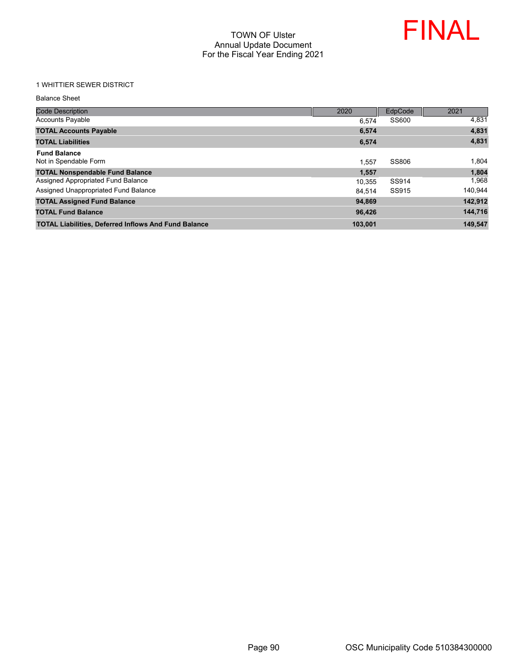

### 1 WHITTIER SEWER DISTRICT

| <b>Balance Sheet</b> |  |
|----------------------|--|
|                      |  |

| <b>Code Description</b>                                     | 2020    | EdpCode | 2021    |
|-------------------------------------------------------------|---------|---------|---------|
| <b>Accounts Payable</b>                                     | 6.574   | SS600   | 4,831   |
| <b>TOTAL Accounts Payable</b>                               | 6.574   |         | 4,831   |
| <b>TOTAL Liabilities</b>                                    | 6,574   |         | 4,831   |
| <b>Fund Balance</b><br>Not in Spendable Form                | 1.557   | SS806   | 1,804   |
| <b>TOTAL Nonspendable Fund Balance</b>                      | 1,557   |         | 1,804   |
| Assigned Appropriated Fund Balance                          | 10.355  | SS914   | 1,968   |
| Assigned Unappropriated Fund Balance                        | 84.514  | SS915   | 140,944 |
| <b>TOTAL Assigned Fund Balance</b>                          | 94.869  |         | 142,912 |
| <b>TOTAL Fund Balance</b>                                   | 96,426  |         | 144,716 |
| <b>TOTAL Liabilities, Deferred Inflows And Fund Balance</b> | 103,001 |         | 149,547 |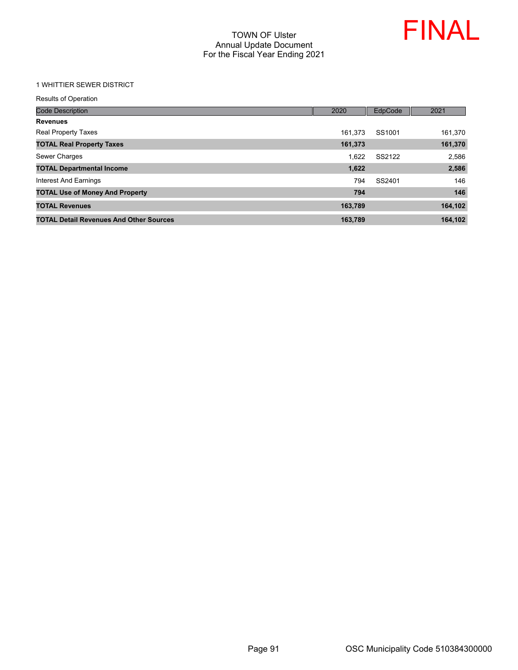

#### 1 WHITTIER SEWER DISTRICT

| <b>Code Description</b>                        | 2020    | EdpCode | 2021    |
|------------------------------------------------|---------|---------|---------|
| <b>Revenues</b>                                |         |         |         |
| Real Property Taxes                            | 161,373 | SS1001  | 161,370 |
| <b>TOTAL Real Property Taxes</b>               | 161,373 |         | 161,370 |
| Sewer Charges                                  | 1.622   | SS2122  | 2,586   |
| <b>TOTAL Departmental Income</b>               | 1,622   |         | 2,586   |
| Interest And Earnings                          | 794     | SS2401  | 146     |
| <b>TOTAL Use of Money And Property</b>         | 794     |         | 146     |
| <b>TOTAL Revenues</b>                          | 163,789 |         | 164,102 |
| <b>TOTAL Detail Revenues And Other Sources</b> | 163.789 |         | 164,102 |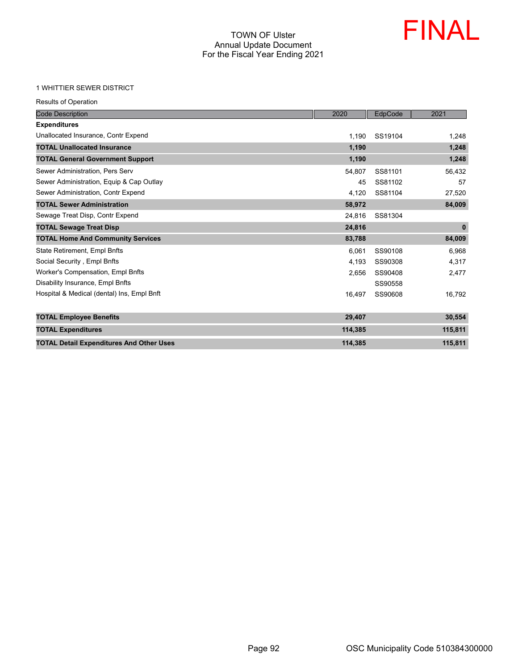

#### 1 WHITTIER SEWER DISTRICT

| <b>Code Description</b>                         | 2020    | EdpCode | 2021         |
|-------------------------------------------------|---------|---------|--------------|
| <b>Expenditures</b>                             |         |         |              |
| Unallocated Insurance, Contr Expend             | 1,190   | SS19104 | 1,248        |
| <b>TOTAL Unallocated Insurance</b>              | 1,190   |         | 1,248        |
| <b>TOTAL General Government Support</b>         | 1,190   |         | 1,248        |
| Sewer Administration, Pers Serv                 | 54,807  | SS81101 | 56,432       |
| Sewer Administration, Equip & Cap Outlay        | 45      | SS81102 | 57           |
| Sewer Administration, Contr Expend              | 4,120   | SS81104 | 27,520       |
| <b>TOTAL Sewer Administration</b>               | 58,972  |         | 84,009       |
| Sewage Treat Disp, Contr Expend                 | 24.816  | SS81304 |              |
| <b>TOTAL Sewage Treat Disp</b>                  | 24,816  |         | $\mathbf{0}$ |
| <b>TOTAL Home And Community Services</b>        | 83,788  |         | 84,009       |
| State Retirement, Empl Bnfts                    | 6,061   | SS90108 | 6,968        |
| Social Security, Empl Bnfts                     | 4.193   | SS90308 | 4,317        |
| Worker's Compensation, Empl Bnfts               | 2.656   | SS90408 | 2,477        |
| Disability Insurance, Empl Bnfts                |         | SS90558 |              |
| Hospital & Medical (dental) Ins, Empl Bnft      | 16,497  | SS90608 | 16,792       |
| <b>TOTAL Employee Benefits</b>                  | 29,407  |         | 30,554       |
| <b>TOTAL Expenditures</b>                       | 114,385 |         | 115,811      |
| <b>TOTAL Detail Expenditures And Other Uses</b> | 114,385 |         | 115,811      |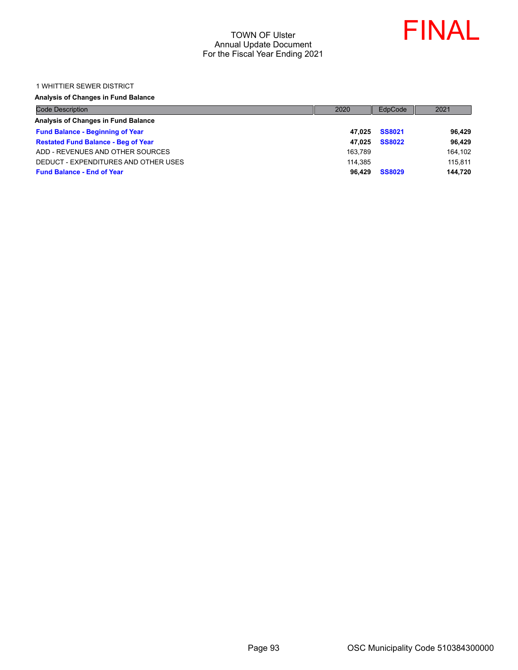

#### 1 WHITTIER SEWER DISTRICT

## **Analysis of Changes in Fund Balance**

| <b>Code Description</b>                    | 2020    | EdpCode       | 2021    |
|--------------------------------------------|---------|---------------|---------|
| Analysis of Changes in Fund Balance        |         |               |         |
| <b>Fund Balance - Beginning of Year</b>    | 47.025  | <b>SS8021</b> | 96,429  |
| <b>Restated Fund Balance - Beg of Year</b> | 47.025  | <b>SS8022</b> | 96,429  |
| ADD - REVENUES AND OTHER SOURCES           | 163.789 |               | 164,102 |
| DEDUCT - EXPENDITURES AND OTHER USES       | 114.385 |               | 115.811 |
| <b>Fund Balance - End of Year</b>          | 96.429  | <b>SS8029</b> | 144,720 |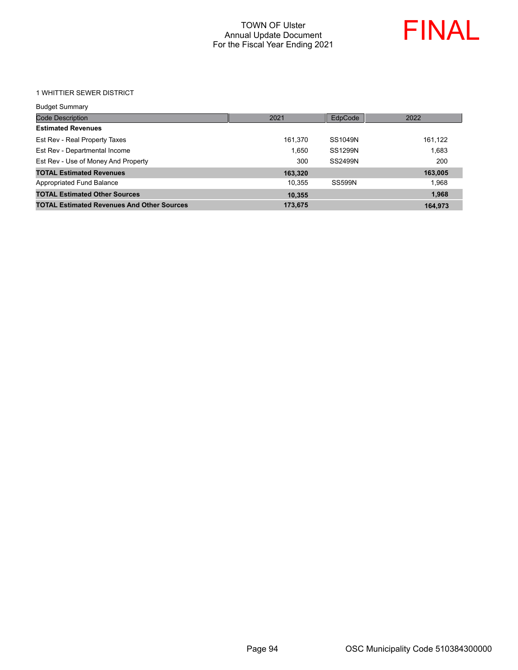

1 WHITTIER SEWER DISTRICT

| <b>Budget Summary</b>                             |         |                |         |
|---------------------------------------------------|---------|----------------|---------|
| Code Description                                  | 2021    | EdpCode        | 2022    |
| <b>Estimated Revenues</b>                         |         |                |         |
| Est Rev - Real Property Taxes                     | 161,370 | SS1049N        | 161,122 |
| Est Rev - Departmental Income                     | 1.650   | <b>SS1299N</b> | 1.683   |
| Est Rev - Use of Money And Property               | 300     | SS2499N        | 200     |
| <b>TOTAL Estimated Revenues</b>                   | 163,320 |                | 163,005 |
| Appropriated Fund Balance                         | 10,355  | <b>SS599N</b>  | 1.968   |
| <b>TOTAL Estimated Other Sources</b>              | 10,355  |                | 1,968   |
| <b>TOTAL Estimated Revenues And Other Sources</b> | 173,675 |                | 164,973 |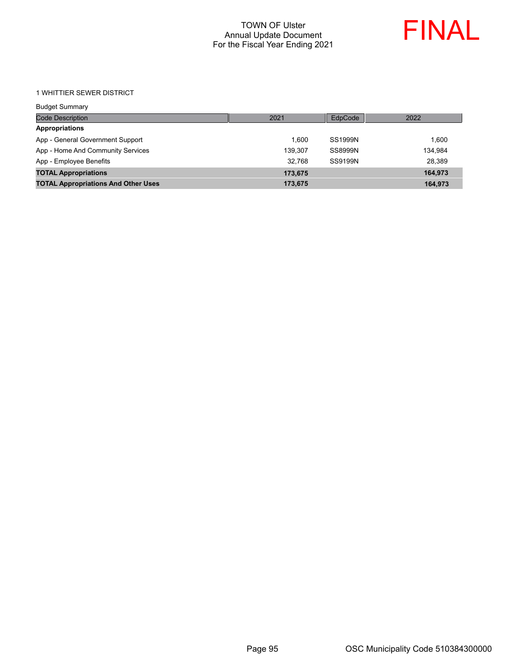

1 WHITTIER SEWER DISTRICT

| <b>Budget Summary</b>                      |         |                |         |
|--------------------------------------------|---------|----------------|---------|
| Code Description                           | 2021    | EdpCode        | 2022    |
| <b>Appropriations</b>                      |         |                |         |
| App - General Government Support           | 1.600   | <b>SS1999N</b> | 1.600   |
| App - Home And Community Services          | 139.307 | SS8999N        | 134,984 |
| App - Employee Benefits                    | 32.768  | SS9199N        | 28.389  |
| <b>TOTAL Appropriations</b>                | 173,675 |                | 164,973 |
| <b>TOTAL Appropriations And Other Uses</b> | 173,675 |                | 164,973 |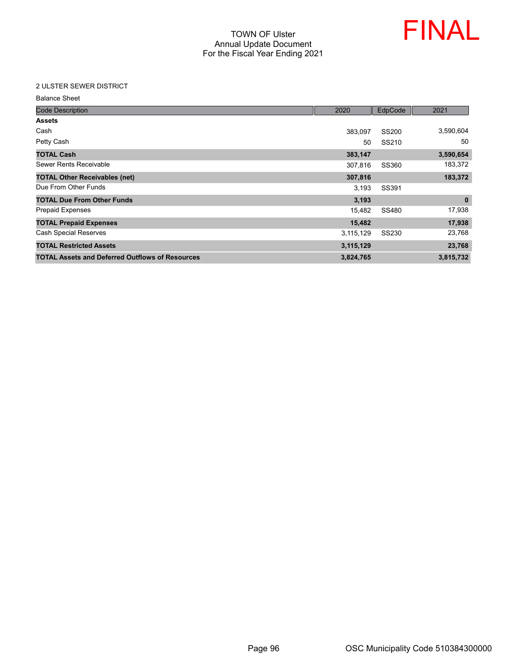

## 2 ULSTER SEWER DISTRICT

| <b>Balance Sheet</b> |  |
|----------------------|--|
|----------------------|--|

| <b>Code Description</b>                                | 2020      | EdpCode      | 2021      |
|--------------------------------------------------------|-----------|--------------|-----------|
| <b>Assets</b>                                          |           |              |           |
| Cash                                                   | 383,097   | SS200        | 3,590,604 |
| Petty Cash                                             | 50        | SS210        | 50        |
| <b>TOTAL Cash</b>                                      | 383,147   |              | 3,590,654 |
| Sewer Rents Receivable                                 | 307,816   | SS360        | 183,372   |
| <b>TOTAL Other Receivables (net)</b>                   | 307,816   |              | 183,372   |
| Due From Other Funds                                   | 3,193     | SS391        |           |
| <b>TOTAL Due From Other Funds</b>                      | 3,193     |              | $\bf{0}$  |
| Prepaid Expenses                                       | 15,482    | SS480        | 17,938    |
| <b>TOTAL Prepaid Expenses</b>                          | 15,482    |              | 17,938    |
| <b>Cash Special Reserves</b>                           | 3,115,129 | <b>SS230</b> | 23,768    |
| <b>TOTAL Restricted Assets</b>                         | 3,115,129 |              | 23,768    |
| <b>TOTAL Assets and Deferred Outflows of Resources</b> | 3,824,765 |              | 3,815,732 |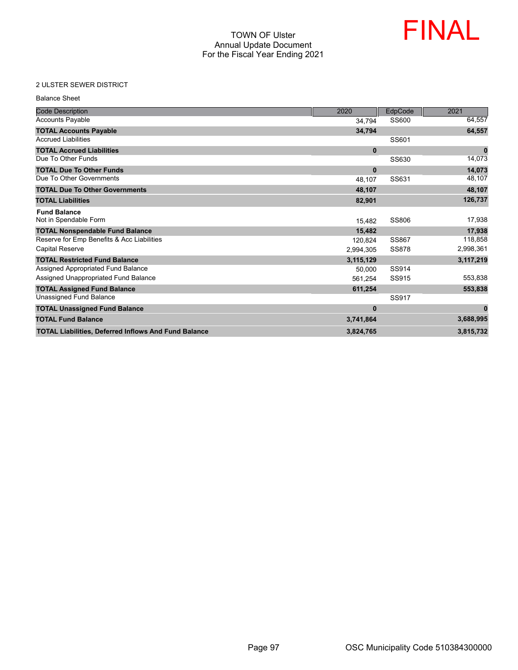

## 2 ULSTER SEWER DISTRICT

| <b>Balance Sheet</b>                                        |              |              |           |
|-------------------------------------------------------------|--------------|--------------|-----------|
| <b>Code Description</b>                                     | 2020         | EdpCode      | 2021      |
| <b>Accounts Payable</b>                                     | 34,794       | SS600        | 64,557    |
| <b>TOTAL Accounts Payable</b>                               | 34,794       |              | 64,557    |
| <b>Accrued Liabilities</b>                                  |              | SS601        |           |
| <b>TOTAL Accrued Liabilities</b>                            | $\mathbf{0}$ |              | $\bf{0}$  |
| Due To Other Funds                                          |              | SS630        | 14,073    |
| <b>TOTAL Due To Other Funds</b>                             | $\mathbf{0}$ |              | 14,073    |
| Due To Other Governments                                    | 48,107       | SS631        | 48,107    |
| <b>TOTAL Due To Other Governments</b>                       | 48,107       |              | 48,107    |
| <b>TOTAL Liabilities</b>                                    | 82,901       |              | 126.737   |
| <b>Fund Balance</b>                                         |              |              |           |
| Not in Spendable Form                                       | 15,482       | SS806        | 17,938    |
| <b>TOTAL Nonspendable Fund Balance</b>                      | 15.482       |              | 17,938    |
| Reserve for Emp Benefits & Acc Liabilities                  | 120.824      | <b>SS867</b> | 118,858   |
| <b>Capital Reserve</b>                                      | 2,994,305    | <b>SS878</b> | 2,998,361 |
| <b>TOTAL Restricted Fund Balance</b>                        | 3,115,129    |              | 3,117,219 |
| Assigned Appropriated Fund Balance                          | 50.000       | SS914        |           |
| Assigned Unappropriated Fund Balance                        | 561,254      | SS915        | 553,838   |
| <b>TOTAL Assigned Fund Balance</b>                          | 611,254      |              | 553,838   |
| Unassigned Fund Balance                                     |              | SS917        |           |
| <b>TOTAL Unassigned Fund Balance</b>                        | $\bf{0}$     |              | $\bf{0}$  |
| <b>TOTAL Fund Balance</b>                                   | 3,741,864    |              | 3,688,995 |
| <b>TOTAL Liabilities, Deferred Inflows And Fund Balance</b> | 3,824,765    |              | 3,815,732 |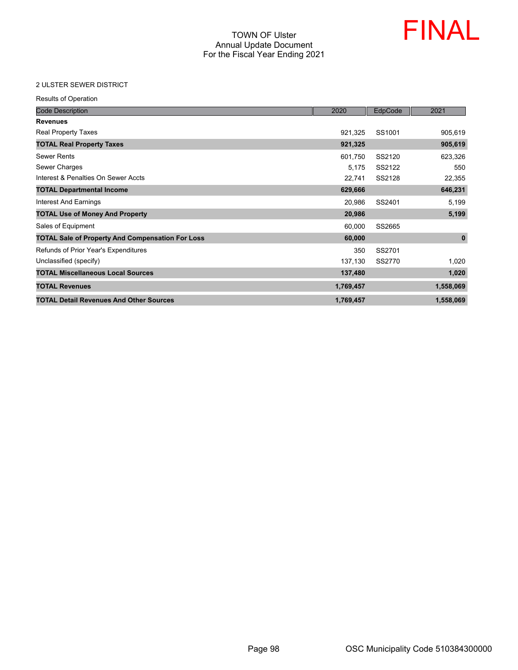

## 2 ULSTER SEWER DISTRICT

| <b>Code Description</b>                                 | 2020      | EdpCode | 2021         |
|---------------------------------------------------------|-----------|---------|--------------|
| <b>Revenues</b>                                         |           |         |              |
| Real Property Taxes                                     | 921,325   | SS1001  | 905,619      |
| <b>TOTAL Real Property Taxes</b>                        | 921,325   |         | 905,619      |
| <b>Sewer Rents</b>                                      | 601,750   | SS2120  | 623,326      |
| Sewer Charges                                           | 5,175     | SS2122  | 550          |
| Interest & Penalties On Sewer Accts                     | 22,741    | SS2128  | 22,355       |
| <b>TOTAL Departmental Income</b>                        | 629,666   |         | 646,231      |
| Interest And Earnings                                   | 20,986    | SS2401  | 5,199        |
| <b>TOTAL Use of Money And Property</b>                  | 20,986    |         | 5,199        |
| Sales of Equipment                                      | 60,000    | SS2665  |              |
| <b>TOTAL Sale of Property And Compensation For Loss</b> | 60,000    |         | $\mathbf{0}$ |
| Refunds of Prior Year's Expenditures                    | 350       | SS2701  |              |
| Unclassified (specify)                                  | 137,130   | SS2770  | 1,020        |
| <b>TOTAL Miscellaneous Local Sources</b>                | 137,480   |         | 1,020        |
| <b>TOTAL Revenues</b>                                   | 1,769,457 |         | 1,558,069    |
| <b>TOTAL Detail Revenues And Other Sources</b>          | 1,769,457 |         | 1,558,069    |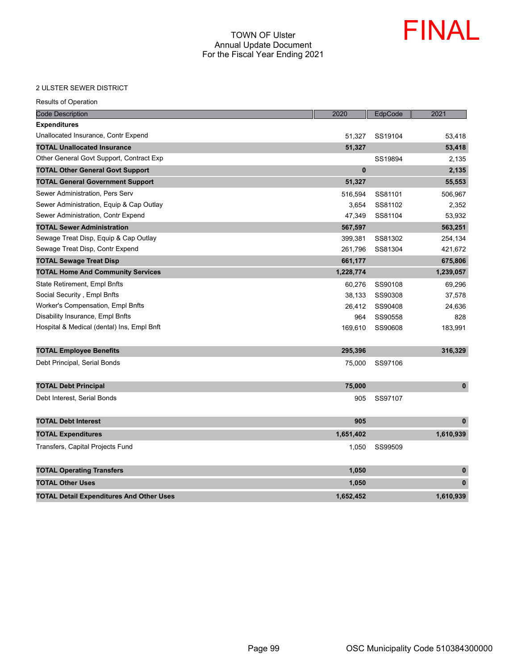

#### 2 ULSTER SEWER DISTRICT

| <b>Results of Operation</b>                     |              |         |              |
|-------------------------------------------------|--------------|---------|--------------|
| <b>Code Description</b>                         | 2020         | EdpCode | 2021         |
| <b>Expenditures</b>                             |              |         |              |
| Unallocated Insurance, Contr Expend             | 51,327       | SS19104 | 53,418       |
| <b>TOTAL Unallocated Insurance</b>              | 51,327       |         | 53,418       |
| Other General Govt Support, Contract Exp        |              | SS19894 | 2,135        |
| <b>TOTAL Other General Govt Support</b>         | $\mathbf{0}$ |         | 2,135        |
| <b>TOTAL General Government Support</b>         | 51,327       |         | 55,553       |
| Sewer Administration, Pers Serv                 | 516,594      | SS81101 | 506,967      |
| Sewer Administration, Equip & Cap Outlay        | 3,654        | SS81102 | 2,352        |
| Sewer Administration, Contr Expend              | 47,349       | SS81104 | 53,932       |
| <b>TOTAL Sewer Administration</b>               | 567,597      |         | 563,251      |
| Sewage Treat Disp, Equip & Cap Outlay           | 399,381      | SS81302 | 254,134      |
| Sewage Treat Disp, Contr Expend                 | 261,796      | SS81304 | 421,672      |
| <b>TOTAL Sewage Treat Disp</b>                  | 661,177      |         | 675,806      |
| <b>TOTAL Home And Community Services</b>        | 1,228,774    |         | 1,239,057    |
| State Retirement, Empl Bnfts                    | 60,276       | SS90108 | 69,296       |
| Social Security, Empl Bnfts                     | 38,133       | SS90308 | 37,578       |
| <b>Worker's Compensation, Empl Bnfts</b>        | 26,412       | SS90408 | 24,636       |
| Disability Insurance, Empl Bnfts                | 964          | SS90558 | 828          |
| Hospital & Medical (dental) Ins, Empl Bnft      | 169,610      | SS90608 | 183,991      |
| <b>TOTAL Employee Benefits</b>                  | 295,396      |         | 316,329      |
| Debt Principal, Serial Bonds                    | 75,000       | SS97106 |              |
| <b>TOTAL Debt Principal</b>                     | 75,000       |         | $\pmb{0}$    |
| Debt Interest, Serial Bonds                     | 905          | SS97107 |              |
| <b>TOTAL Debt Interest</b>                      | 905          |         | $\mathbf{0}$ |
| <b>TOTAL Expenditures</b>                       | 1,651,402    |         | 1,610,939    |
| Transfers, Capital Projects Fund                | 1,050        | SS99509 |              |
| <b>TOTAL Operating Transfers</b>                | 1,050        |         | $\bf{0}$     |
| <b>TOTAL Other Uses</b>                         | 1,050        |         | $\mathbf{0}$ |
| <b>TOTAL Detail Expenditures And Other Uses</b> | 1.652.452    |         | 1.610.939    |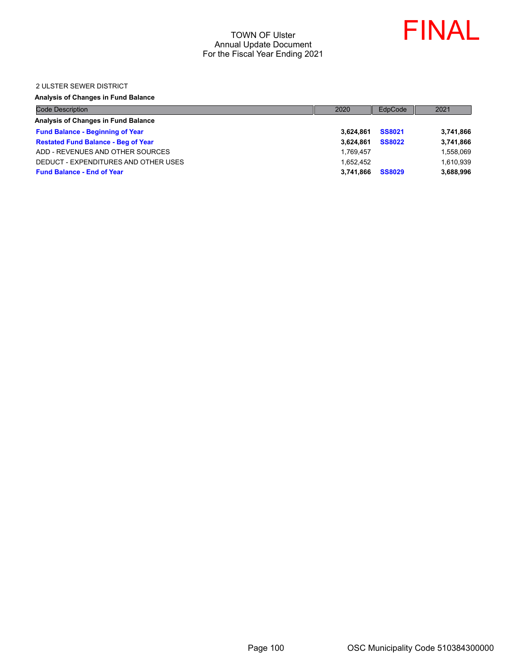

#### 2 ULSTER SEWER DISTRICT

## **Analysis of Changes in Fund Balance**

| <b>Code Description</b>                    | 2020      | EdpCode       | 2021      |
|--------------------------------------------|-----------|---------------|-----------|
| Analysis of Changes in Fund Balance        |           |               |           |
| <b>Fund Balance - Beginning of Year</b>    | 3.624.861 | <b>SS8021</b> | 3,741,866 |
| <b>Restated Fund Balance - Beg of Year</b> | 3.624.861 | <b>SS8022</b> | 3,741,866 |
| ADD - REVENUES AND OTHER SOURCES           | 1.769.457 |               | 1,558,069 |
| DEDUCT - EXPENDITURES AND OTHER USES       | 1.652.452 |               | 1,610,939 |
| <b>Fund Balance - End of Year</b>          | 3.741.866 | <b>SS8029</b> | 3,688,996 |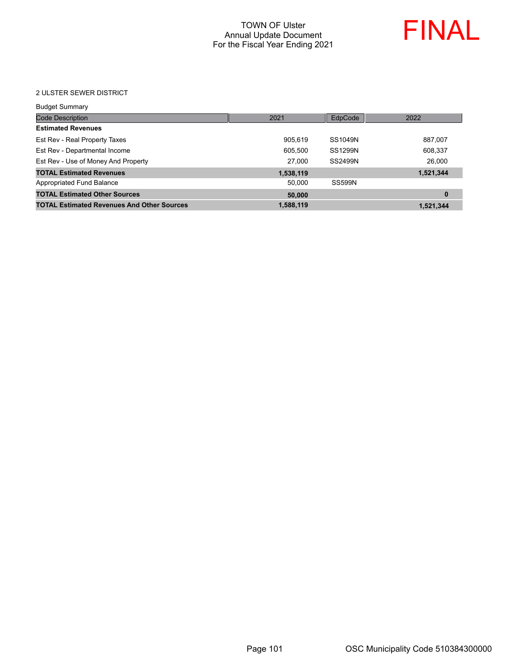

#### 2 ULSTER SEWER DISTRICT

| <b>Budget Summary</b>                             |           |                |           |
|---------------------------------------------------|-----------|----------------|-----------|
| <b>Code Description</b>                           | 2021      | EdpCode        | 2022      |
| <b>Estimated Revenues</b>                         |           |                |           |
| Est Rev - Real Property Taxes                     | 905,619   | SS1049N        | 887,007   |
| Est Rev - Departmental Income                     | 605,500   | <b>SS1299N</b> | 608,337   |
| Est Rev - Use of Money And Property               | 27,000    | <b>SS2499N</b> | 26,000    |
| <b>TOTAL Estimated Revenues</b>                   | 1,538,119 |                | 1,521,344 |
| Appropriated Fund Balance                         | 50.000    | <b>SS599N</b>  |           |
| <b>TOTAL Estimated Other Sources</b>              | 50,000    |                | 0         |
| <b>TOTAL Estimated Revenues And Other Sources</b> | 1,588,119 |                | 1,521,344 |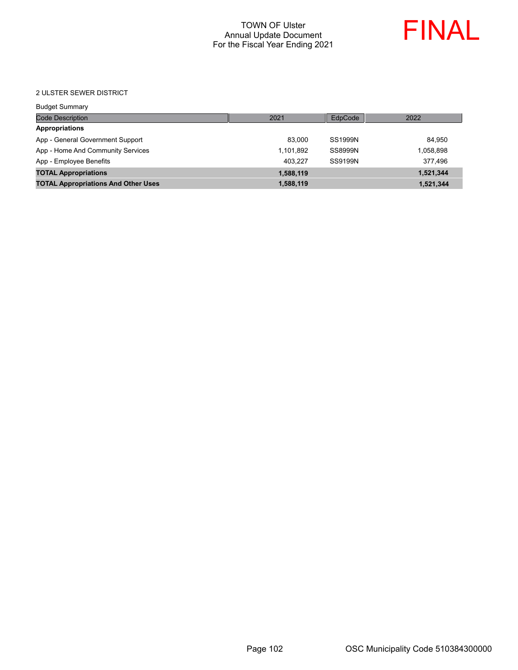

#### 2 ULSTER SEWER DISTRICT

| <b>Budget Summary</b>                      |           |         |           |
|--------------------------------------------|-----------|---------|-----------|
| <b>Code Description</b>                    | 2021      | EdpCode | 2022      |
| <b>Appropriations</b>                      |           |         |           |
| App - General Government Support           | 83.000    | SS1999N | 84.950    |
| App - Home And Community Services          | 1,101,892 | SS8999N | 1,058,898 |
| App - Employee Benefits                    | 403.227   | SS9199N | 377.496   |
| <b>TOTAL Appropriations</b>                | 1,588,119 |         | 1,521,344 |
| <b>TOTAL Appropriations And Other Uses</b> | 1,588,119 |         | 1,521,344 |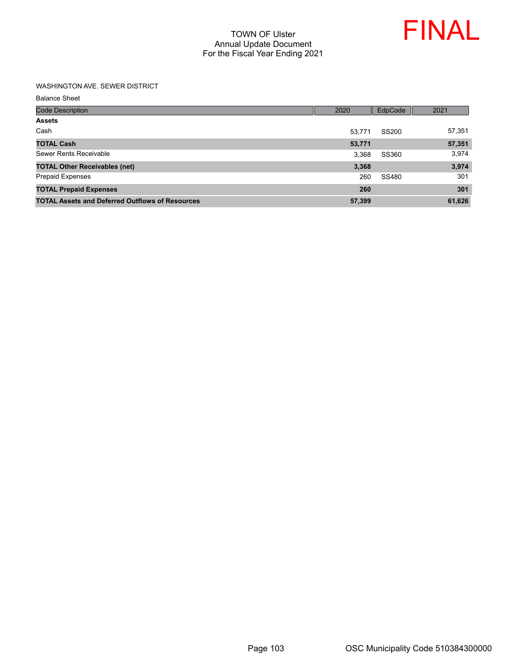

#### WASHINGTON AVE. SEWER DISTRICT

Balance Sheet

| <b>Code Description</b>                                | 2020   | EdpCode | 2021   |
|--------------------------------------------------------|--------|---------|--------|
| <b>Assets</b>                                          |        |         |        |
| Cash                                                   | 53.771 | SS200   | 57,351 |
| <b>TOTAL Cash</b>                                      | 53,771 |         | 57,351 |
| Sewer Rents Receivable                                 | 3.368  | SS360   | 3,974  |
| <b>TOTAL Other Receivables (net)</b>                   | 3,368  |         | 3,974  |
| <b>Prepaid Expenses</b>                                | 260    | SS480   | 301    |
| <b>TOTAL Prepaid Expenses</b>                          | 260    |         | 301    |
| <b>TOTAL Assets and Deferred Outflows of Resources</b> | 57,399 |         | 61,626 |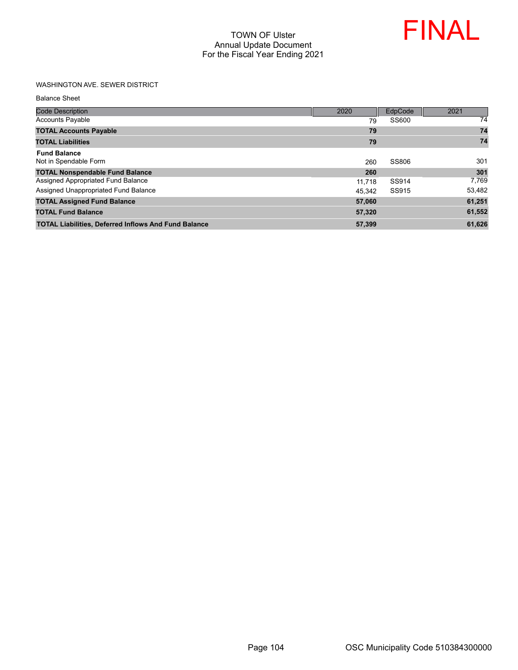

# WASHINGTON AVE. SEWER DISTRICT

Balance Sheet

| <b>Code Description</b>                                     | 2020   | EdpCode | 2021   |
|-------------------------------------------------------------|--------|---------|--------|
| <b>Accounts Payable</b>                                     | 79     | SS600   | 74     |
| <b>TOTAL Accounts Payable</b>                               | 79     |         | 74     |
| <b>TOTAL Liabilities</b>                                    | 79     |         | 74     |
| <b>Fund Balance</b><br>Not in Spendable Form                | 260    | SS806   | 301    |
| <b>TOTAL Nonspendable Fund Balance</b>                      | 260    |         | 301    |
| Assigned Appropriated Fund Balance                          | 11.718 | SS914   | 7,769  |
| Assigned Unappropriated Fund Balance                        | 45.342 | SS915   | 53,482 |
| <b>TOTAL Assigned Fund Balance</b>                          | 57,060 |         | 61,251 |
| <b>TOTAL Fund Balance</b>                                   | 57,320 |         | 61,552 |
| <b>TOTAL Liabilities, Deferred Inflows And Fund Balance</b> | 57,399 |         | 61,626 |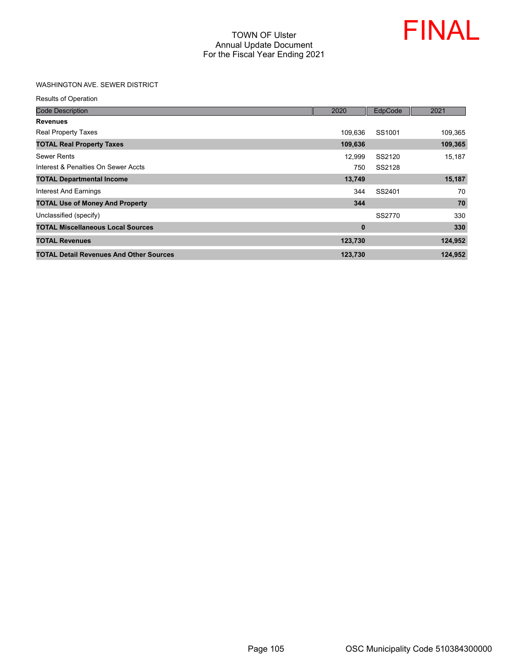

## WASHINGTON AVE. SEWER DISTRICT

| <b>Code Description</b>                        | 2020     | EdpCode | 2021    |
|------------------------------------------------|----------|---------|---------|
| <b>Revenues</b>                                |          |         |         |
| <b>Real Property Taxes</b>                     | 109.636  | SS1001  | 109,365 |
| <b>TOTAL Real Property Taxes</b>               | 109,636  |         | 109,365 |
| Sewer Rents                                    | 12,999   | SS2120  | 15,187  |
| Interest & Penalties On Sewer Accts            | 750      | SS2128  |         |
| <b>TOTAL Departmental Income</b>               | 13,749   |         | 15,187  |
| Interest And Earnings                          | 344      | SS2401  | 70      |
| <b>TOTAL Use of Money And Property</b>         | 344      |         | 70      |
| Unclassified (specify)                         |          | SS2770  | 330     |
| <b>TOTAL Miscellaneous Local Sources</b>       | $\bf{0}$ |         | 330     |
| <b>TOTAL Revenues</b>                          | 123,730  |         | 124,952 |
| <b>TOTAL Detail Revenues And Other Sources</b> | 123,730  |         | 124,952 |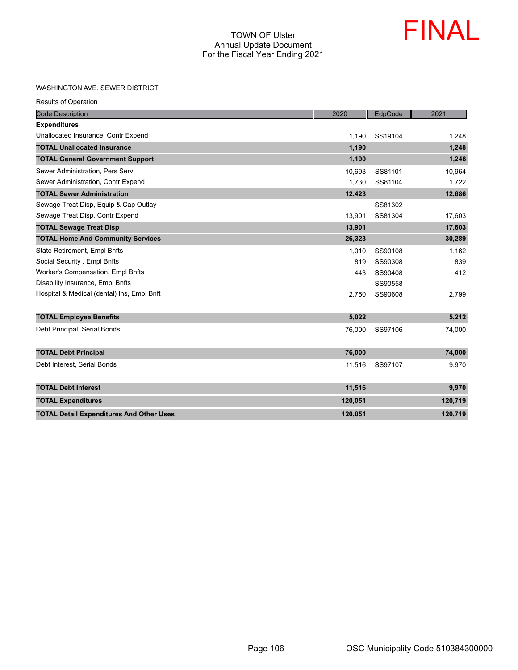

#### WASHINGTON AVE. SEWER DISTRICT

| <b>Code Description</b>                         | 2020    | EdpCode | 2021    |
|-------------------------------------------------|---------|---------|---------|
| <b>Expenditures</b>                             |         |         |         |
| Unallocated Insurance, Contr Expend             | 1,190   | SS19104 | 1,248   |
| <b>TOTAL Unallocated Insurance</b>              | 1,190   |         | 1,248   |
| <b>TOTAL General Government Support</b>         | 1,190   |         | 1,248   |
| Sewer Administration, Pers Serv                 | 10,693  | SS81101 | 10,964  |
| Sewer Administration, Contr Expend              | 1,730   | SS81104 | 1.722   |
| <b>TOTAL Sewer Administration</b>               | 12,423  |         | 12,686  |
| Sewage Treat Disp, Equip & Cap Outlay           |         | SS81302 |         |
| Sewage Treat Disp, Contr Expend                 | 13,901  | SS81304 | 17,603  |
| <b>TOTAL Sewage Treat Disp</b>                  | 13,901  |         | 17,603  |
| <b>TOTAL Home And Community Services</b>        | 26,323  |         | 30,289  |
| <b>State Retirement, Empl Bnfts</b>             | 1.010   | SS90108 | 1,162   |
| Social Security, Empl Bnfts                     | 819     | SS90308 | 839     |
| Worker's Compensation, Empl Bnfts               | 443     | SS90408 | 412     |
| Disability Insurance, Empl Bnfts                |         | SS90558 |         |
| Hospital & Medical (dental) Ins, Empl Bnft      | 2,750   | SS90608 | 2,799   |
| <b>TOTAL Employee Benefits</b>                  | 5,022   |         | 5,212   |
| Debt Principal, Serial Bonds                    | 76,000  | SS97106 | 74,000  |
| <b>TOTAL Debt Principal</b>                     | 76,000  |         | 74,000  |
| Debt Interest, Serial Bonds                     | 11,516  | SS97107 | 9,970   |
| <b>TOTAL Debt Interest</b>                      | 11,516  |         | 9,970   |
| <b>TOTAL Expenditures</b>                       | 120,051 |         | 120,719 |
| <b>TOTAL Detail Expenditures And Other Uses</b> | 120,051 |         | 120,719 |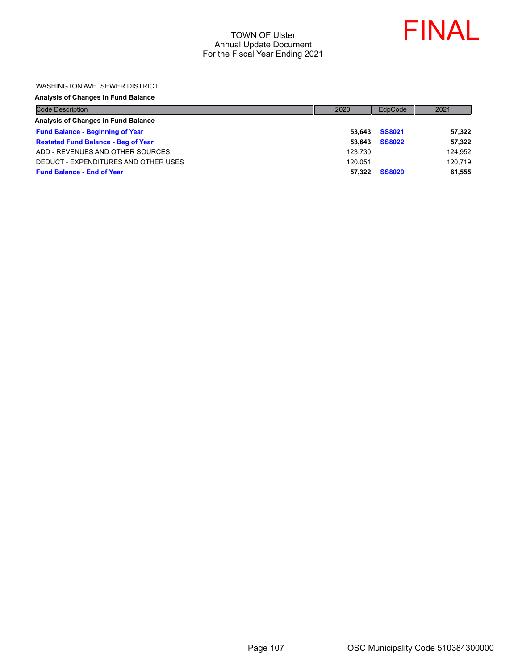

#### WASHINGTON AVE. SEWER DISTRICT

#### **Analysis of Changes in Fund Balance**

| <b>Code Description</b>                    | 2020    | EdpCode       | 2021    |
|--------------------------------------------|---------|---------------|---------|
| Analysis of Changes in Fund Balance        |         |               |         |
| <b>Fund Balance - Beginning of Year</b>    | 53.643  | <b>SS8021</b> | 57,322  |
| <b>Restated Fund Balance - Beg of Year</b> | 53.643  | <b>SS8022</b> | 57,322  |
| ADD - REVENUES AND OTHER SOURCES           | 123.730 |               | 124,952 |
| DEDUCT - EXPENDITURES AND OTHER USES       | 120.051 |               | 120,719 |
| <b>Fund Balance - End of Year</b>          | 57.322  | <b>SS8029</b> | 61,555  |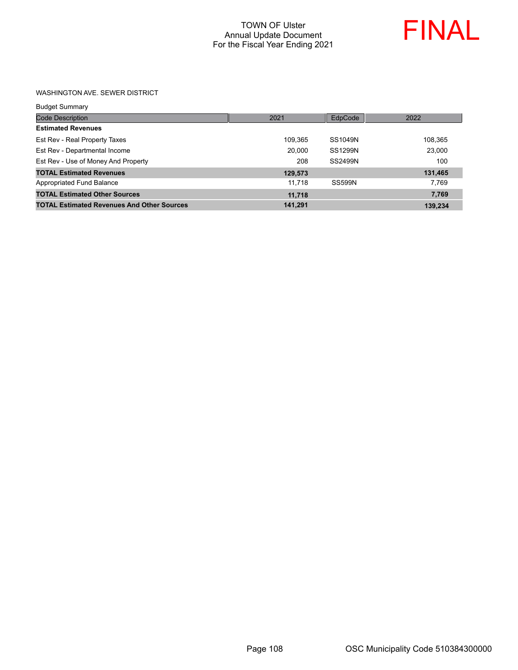

#### WASHINGTON AVE. SEWER DISTRICT

| Budget Summary |  |
|----------------|--|
|                |  |

| <b>Code Description</b>                           | 2021    | EdpCode       | 2022    |
|---------------------------------------------------|---------|---------------|---------|
| <b>Estimated Revenues</b>                         |         |               |         |
| Est Rev - Real Property Taxes                     | 109.365 | SS1049N       | 108,365 |
| Est Rev - Departmental Income                     | 20,000  | SS1299N       | 23,000  |
| Est Rev - Use of Money And Property               | 208     | SS2499N       | 100     |
| <b>TOTAL Estimated Revenues</b>                   | 129,573 |               | 131,465 |
| Appropriated Fund Balance                         | 11.718  | <b>SS599N</b> | 7.769   |
| <b>TOTAL Estimated Other Sources</b>              | 11,718  |               | 7,769   |
| <b>TOTAL Estimated Revenues And Other Sources</b> | 141.291 |               | 139.234 |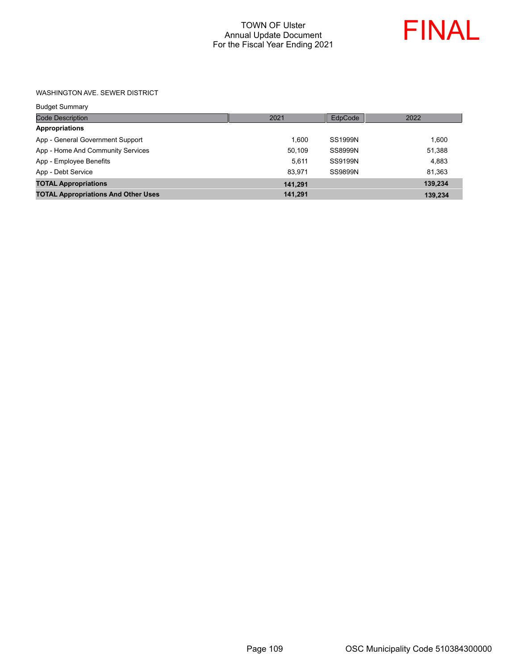

#### WASHINGTON AVE. SEWER DISTRICT

| <b>Budget Summary</b>                      |         |                |         |
|--------------------------------------------|---------|----------------|---------|
| <b>Code Description</b>                    | 2021    | EdpCode        | 2022    |
| <b>Appropriations</b>                      |         |                |         |
| App - General Government Support           | 1.600   | <b>SS1999N</b> | 1.600   |
| App - Home And Community Services          | 50.109  | SS8999N        | 51,388  |
| App - Employee Benefits                    | 5.611   | SS9199N        | 4.883   |
| App - Debt Service                         | 83.971  | SS9899N        | 81,363  |
| <b>TOTAL Appropriations</b>                | 141.291 |                | 139,234 |
| <b>TOTAL Appropriations And Other Uses</b> | 141,291 |                | 139,234 |
|                                            |         |                |         |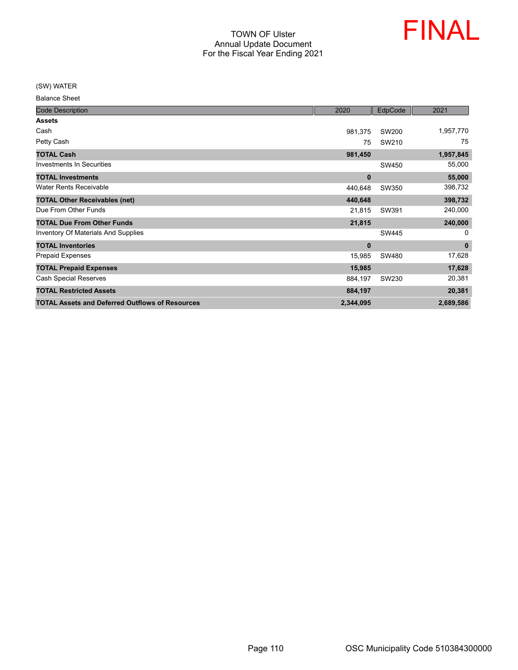

(SW) WATER

| <b>Balance Sheet</b> |  |
|----------------------|--|
|----------------------|--|

| <b>Code Description</b>                                | 2020      | EdpCode | 2021      |
|--------------------------------------------------------|-----------|---------|-----------|
| <b>Assets</b>                                          |           |         |           |
| Cash                                                   | 981,375   | SW200   | 1,957,770 |
| Petty Cash                                             | 75        | SW210   | 75        |
| <b>TOTAL Cash</b>                                      | 981,450   |         | 1,957,845 |
| <b>Investments In Securities</b>                       |           | SW450   | 55,000    |
| <b>TOTAL Investments</b>                               | $\bf{0}$  |         | 55,000    |
| <b>Water Rents Receivable</b>                          | 440,648   | SW350   | 398,732   |
| <b>TOTAL Other Receivables (net)</b>                   | 440,648   |         | 398,732   |
| Due From Other Funds                                   | 21,815    | SW391   | 240,000   |
| <b>TOTAL Due From Other Funds</b>                      | 21,815    |         | 240,000   |
| <b>Inventory Of Materials And Supplies</b>             |           | SW445   | 0         |
| <b>TOTAL Inventories</b>                               | $\bf{0}$  |         | $\bf{0}$  |
| <b>Prepaid Expenses</b>                                | 15,985    | SW480   | 17,628    |
| <b>TOTAL Prepaid Expenses</b>                          | 15,985    |         | 17,628    |
| <b>Cash Special Reserves</b>                           | 884,197   | SW230   | 20,381    |
| <b>TOTAL Restricted Assets</b>                         | 884,197   |         | 20,381    |
| <b>TOTAL Assets and Deferred Outflows of Resources</b> | 2,344,095 |         | 2,689,586 |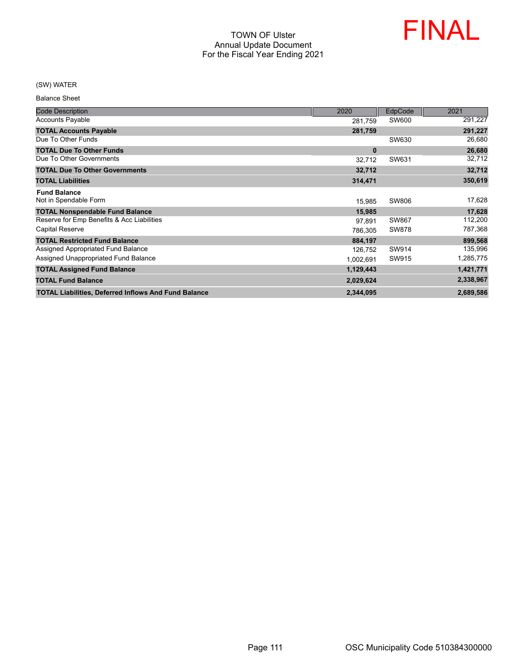

## (SW) WATER

Balance Sheet

| <b>Code Description</b>                                     | 2020      | EdpCode      | 2021      |
|-------------------------------------------------------------|-----------|--------------|-----------|
| <b>Accounts Payable</b>                                     | 281,759   | SW600        | 291,227   |
| <b>TOTAL Accounts Payable</b>                               | 281,759   |              | 291,227   |
| Due To Other Funds                                          |           | SW630        | 26,680    |
| <b>TOTAL Due To Other Funds</b>                             | $\bf{0}$  |              | 26,680    |
| Due To Other Governments                                    | 32,712    | SW631        | 32,712    |
| <b>TOTAL Due To Other Governments</b>                       | 32,712    |              | 32,712    |
| <b>TOTAL Liabilities</b>                                    | 314,471   |              | 350,619   |
| <b>Fund Balance</b>                                         |           |              |           |
| Not in Spendable Form                                       | 15,985    | SW806        | 17,628    |
| <b>TOTAL Nonspendable Fund Balance</b>                      | 15,985    |              | 17,628    |
| Reserve for Emp Benefits & Acc Liabilities                  | 97,891    | SW867        | 112,200   |
| <b>Capital Reserve</b>                                      | 786,305   | <b>SW878</b> | 787,368   |
| <b>TOTAL Restricted Fund Balance</b>                        | 884,197   |              | 899,568   |
| Assigned Appropriated Fund Balance                          | 126,752   | SW914        | 135,996   |
| Assigned Unappropriated Fund Balance                        | 1,002,691 | SW915        | 1,285,775 |
| <b>TOTAL Assigned Fund Balance</b>                          | 1,129,443 |              | 1,421,771 |
| <b>TOTAL Fund Balance</b>                                   | 2,029,624 |              | 2,338,967 |
| <b>TOTAL Liabilities, Deferred Inflows And Fund Balance</b> | 2,344,095 |              | 2,689,586 |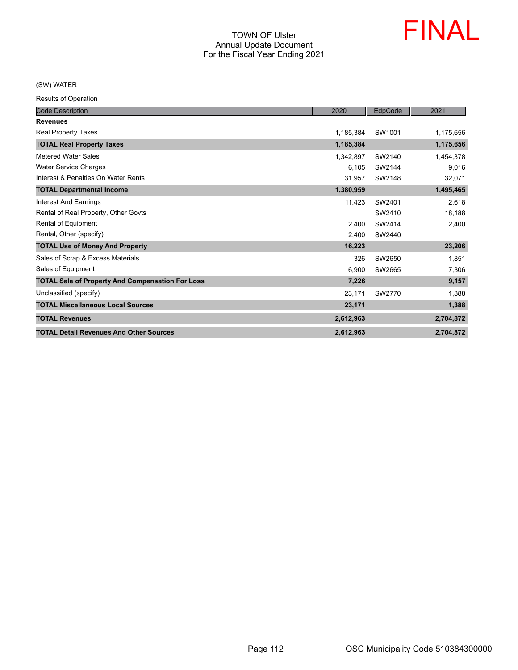

(SW) WATER

| <b>Code Description</b>                                 | 2020      | EdpCode | 2021      |
|---------------------------------------------------------|-----------|---------|-----------|
| <b>Revenues</b>                                         |           |         |           |
| <b>Real Property Taxes</b>                              | 1,185,384 | SW1001  | 1,175,656 |
| <b>TOTAL Real Property Taxes</b>                        | 1,185,384 |         | 1,175,656 |
| <b>Metered Water Sales</b>                              | 1,342,897 | SW2140  | 1,454,378 |
| <b>Water Service Charges</b>                            | 6,105     | SW2144  | 9,016     |
| Interest & Penalties On Water Rents                     | 31,957    | SW2148  | 32,071    |
| <b>TOTAL Departmental Income</b>                        | 1,380,959 |         | 1,495,465 |
| <b>Interest And Earnings</b>                            | 11,423    | SW2401  | 2,618     |
| Rental of Real Property, Other Govts                    |           | SW2410  | 18,188    |
| Rental of Equipment                                     | 2,400     | SW2414  | 2,400     |
| Rental, Other (specify)                                 | 2,400     | SW2440  |           |
| <b>TOTAL Use of Money And Property</b>                  | 16,223    |         | 23,206    |
| Sales of Scrap & Excess Materials                       | 326       | SW2650  | 1,851     |
| Sales of Equipment                                      | 6,900     | SW2665  | 7,306     |
| <b>TOTAL Sale of Property And Compensation For Loss</b> | 7,226     |         | 9,157     |
| Unclassified (specify)                                  | 23,171    | SW2770  | 1,388     |
| <b>TOTAL Miscellaneous Local Sources</b>                | 23,171    |         | 1,388     |
| <b>TOTAL Revenues</b>                                   | 2,612,963 |         | 2,704,872 |
| <b>TOTAL Detail Revenues And Other Sources</b>          | 2,612,963 |         | 2,704,872 |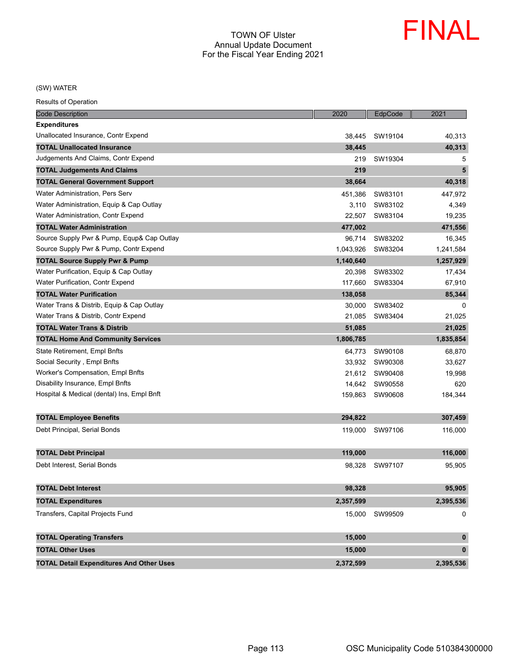

(SW) WATER

| <b>Code Description</b>                         | 2020      | EdpCode | 2021        |
|-------------------------------------------------|-----------|---------|-------------|
| <b>Expenditures</b>                             |           |         |             |
| Unallocated Insurance, Contr Expend             | 38.445    | SW19104 | 40,313      |
| <b>TOTAL Unallocated Insurance</b>              | 38,445    |         | 40,313      |
| Judgements And Claims, Contr Expend             | 219       | SW19304 | 5           |
| <b>TOTAL Judgements And Claims</b>              | 219       |         | 5           |
| <b>TOTAL General Government Support</b>         | 38,664    |         | 40,318      |
| Water Administration, Pers Serv                 | 451,386   | SW83101 | 447,972     |
| Water Administration, Equip & Cap Outlay        | 3,110     | SW83102 | 4,349       |
| Water Administration, Contr Expend              | 22.507    | SW83104 | 19,235      |
| <b>TOTAL Water Administration</b>               | 477,002   |         | 471,556     |
| Source Supply Pwr & Pump, Equp& Cap Outlay      | 96,714    | SW83202 | 16,345      |
| Source Supply Pwr & Pump, Contr Expend          | 1,043,926 | SW83204 | 1,241,584   |
| <b>TOTAL Source Supply Pwr &amp; Pump</b>       | 1,140,640 |         | 1,257,929   |
| Water Purification, Equip & Cap Outlay          | 20,398    | SW83302 | 17,434      |
| Water Purification, Contr Expend                | 117,660   | SW83304 | 67,910      |
| <b>TOTAL Water Purification</b>                 | 138,058   |         | 85,344      |
| Water Trans & Distrib, Equip & Cap Outlay       | 30.000    | SW83402 | 0           |
| Water Trans & Distrib, Contr Expend             | 21,085    | SW83404 | 21,025      |
| <b>TOTAL Water Trans &amp; Distrib</b>          | 51,085    |         | 21,025      |
| <b>TOTAL Home And Community Services</b>        | 1,806,785 |         | 1,835,854   |
| State Retirement, Empl Bnfts                    | 64,773    | SW90108 | 68,870      |
| Social Security, Empl Bnfts                     | 33,932    | SW90308 | 33,627      |
| Worker's Compensation, Empl Bnfts               | 21,612    | SW90408 | 19,998      |
| Disability Insurance, Empl Bnfts                | 14,642    | SW90558 | 620         |
| Hospital & Medical (dental) Ins, Empl Bnft      | 159,863   | SW90608 | 184,344     |
|                                                 |           |         |             |
| <b>TOTAL Employee Benefits</b>                  | 294,822   |         | 307,459     |
| Debt Principal, Serial Bonds                    | 119,000   | SW97106 | 116,000     |
|                                                 |           |         |             |
| <b>TOTAL Debt Principal</b>                     | 119,000   |         | 116,000     |
| Debt Interest, Serial Bonds                     | 98,328    | SW97107 | 95,905      |
|                                                 |           |         |             |
| <b>TOTAL Debt Interest</b>                      | 98,328    |         | 95,905      |
| <b>TOTAL Expenditures</b>                       | 2,357,599 |         | 2,395,536   |
| Transfers, Capital Projects Fund                | 15,000    | SW99509 | 0           |
|                                                 |           |         |             |
| <b>TOTAL Operating Transfers</b>                | 15,000    |         | $\pmb{0}$   |
| <b>TOTAL Other Uses</b>                         | 15,000    |         | $\mathbf 0$ |
| <b>TOTAL Detail Expenditures And Other Uses</b> | 2,372,599 |         | 2,395,536   |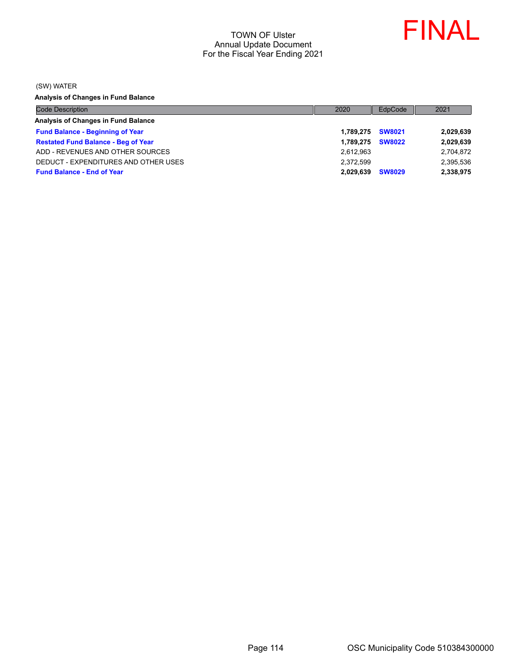

(SW) WATER

**Analysis of Changes in Fund Balance**

| <b>Code Description</b>                    | 2020      | EdpCode       | 2021      |
|--------------------------------------------|-----------|---------------|-----------|
| Analysis of Changes in Fund Balance        |           |               |           |
| <b>Fund Balance - Beginning of Year</b>    | 1.789.275 | <b>SW8021</b> | 2,029,639 |
| <b>Restated Fund Balance - Beg of Year</b> | 1.789.275 | <b>SW8022</b> | 2,029,639 |
| ADD - REVENUES AND OTHER SOURCES           | 2,612,963 |               | 2,704,872 |
| DEDUCT - EXPENDITURES AND OTHER USES       | 2.372.599 |               | 2,395,536 |
| <b>Fund Balance - End of Year</b>          | 2.029.639 | <b>SW8029</b> | 2,338,975 |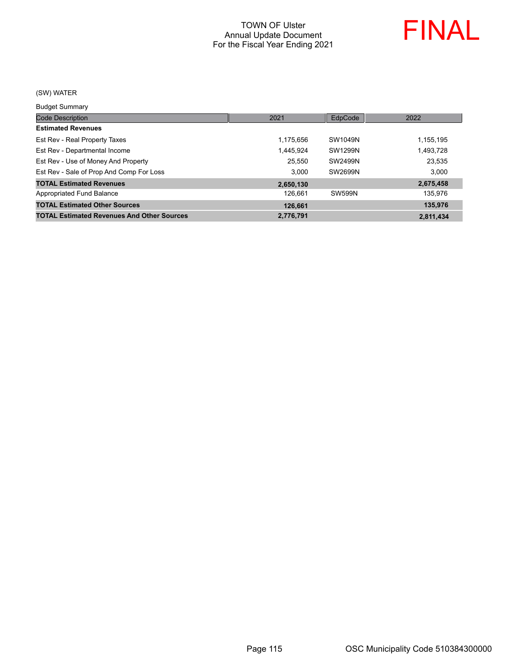

#### (SW) WATER

Budget Summary

| 2021      | EdpCode       | 2022      |
|-----------|---------------|-----------|
|           |               |           |
| 1,175,656 | SW1049N       | 1,155,195 |
| 1,445,924 | SW1299N       | 1,493,728 |
| 25,550    | SW2499N       | 23,535    |
| 3.000     | SW2699N       | 3,000     |
| 2,650,130 |               | 2,675,458 |
| 126,661   | <b>SW599N</b> | 135,976   |
| 126,661   |               | 135,976   |
| 2,776,791 |               | 2,811,434 |
|           |               |           |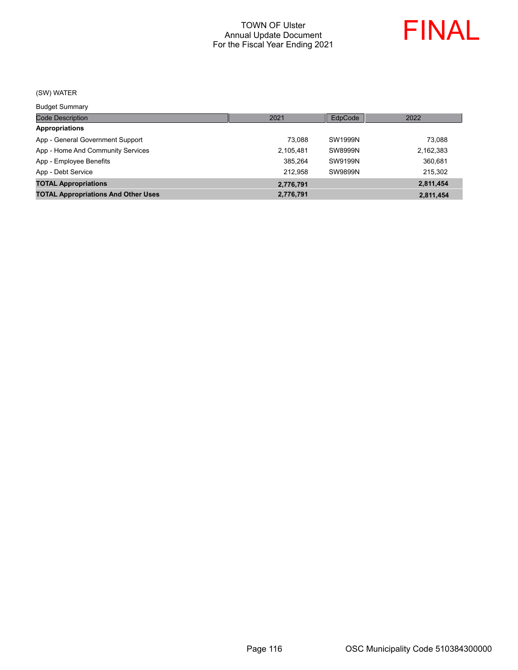

## (SW) WATER

Budget Summary

| ___________                                |           |                |           |
|--------------------------------------------|-----------|----------------|-----------|
| <b>Code Description</b>                    | 2021      | EdpCode        | 2022      |
| <b>Appropriations</b>                      |           |                |           |
| App - General Government Support           | 73.088    | SW1999N        | 73,088    |
| App - Home And Community Services          | 2,105,481 | SW8999N        | 2,162,383 |
| App - Employee Benefits                    | 385.264   | SW9199N        | 360.681   |
| App - Debt Service                         | 212.958   | <b>SW9899N</b> | 215,302   |
| <b>TOTAL Appropriations</b>                | 2,776,791 |                | 2,811,454 |
| <b>TOTAL Appropriations And Other Uses</b> | 2,776,791 |                | 2,811,454 |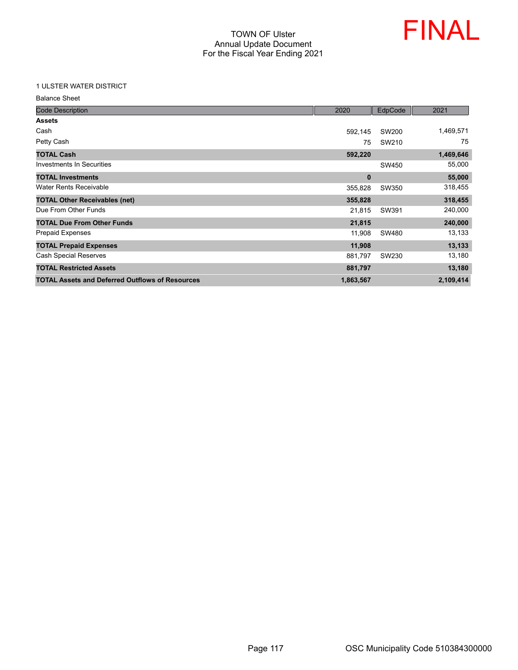

#### 1 ULSTER WATER DISTRICT

| <b>Balance Sheet</b>                                   |              |         |           |
|--------------------------------------------------------|--------------|---------|-----------|
| <b>Code Description</b>                                | 2020         | EdpCode | 2021      |
| <b>Assets</b>                                          |              |         |           |
| Cash                                                   | 592,145      | SW200   | 1,469,571 |
| Petty Cash                                             | 75           | SW210   | 75        |
| <b>TOTAL Cash</b>                                      | 592,220      |         | 1,469,646 |
| <b>Investments In Securities</b>                       |              | SW450   | 55,000    |
| <b>TOTAL Investments</b>                               | $\mathbf{0}$ |         | 55,000    |
| <b>Water Rents Receivable</b>                          | 355,828      | SW350   | 318,455   |
| <b>TOTAL Other Receivables (net)</b>                   | 355,828      |         | 318,455   |
| Due From Other Funds                                   | 21,815       | SW391   | 240,000   |
| <b>TOTAL Due From Other Funds</b>                      | 21,815       |         | 240,000   |
| <b>Prepaid Expenses</b>                                | 11,908       | SW480   | 13,133    |
| <b>TOTAL Prepaid Expenses</b>                          | 11,908       |         | 13,133    |
| <b>Cash Special Reserves</b>                           | 881,797      | SW230   | 13,180    |
| <b>TOTAL Restricted Assets</b>                         | 881,797      |         | 13,180    |
| <b>TOTAL Assets and Deferred Outflows of Resources</b> | 1,863,567    |         | 2,109,414 |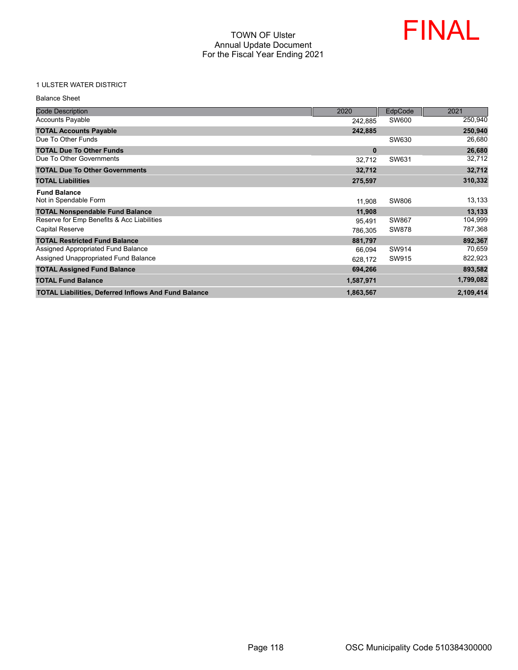

## 1 ULSTER WATER DISTRICT

| <b>Balance Sheet</b>                                        |           |              |           |
|-------------------------------------------------------------|-----------|--------------|-----------|
| <b>Code Description</b>                                     | 2020      | EdpCode      | 2021      |
| <b>Accounts Payable</b>                                     | 242,885   | SW600        | 250,940   |
| <b>TOTAL Accounts Payable</b>                               | 242,885   |              | 250,940   |
| Due To Other Funds                                          |           | SW630        | 26,680    |
| <b>TOTAL Due To Other Funds</b>                             | $\bf{0}$  |              | 26,680    |
| Due To Other Governments                                    | 32,712    | SW631        | 32,712    |
| <b>TOTAL Due To Other Governments</b>                       | 32,712    |              | 32,712    |
| <b>TOTAL Liabilities</b>                                    | 275,597   |              | 310,332   |
| <b>Fund Balance</b><br>Not in Spendable Form                | 11,908    | <b>SW806</b> | 13,133    |
| <b>TOTAL Nonspendable Fund Balance</b>                      | 11,908    |              | 13,133    |
| Reserve for Emp Benefits & Acc Liabilities                  | 95,491    | SW867        | 104,999   |
| <b>Capital Reserve</b>                                      | 786,305   | <b>SW878</b> | 787,368   |
| <b>TOTAL Restricted Fund Balance</b>                        | 881.797   |              | 892,367   |
| Assigned Appropriated Fund Balance                          | 66,094    | SW914        | 70,659    |
| Assigned Unappropriated Fund Balance                        | 628,172   | SW915        | 822,923   |
| <b>TOTAL Assigned Fund Balance</b>                          | 694,266   |              | 893,582   |
| <b>TOTAL Fund Balance</b>                                   | 1,587,971 |              | 1,799,082 |
| <b>TOTAL Liabilities, Deferred Inflows And Fund Balance</b> | 1,863,567 |              | 2,109,414 |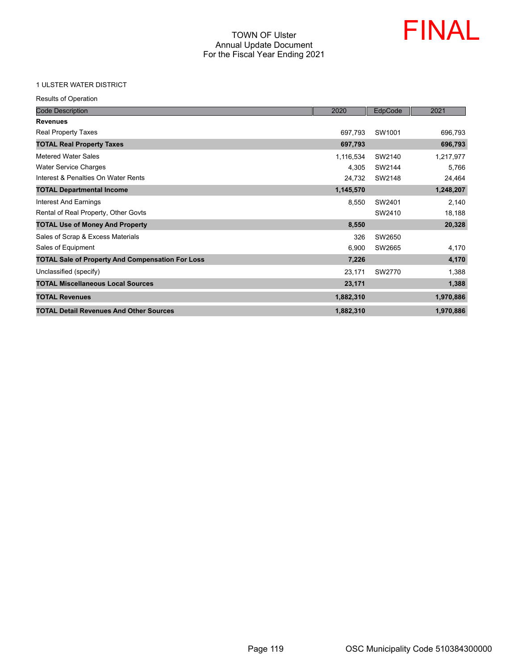

#### 1 ULSTER WATER DISTRICT

| <b>Code Description</b>                                 | 2020      | EdpCode | 2021      |
|---------------------------------------------------------|-----------|---------|-----------|
| <b>Revenues</b>                                         |           |         |           |
| Real Property Taxes                                     | 697,793   | SW1001  | 696,793   |
| <b>TOTAL Real Property Taxes</b>                        | 697,793   |         | 696,793   |
| <b>Metered Water Sales</b>                              | 1,116,534 | SW2140  | 1,217,977 |
| <b>Water Service Charges</b>                            | 4,305     | SW2144  | 5,766     |
| Interest & Penalties On Water Rents                     | 24,732    | SW2148  | 24,464    |
| <b>TOTAL Departmental Income</b>                        | 1,145,570 |         | 1,248,207 |
| Interest And Earnings                                   | 8,550     | SW2401  | 2,140     |
| Rental of Real Property, Other Govts                    |           | SW2410  | 18,188    |
| <b>TOTAL Use of Money And Property</b>                  | 8,550     |         | 20,328    |
| Sales of Scrap & Excess Materials                       | 326       | SW2650  |           |
| Sales of Equipment                                      | 6,900     | SW2665  | 4,170     |
| <b>TOTAL Sale of Property And Compensation For Loss</b> | 7,226     |         | 4,170     |
| Unclassified (specify)                                  | 23,171    | SW2770  | 1,388     |
| <b>TOTAL Miscellaneous Local Sources</b>                | 23,171    |         | 1,388     |
| <b>TOTAL Revenues</b>                                   | 1,882,310 |         | 1,970,886 |
| <b>TOTAL Detail Revenues And Other Sources</b>          | 1,882,310 |         | 1,970,886 |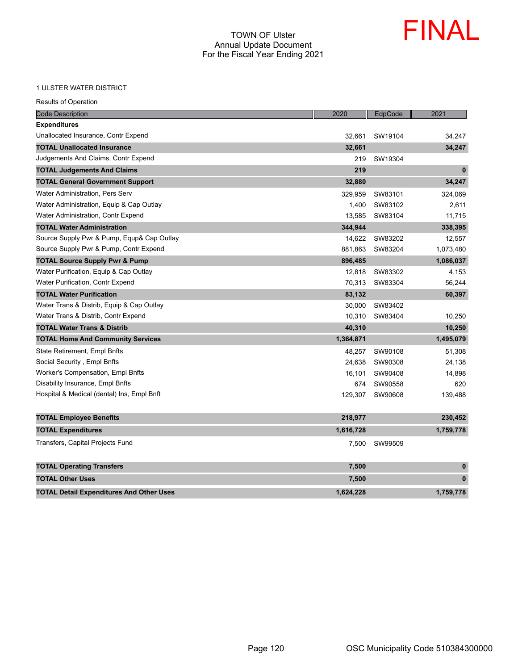

#### 1 ULSTER WATER DISTRICT

| 1 ULSTER WATER DISTRICT                         |           |         |             |
|-------------------------------------------------|-----------|---------|-------------|
| Results of Operation                            |           |         |             |
| <b>Code Description</b>                         | 2020      | EdpCode | 2021        |
| Expenditures                                    |           |         |             |
| Unallocated Insurance, Contr Expend             | 32,661    | SW19104 | 34,247      |
| <b>TOTAL Unallocated Insurance</b>              | 32,661    |         | 34,247      |
| Judgements And Claims, Contr Expend             | 219       | SW19304 |             |
| <b>TOTAL Judgements And Claims</b>              | 219       |         | $\mathbf 0$ |
| <b>TOTAL General Government Support</b>         | 32,880    |         | 34,247      |
| Water Administration, Pers Serv                 | 329,959   | SW83101 | 324,069     |
| Water Administration, Equip & Cap Outlay        | 1,400     | SW83102 | 2,611       |
| Water Administration, Contr Expend              | 13,585    | SW83104 | 11,715      |
| <b>TOTAL Water Administration</b>               | 344,944   |         | 338,395     |
| Source Supply Pwr & Pump, Equp& Cap Outlay      | 14,622    | SW83202 | 12,557      |
| Source Supply Pwr & Pump, Contr Expend          | 881,863   | SW83204 | 1,073,480   |
| <b>TOTAL Source Supply Pwr &amp; Pump</b>       | 896,485   |         | 1,086,037   |
| Water Purification, Equip & Cap Outlay          | 12,818    | SW83302 | 4,153       |
| Water Purification, Contr Expend                | 70,313    | SW83304 | 56,244      |
| <b>TOTAL Water Purification</b>                 | 83,132    |         | 60,397      |
| Water Trans & Distrib, Equip & Cap Outlay       | 30,000    | SW83402 |             |
| Water Trans & Distrib, Contr Expend             | 10,310    | SW83404 | 10,250      |
| <b>TOTAL Water Trans &amp; Distrib</b>          | 40,310    |         | 10,250      |
| <b>TOTAL Home And Community Services</b>        | 1,364,871 |         | 1,495,079   |
| State Retirement, Empl Bnfts                    | 48,257    | SW90108 | 51,308      |
| Social Security , Empl Bnfts                    | 24,638    | SW90308 | 24,138      |
| Worker's Compensation, Empl Bnfts               | 16,101    | SW90408 | 14,898      |
| Disability Insurance, Empl Bnfts                | 674       | SW90558 | 620         |
| Hospital & Medical (dental) Ins, Empl Bnft      | 129,307   | SW90608 | 139,488     |
| <b>TOTAL Employee Benefits</b>                  | 218,977   |         | 230,452     |
| <b>TOTAL Expenditures</b>                       | 1,616,728 |         | 1,759,778   |
| Transfers, Capital Projects Fund                | 7,500     | SW99509 |             |
| <b>TOTAL Operating Transfers</b>                | 7,500     |         | $\bf{0}$    |
| <b>TOTAL Other Uses</b>                         | 7,500     |         | 0           |
| <b>TOTAL Detail Expenditures And Other Uses</b> | 1,624,228 |         | 1,759,778   |
|                                                 |           |         |             |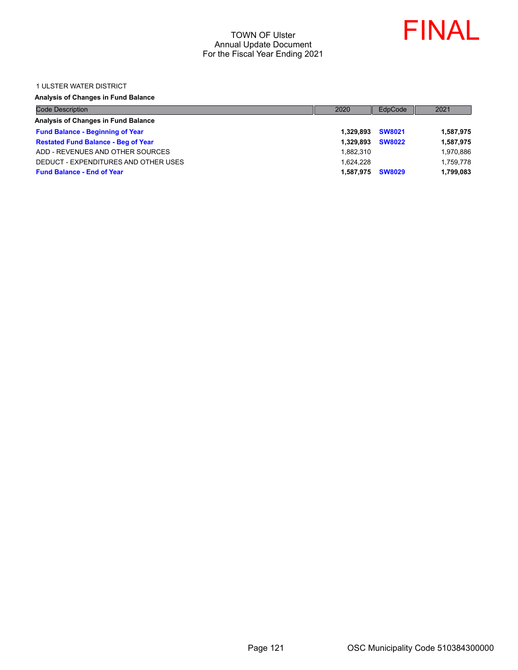

#### 1 ULSTER WATER DISTRICT

## **Analysis of Changes in Fund Balance**

| <b>Code Description</b>                    | 2020      | EdpCode       | 2021      |
|--------------------------------------------|-----------|---------------|-----------|
| Analysis of Changes in Fund Balance        |           |               |           |
| <b>Fund Balance - Beginning of Year</b>    | 1.329.893 | <b>SW8021</b> | 1,587,975 |
| <b>Restated Fund Balance - Beg of Year</b> | 1.329.893 | <b>SW8022</b> | 1,587,975 |
| ADD - REVENUES AND OTHER SOURCES           | 1.882.310 |               | 1,970,886 |
| DEDUCT - EXPENDITURES AND OTHER USES       | 1.624.228 |               | 1,759,778 |
| <b>Fund Balance - End of Year</b>          | 1.587.975 | <b>SW8029</b> | 1,799,083 |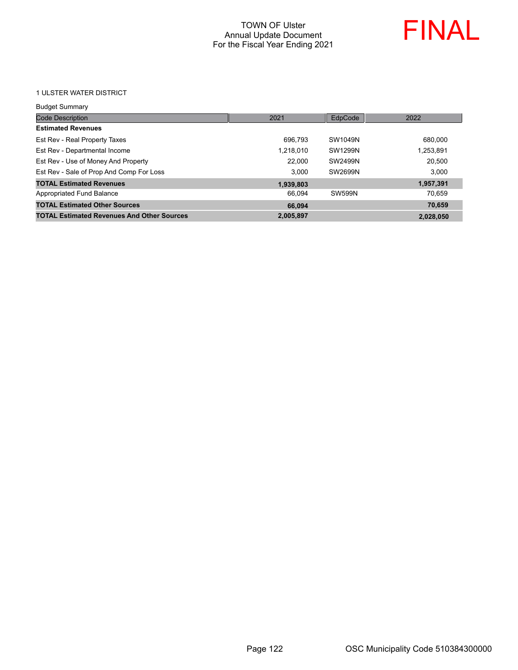

1 ULSTER WATER DISTRICT

| <b>Budget Summary</b>                             |           |               |           |
|---------------------------------------------------|-----------|---------------|-----------|
| <b>Code Description</b>                           | 2021      | EdpCode       | 2022      |
| <b>Estimated Revenues</b>                         |           |               |           |
| Est Rev - Real Property Taxes                     | 696.793   | SW1049N       | 680,000   |
| Est Rev - Departmental Income                     | 1,218,010 | SW1299N       | 1,253,891 |
| Est Rev - Use of Money And Property               | 22,000    | SW2499N       | 20.500    |
| Est Rev - Sale of Prop And Comp For Loss          | 3.000     | SW2699N       | 3.000     |
| <b>TOTAL Estimated Revenues</b>                   | 1,939,803 |               | 1,957,391 |
| Appropriated Fund Balance                         | 66.094    | <b>SW599N</b> | 70.659    |
| <b>TOTAL Estimated Other Sources</b>              | 66.094    |               | 70,659    |
| <b>TOTAL Estimated Revenues And Other Sources</b> | 2,005,897 |               | 2,028,050 |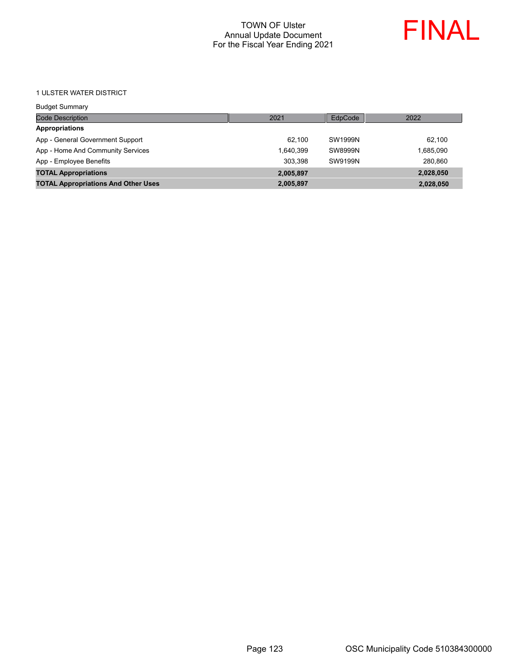

#### 1 ULSTER WATER DISTRICT

| <b>Budget Summary</b>                      |           |         |           |
|--------------------------------------------|-----------|---------|-----------|
| <b>Code Description</b>                    | 2021      | EdpCode | 2022      |
| <b>Appropriations</b>                      |           |         |           |
| App - General Government Support           | 62.100    | SW1999N | 62.100    |
| App - Home And Community Services          | 1.640.399 | SW8999N | 1,685,090 |
| App - Employee Benefits                    | 303.398   | SW9199N | 280.860   |
| <b>TOTAL Appropriations</b>                | 2,005,897 |         | 2,028,050 |
| <b>TOTAL Appropriations And Other Uses</b> | 2,005,897 |         | 2,028,050 |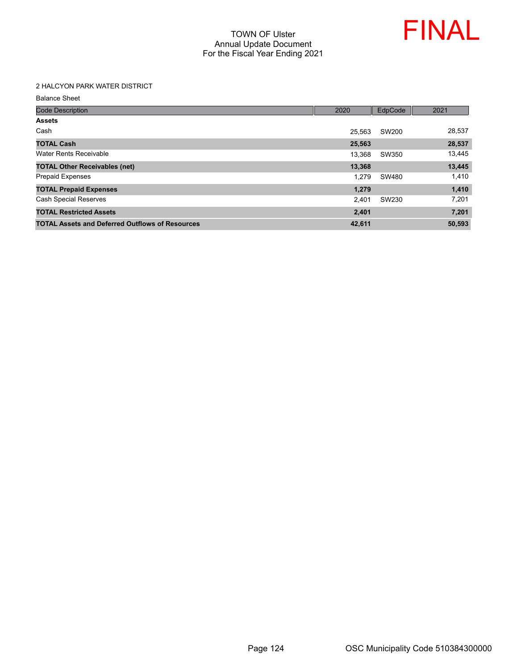

#### 2 HALCYON PARK WATER DISTRICT

Balance Sheet

| <b>Code Description</b>                                | 2020   | EdpCode | 2021   |
|--------------------------------------------------------|--------|---------|--------|
| <b>Assets</b>                                          |        |         |        |
| Cash                                                   | 25.563 | SW200   | 28,537 |
| <b>TOTAL Cash</b>                                      | 25,563 |         | 28,537 |
| Water Rents Receivable                                 | 13.368 | SW350   | 13,445 |
| <b>TOTAL Other Receivables (net)</b>                   | 13,368 |         | 13,445 |
| <b>Prepaid Expenses</b>                                | 1.279  | SW480   | 1,410  |
| <b>TOTAL Prepaid Expenses</b>                          | 1,279  |         | 1,410  |
| <b>Cash Special Reserves</b>                           | 2.401  | SW230   | 7,201  |
| <b>TOTAL Restricted Assets</b>                         | 2,401  |         | 7,201  |
| <b>TOTAL Assets and Deferred Outflows of Resources</b> | 42,611 |         | 50,593 |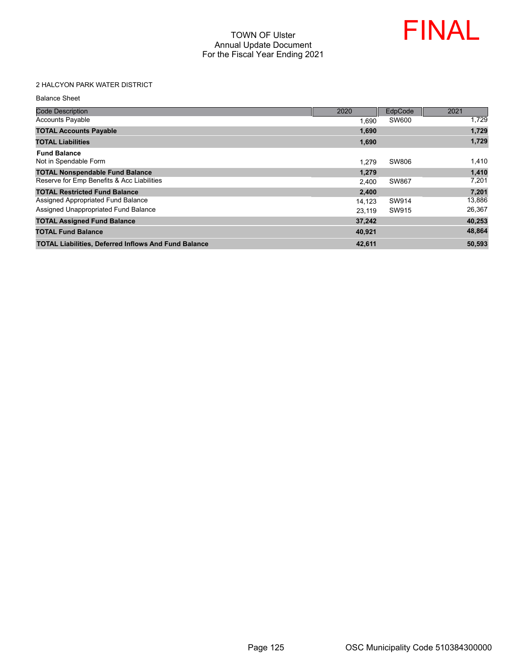

# 2 HALCYON PARK WATER DISTRICT

Balance Sheet

| <b>Code Description</b>                                     | 2020   | EdpCode | 2021   |
|-------------------------------------------------------------|--------|---------|--------|
| <b>Accounts Payable</b>                                     | 1,690  | SW600   | 1,729  |
| <b>TOTAL Accounts Payable</b>                               | 1,690  |         | 1,729  |
| <b>TOTAL Liabilities</b>                                    | 1,690  |         | 1,729  |
| <b>Fund Balance</b><br>Not in Spendable Form                | 1.279  | SW806   | 1,410  |
| <b>TOTAL Nonspendable Fund Balance</b>                      | 1,279  |         | 1,410  |
| Reserve for Emp Benefits & Acc Liabilities                  | 2,400  | SW867   | 7,201  |
| <b>TOTAL Restricted Fund Balance</b>                        | 2,400  |         | 7,201  |
| Assigned Appropriated Fund Balance                          | 14.123 | SW914   | 13,886 |
| Assigned Unappropriated Fund Balance                        | 23.119 | SW915   | 26,367 |
| <b>TOTAL Assigned Fund Balance</b>                          | 37,242 |         | 40,253 |
| <b>TOTAL Fund Balance</b>                                   | 40.921 |         | 48,864 |
| <b>TOTAL Liabilities, Deferred Inflows And Fund Balance</b> | 42,611 |         | 50,593 |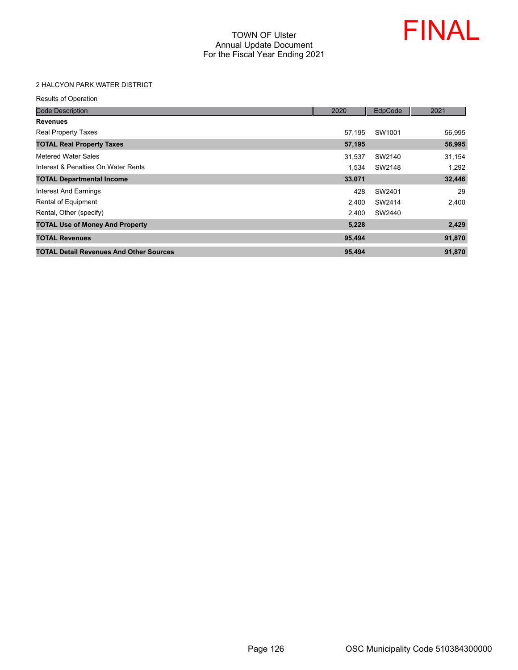

## 2 HALCYON PARK WATER DISTRICT

| <b>Code Description</b>                        | 2020   | EdpCode | 2021   |
|------------------------------------------------|--------|---------|--------|
| <b>Revenues</b>                                |        |         |        |
| <b>Real Property Taxes</b>                     | 57,195 | SW1001  | 56,995 |
| <b>TOTAL Real Property Taxes</b>               | 57,195 |         | 56,995 |
| Metered Water Sales                            | 31.537 | SW2140  | 31,154 |
| Interest & Penalties On Water Rents            | 1,534  | SW2148  | 1,292  |
| <b>TOTAL Departmental Income</b>               | 33,071 |         | 32,446 |
| Interest And Earnings                          | 428    | SW2401  | 29     |
| Rental of Equipment                            | 2,400  | SW2414  | 2,400  |
| Rental, Other (specify)                        | 2.400  | SW2440  |        |
| <b>TOTAL Use of Money And Property</b>         | 5,228  |         | 2,429  |
| <b>TOTAL Revenues</b>                          | 95,494 |         | 91,870 |
| <b>TOTAL Detail Revenues And Other Sources</b> | 95,494 |         | 91,870 |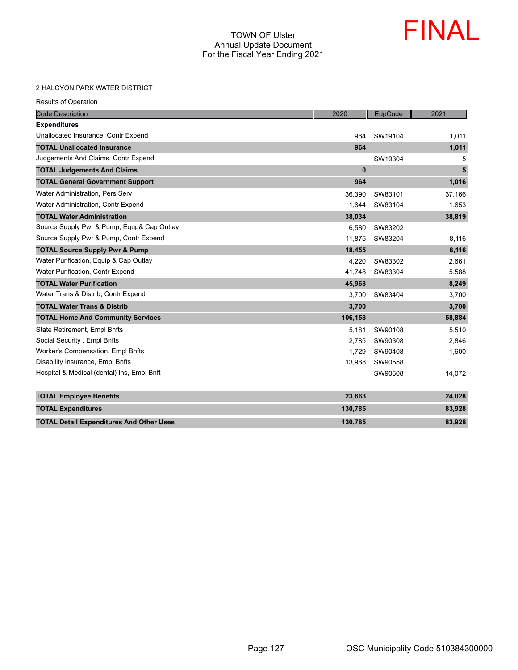

#### 2 HALCYON PARK WATER DISTRICT

| <b>Results of Operation</b> |
|-----------------------------|
|-----------------------------|

| <b>Code Description</b>                         | 2020     | EdpCode | 2021   |
|-------------------------------------------------|----------|---------|--------|
| <b>Expenditures</b>                             |          |         |        |
| Unallocated Insurance, Contr Expend             | 964      | SW19104 | 1,011  |
| <b>TOTAL Unallocated Insurance</b>              | 964      |         | 1,011  |
| Judgements And Claims, Contr Expend             |          | SW19304 | 5      |
| <b>TOTAL Judgements And Claims</b>              | $\bf{0}$ |         | 5      |
| <b>TOTAL General Government Support</b>         | 964      |         | 1,016  |
| <b>Water Administration. Pers Serv</b>          | 36,390   | SW83101 | 37,166 |
| Water Administration, Contr Expend              | 1.644    | SW83104 | 1,653  |
| <b>TOTAL Water Administration</b>               | 38,034   |         | 38,819 |
| Source Supply Pwr & Pump, Equp& Cap Outlay      | 6.580    | SW83202 |        |
| Source Supply Pwr & Pump, Contr Expend          | 11,875   | SW83204 | 8,116  |
| <b>TOTAL Source Supply Pwr &amp; Pump</b>       | 18,455   |         | 8,116  |
| Water Purification, Equip & Cap Outlay          | 4,220    | SW83302 | 2,661  |
| <b>Water Purification, Contr Expend</b>         | 41.748   | SW83304 | 5,588  |
| <b>TOTAL Water Purification</b>                 | 45,968   |         | 8,249  |
| Water Trans & Distrib, Contr Expend             | 3,700    | SW83404 | 3,700  |
| <b>TOTAL Water Trans &amp; Distrib</b>          | 3,700    |         | 3,700  |
| <b>TOTAL Home And Community Services</b>        | 106,158  |         | 58,884 |
| State Retirement, Empl Bnfts                    | 5.181    | SW90108 | 5,510  |
| Social Security, Empl Bnfts                     | 2.785    | SW90308 | 2,846  |
| Worker's Compensation, Empl Bnfts               | 1,729    | SW90408 | 1,600  |
| Disability Insurance, Empl Bnfts                | 13,968   | SW90558 |        |
| Hospital & Medical (dental) Ins, Empl Bnft      |          | SW90608 | 14,072 |
| <b>TOTAL Employee Benefits</b>                  | 23,663   |         | 24,028 |
| <b>TOTAL Expenditures</b>                       | 130,785  |         | 83,928 |
| <b>TOTAL Detail Expenditures And Other Uses</b> | 130,785  |         | 83,928 |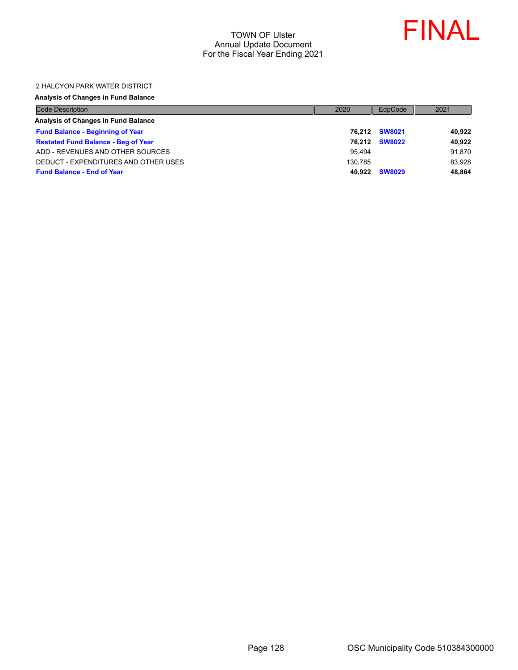

#### 2 HALCYON PARK WATER DISTRICT

#### **Analysis of Changes in Fund Balance**

| <b>Code Description</b>                    | 2020    | EdpCode       | 2021   |
|--------------------------------------------|---------|---------------|--------|
| Analysis of Changes in Fund Balance        |         |               |        |
| <b>Fund Balance - Beginning of Year</b>    |         | 76.212 SW8021 | 40,922 |
| <b>Restated Fund Balance - Beg of Year</b> | 76.212  | <b>SW8022</b> | 40,922 |
| ADD - REVENUES AND OTHER SOURCES           | 95.494  |               | 91,870 |
| DEDUCT - EXPENDITURES AND OTHER USES       | 130.785 |               | 83,928 |
| <b>Fund Balance - End of Year</b>          | 40.922  | <b>SW8029</b> | 48,864 |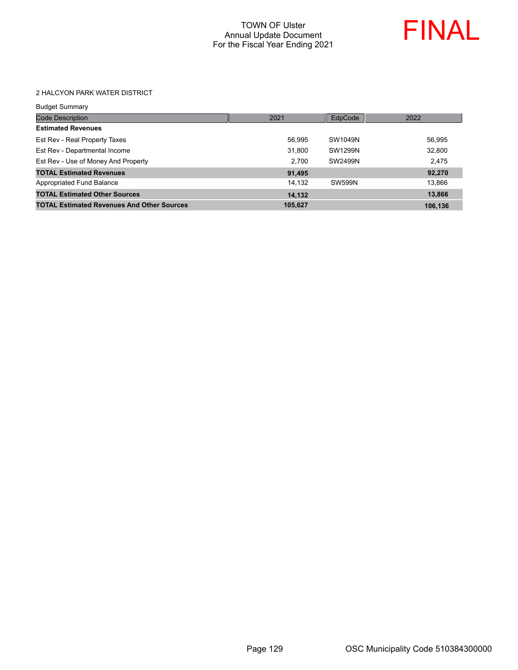

#### 2 HALCYON PARK WATER DISTRICT

| Budget Summary |  |
|----------------|--|
|                |  |

| <b>Code Description</b>                           | 2021    | EdpCode | 2022    |
|---------------------------------------------------|---------|---------|---------|
| <b>Estimated Revenues</b>                         |         |         |         |
| Est Rev - Real Property Taxes                     | 56,995  | SW1049N | 56,995  |
| Est Rev - Departmental Income                     | 31,800  | SW1299N | 32,800  |
| Est Rev - Use of Money And Property               | 2.700   | SW2499N | 2.475   |
| <b>TOTAL Estimated Revenues</b>                   | 91,495  |         | 92,270  |
| Appropriated Fund Balance                         | 14.132  | SW599N  | 13.866  |
| <b>TOTAL Estimated Other Sources</b>              | 14,132  |         | 13,866  |
| <b>TOTAL Estimated Revenues And Other Sources</b> | 105,627 |         | 106.136 |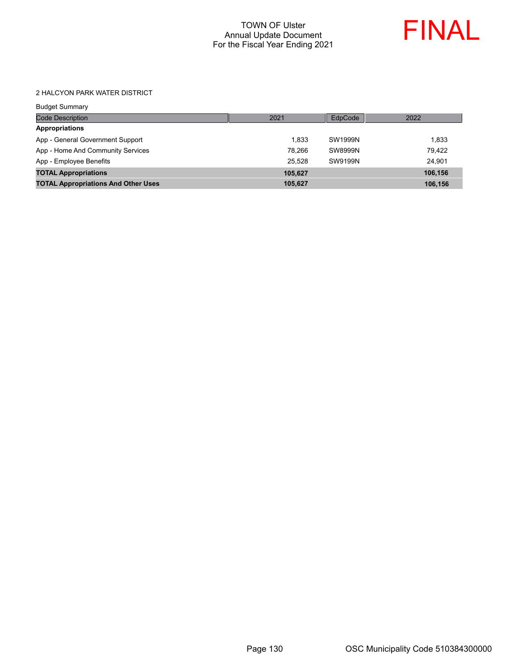

#### 2 HALCYON PARK WATER DISTRICT

| <b>Budget Summary</b>                      |         |                |         |
|--------------------------------------------|---------|----------------|---------|
| <b>Code Description</b>                    | 2021    | EdpCode        | 2022    |
| <b>Appropriations</b>                      |         |                |         |
| App - General Government Support           | 1.833   | SW1999N        | 1,833   |
| App - Home And Community Services          | 78.266  | <b>SW8999N</b> | 79.422  |
| App - Employee Benefits                    | 25.528  | SW9199N        | 24.901  |
| <b>TOTAL Appropriations</b>                | 105,627 |                | 106,156 |
| <b>TOTAL Appropriations And Other Uses</b> | 105,627 |                | 106,156 |
|                                            |         |                |         |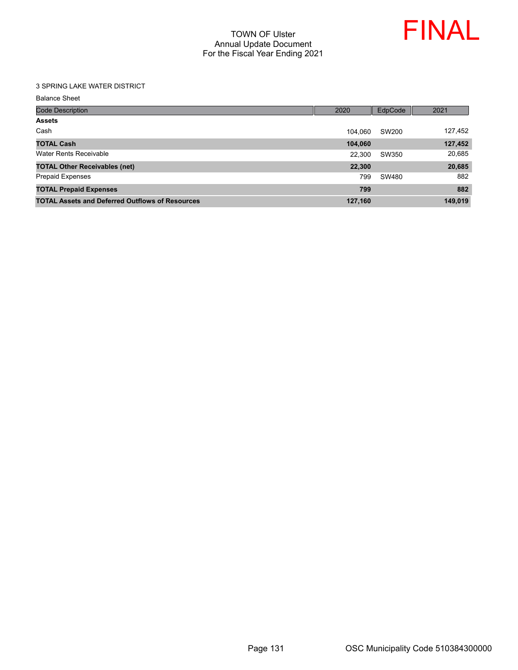

#### 3 SPRING LAKE WATER DISTRICT

Balance Sheet

| <b>Code Description</b>                                | 2020    | EdpCode | 2021    |
|--------------------------------------------------------|---------|---------|---------|
| <b>Assets</b>                                          |         |         |         |
| Cash                                                   | 104.060 | SW200   | 127,452 |
| <b>TOTAL Cash</b>                                      | 104,060 |         | 127,452 |
| Water Rents Receivable                                 | 22.300  | SW350   | 20,685  |
| <b>TOTAL Other Receivables (net)</b>                   | 22,300  |         | 20,685  |
| <b>Prepaid Expenses</b>                                | 799     | SW480   | 882     |
| <b>TOTAL Prepaid Expenses</b>                          | 799     |         | 882     |
| <b>TOTAL Assets and Deferred Outflows of Resources</b> | 127,160 |         | 149,019 |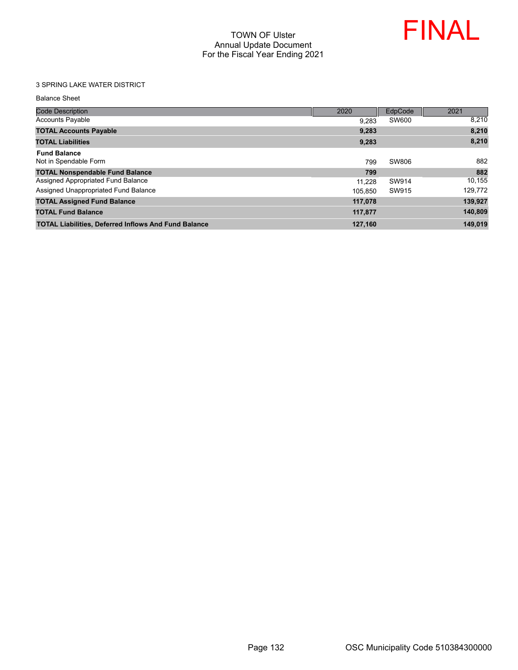

## 3 SPRING LAKE WATER DISTRICT

Balance Sheet

| <b>Code Description</b>                                     | 2020    | EdpCode | 2021    |
|-------------------------------------------------------------|---------|---------|---------|
| <b>Accounts Payable</b>                                     | 9,283   | SW600   | 8.210   |
| <b>TOTAL Accounts Payable</b>                               | 9.283   |         | 8,210   |
| <b>TOTAL Liabilities</b>                                    | 9,283   |         | 8,210   |
| <b>Fund Balance</b>                                         |         |         |         |
| Not in Spendable Form                                       | 799     | SW806   | 882     |
| <b>TOTAL Nonspendable Fund Balance</b>                      | 799     |         | 882     |
| Assigned Appropriated Fund Balance                          | 11.228  | SW914   | 10.155  |
| Assigned Unappropriated Fund Balance                        | 105.850 | SW915   | 129,772 |
| <b>TOTAL Assigned Fund Balance</b>                          | 117.078 |         | 139,927 |
| <b>TOTAL Fund Balance</b>                                   | 117,877 |         | 140,809 |
| <b>TOTAL Liabilities, Deferred Inflows And Fund Balance</b> | 127,160 |         | 149.019 |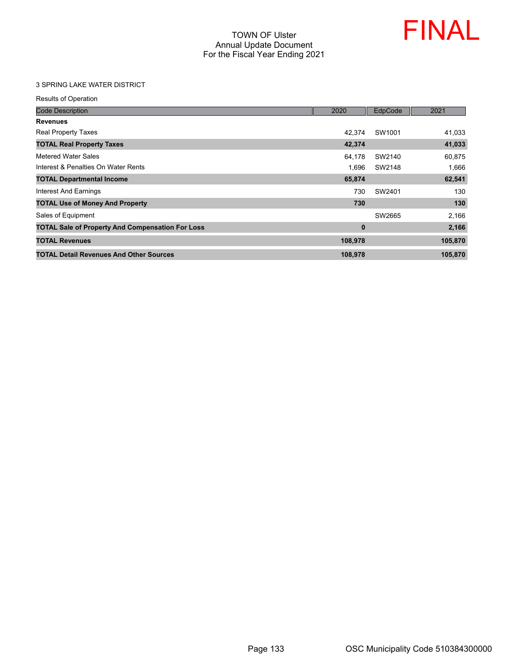

## 3 SPRING LAKE WATER DISTRICT

| <b>Code Description</b>                                 | 2020     | EdpCode | 2021    |
|---------------------------------------------------------|----------|---------|---------|
| <b>Revenues</b>                                         |          |         |         |
| <b>Real Property Taxes</b>                              | 42.374   | SW1001  | 41,033  |
| <b>TOTAL Real Property Taxes</b>                        | 42,374   |         | 41,033  |
| Metered Water Sales                                     | 64,178   | SW2140  | 60,875  |
| Interest & Penalties On Water Rents                     | 1,696    | SW2148  | 1,666   |
| <b>TOTAL Departmental Income</b>                        | 65,874   |         | 62,541  |
| <b>Interest And Earnings</b>                            | 730      | SW2401  | 130     |
| <b>TOTAL Use of Money And Property</b>                  | 730      |         | 130     |
| Sales of Equipment                                      |          | SW2665  | 2,166   |
| <b>TOTAL Sale of Property And Compensation For Loss</b> | $\bf{0}$ |         | 2,166   |
| <b>TOTAL Revenues</b>                                   | 108,978  |         | 105,870 |
| <b>TOTAL Detail Revenues And Other Sources</b>          | 108,978  |         | 105,870 |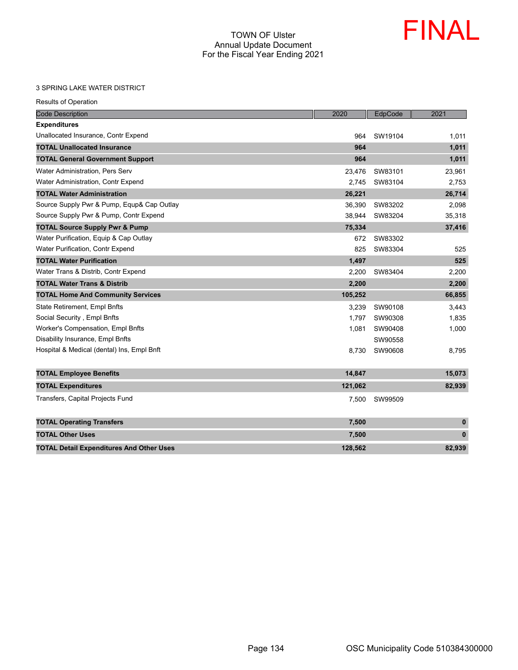

#### 3 SPRING LAKE WATER DISTRICT

| <b>Code Description</b>                         | 2020    | EdpCode | 2021         |
|-------------------------------------------------|---------|---------|--------------|
| <b>Expenditures</b>                             |         |         |              |
| Unallocated Insurance, Contr Expend             | 964     | SW19104 | 1,011        |
| <b>TOTAL Unallocated Insurance</b>              | 964     |         | 1,011        |
| <b>TOTAL General Government Support</b>         | 964     |         | 1,011        |
| Water Administration, Pers Serv                 | 23,476  | SW83101 | 23,961       |
| Water Administration, Contr Expend              | 2.745   | SW83104 | 2,753        |
| <b>TOTAL Water Administration</b>               | 26,221  |         | 26,714       |
| Source Supply Pwr & Pump, Equp& Cap Outlay      | 36,390  | SW83202 | 2,098        |
| Source Supply Pwr & Pump, Contr Expend          | 38,944  | SW83204 | 35,318       |
| <b>TOTAL Source Supply Pwr &amp; Pump</b>       | 75,334  |         | 37,416       |
| Water Purification, Equip & Cap Outlay          | 672     | SW83302 |              |
| Water Purification, Contr Expend                | 825     | SW83304 | 525          |
| <b>TOTAL Water Purification</b>                 | 1,497   |         | 525          |
| Water Trans & Distrib, Contr Expend             | 2,200   | SW83404 | 2,200        |
| <b>TOTAL Water Trans &amp; Distrib</b>          | 2,200   |         | 2,200        |
| <b>TOTAL Home And Community Services</b>        | 105,252 |         | 66,855       |
| State Retirement, Empl Bnfts                    | 3,239   | SW90108 | 3,443        |
| Social Security, Empl Bnfts                     | 1,797   | SW90308 | 1,835        |
| Worker's Compensation, Empl Bnfts               | 1,081   | SW90408 | 1,000        |
| Disability Insurance, Empl Bnfts                |         | SW90558 |              |
| Hospital & Medical (dental) Ins, Empl Bnft      | 8,730   | SW90608 | 8,795        |
| <b>TOTAL Employee Benefits</b>                  | 14,847  |         | 15,073       |
| <b>TOTAL Expenditures</b>                       | 121,062 |         | 82,939       |
|                                                 |         |         |              |
| Transfers, Capital Projects Fund                | 7,500   | SW99509 |              |
| <b>TOTAL Operating Transfers</b>                | 7,500   |         | $\mathbf{0}$ |
| <b>TOTAL Other Uses</b>                         | 7,500   |         | $\mathbf{0}$ |
| <b>TOTAL Detail Expenditures And Other Uses</b> | 128,562 |         | 82,939       |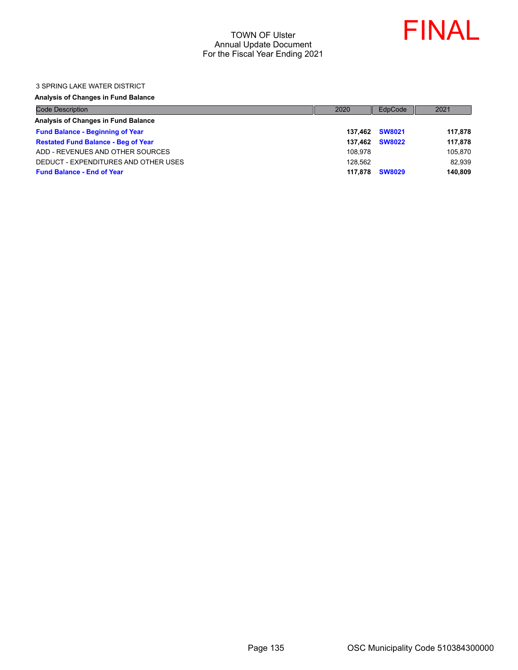

#### 3 SPRING LAKE WATER DISTRICT

#### **Analysis of Changes in Fund Balance**

| <b>Code Description</b>                    | 2020    | EdpCode        | 2021    |
|--------------------------------------------|---------|----------------|---------|
| Analysis of Changes in Fund Balance        |         |                |         |
| <b>Fund Balance - Beginning of Year</b>    |         | 137.462 SW8021 | 117,878 |
| <b>Restated Fund Balance - Beg of Year</b> | 137.462 | <b>SW8022</b>  | 117,878 |
| ADD - REVENUES AND OTHER SOURCES           | 108.978 |                | 105,870 |
| DEDUCT - EXPENDITURES AND OTHER USES       | 128.562 |                | 82,939  |
| <b>Fund Balance - End of Year</b>          | 117.878 | <b>SW8029</b>  | 140,809 |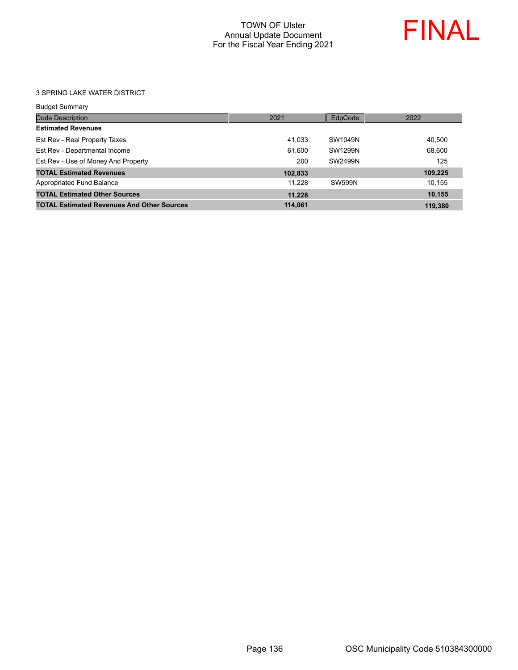

#### 3 SPRING LAKE WATER DISTRICT

| Budget Summary |  |
|----------------|--|

| <b>Code Description</b>                           | 2021    | EdpCode | 2022    |
|---------------------------------------------------|---------|---------|---------|
| <b>Estimated Revenues</b>                         |         |         |         |
| Est Rev - Real Property Taxes                     | 41,033  | SW1049N | 40.500  |
| Est Rev - Departmental Income                     | 61.600  | SW1299N | 68.600  |
| Est Rev - Use of Money And Property               | 200     | SW2499N | 125     |
| <b>TOTAL Estimated Revenues</b>                   | 102,833 |         | 109,225 |
| Appropriated Fund Balance                         | 11.228  | SW599N  | 10.155  |
| <b>TOTAL Estimated Other Sources</b>              | 11,228  |         | 10.155  |
| <b>TOTAL Estimated Revenues And Other Sources</b> | 114.061 |         | 119.380 |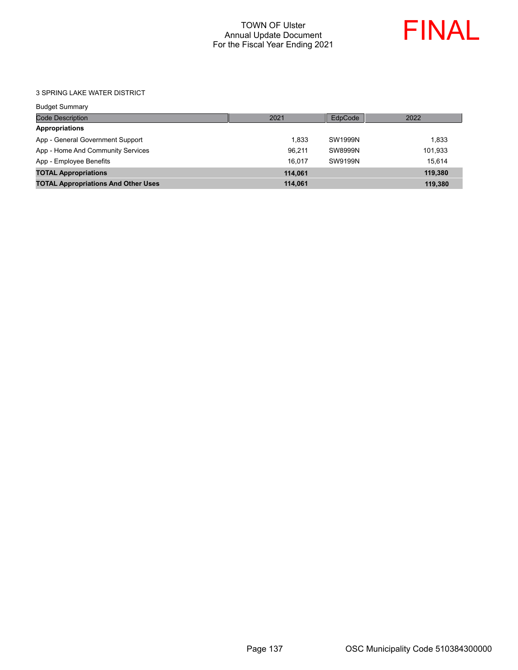

3 SPRING LAKE WATER DISTRICT

| <b>Budget Summary</b>                      |         |         |         |
|--------------------------------------------|---------|---------|---------|
| <b>Code Description</b>                    | 2021    | EdpCode | 2022    |
| <b>Appropriations</b>                      |         |         |         |
| App - General Government Support           | 1.833   | SW1999N | 1.833   |
| App - Home And Community Services          | 96.211  | SW8999N | 101.933 |
| App - Employee Benefits                    | 16.017  | SW9199N | 15.614  |
| <b>TOTAL Appropriations</b>                | 114.061 |         | 119.380 |
| <b>TOTAL Appropriations And Other Uses</b> | 114,061 |         | 119,380 |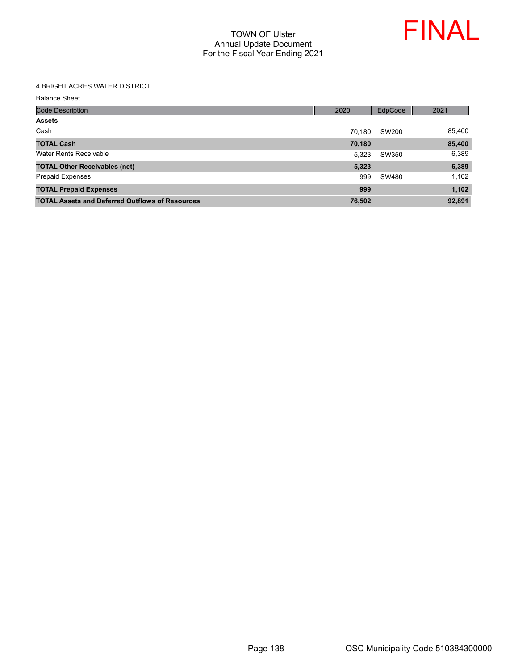

#### 4 BRIGHT ACRES WATER DISTRICT

Balance Sheet

| <b>Code Description</b>                                | 2020   | EdpCode | 2021   |
|--------------------------------------------------------|--------|---------|--------|
| <b>Assets</b>                                          |        |         |        |
| Cash                                                   | 70.180 | SW200   | 85.400 |
| <b>TOTAL Cash</b>                                      | 70,180 |         | 85,400 |
| Water Rents Receivable                                 | 5.323  | SW350   | 6,389  |
| <b>TOTAL Other Receivables (net)</b>                   | 5,323  |         | 6,389  |
| <b>Prepaid Expenses</b>                                | 999    | SW480   | 1,102  |
| <b>TOTAL Prepaid Expenses</b>                          | 999    |         | 1,102  |
| <b>TOTAL Assets and Deferred Outflows of Resources</b> | 76,502 |         | 92,891 |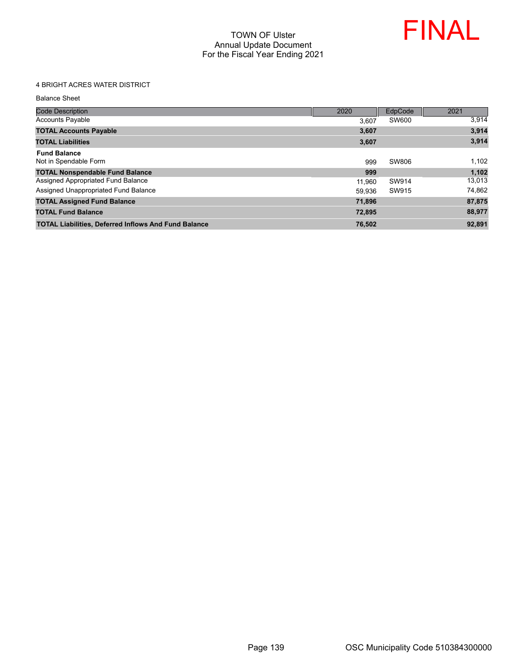

## 4 BRIGHT ACRES WATER DISTRICT

Balance Sheet

| <b>Code Description</b>                                     | 2020   | EdpCode | 2021   |
|-------------------------------------------------------------|--------|---------|--------|
| <b>Accounts Payable</b>                                     | 3.607  | SW600   | 3,914  |
| <b>TOTAL Accounts Payable</b>                               | 3,607  |         | 3,914  |
| <b>TOTAL Liabilities</b>                                    | 3,607  |         | 3,914  |
| <b>Fund Balance</b><br>Not in Spendable Form                | 999    | SW806   | 1,102  |
| <b>TOTAL Nonspendable Fund Balance</b>                      | 999    |         | 1,102  |
| Assigned Appropriated Fund Balance                          | 11.960 | SW914   | 13.013 |
| Assigned Unappropriated Fund Balance                        | 59.936 | SW915   | 74,862 |
| <b>TOTAL Assigned Fund Balance</b>                          | 71.896 |         | 87,875 |
| <b>TOTAL Fund Balance</b>                                   | 72.895 |         | 88,977 |
| <b>TOTAL Liabilities, Deferred Inflows And Fund Balance</b> | 76.502 |         | 92.891 |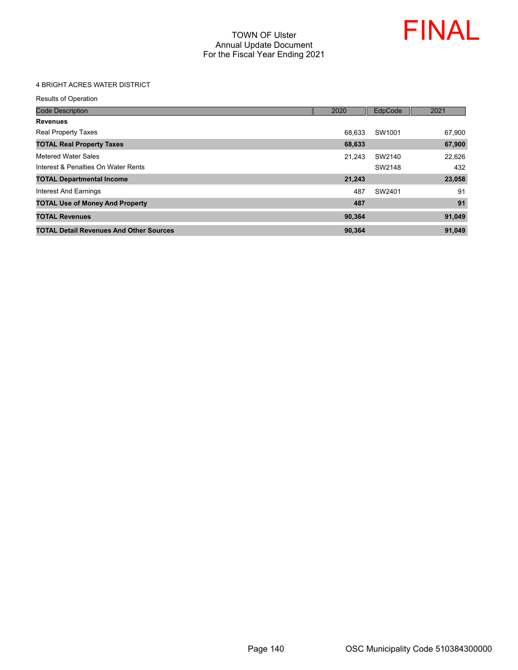

## 4 BRIGHT ACRES WATER DISTRICT

| <b>Code Description</b>                        | 2020   | EdpCode | 2021   |
|------------------------------------------------|--------|---------|--------|
| <b>Revenues</b>                                |        |         |        |
| <b>Real Property Taxes</b>                     | 68.633 | SW1001  | 67,900 |
| <b>TOTAL Real Property Taxes</b>               | 68,633 |         | 67,900 |
| Metered Water Sales                            | 21.243 | SW2140  | 22,626 |
| Interest & Penalties On Water Rents            |        | SW2148  | 432    |
| <b>TOTAL Departmental Income</b>               | 21,243 |         | 23,058 |
| Interest And Earnings                          | 487    | SW2401  | 91     |
| <b>TOTAL Use of Money And Property</b>         | 487    |         | 91     |
| <b>TOTAL Revenues</b>                          | 90,364 |         | 91,049 |
| <b>TOTAL Detail Revenues And Other Sources</b> | 90.364 |         | 91.049 |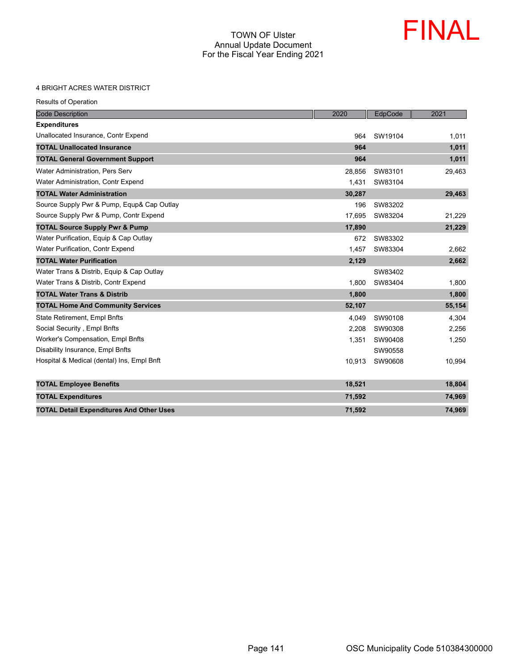

#### 4 BRIGHT ACRES WATER DISTRICT

| <b>Code Description</b>                         | 2020   | EdpCode | 2021   |
|-------------------------------------------------|--------|---------|--------|
| <b>Expenditures</b>                             |        |         |        |
| Unallocated Insurance, Contr Expend             | 964    | SW19104 | 1,011  |
| <b>TOTAL Unallocated Insurance</b>              | 964    |         | 1,011  |
| <b>TOTAL General Government Support</b>         | 964    |         | 1,011  |
| Water Administration, Pers Serv                 | 28,856 | SW83101 | 29,463 |
| Water Administration, Contr Expend              | 1.431  | SW83104 |        |
| <b>TOTAL Water Administration</b>               | 30,287 |         | 29,463 |
| Source Supply Pwr & Pump, Equp& Cap Outlay      | 196    | SW83202 |        |
| Source Supply Pwr & Pump, Contr Expend          | 17,695 | SW83204 | 21,229 |
| <b>TOTAL Source Supply Pwr &amp; Pump</b>       | 17,890 |         | 21,229 |
| Water Purification, Equip & Cap Outlay          | 672    | SW83302 |        |
| <b>Water Purification, Contr Expend</b>         | 1,457  | SW83304 | 2,662  |
| <b>TOTAL Water Purification</b>                 | 2,129  |         | 2,662  |
| Water Trans & Distrib, Equip & Cap Outlay       |        | SW83402 |        |
| Water Trans & Distrib, Contr Expend             | 1,800  | SW83404 | 1,800  |
| <b>TOTAL Water Trans &amp; Distrib</b>          | 1,800  |         | 1,800  |
| <b>TOTAL Home And Community Services</b>        | 52,107 |         | 55,154 |
| State Retirement, Empl Bnfts                    | 4.049  | SW90108 | 4,304  |
| Social Security, Empl Bnfts                     | 2,208  | SW90308 | 2,256  |
| <b>Worker's Compensation, Empl Bnfts</b>        | 1,351  | SW90408 | 1,250  |
| Disability Insurance, Empl Bnfts                |        | SW90558 |        |
| Hospital & Medical (dental) Ins, Empl Bnft      | 10,913 | SW90608 | 10,994 |
| <b>TOTAL Employee Benefits</b>                  | 18,521 |         | 18,804 |
| <b>TOTAL Expenditures</b>                       | 71,592 |         | 74,969 |
| <b>TOTAL Detail Expenditures And Other Uses</b> | 71.592 |         | 74.969 |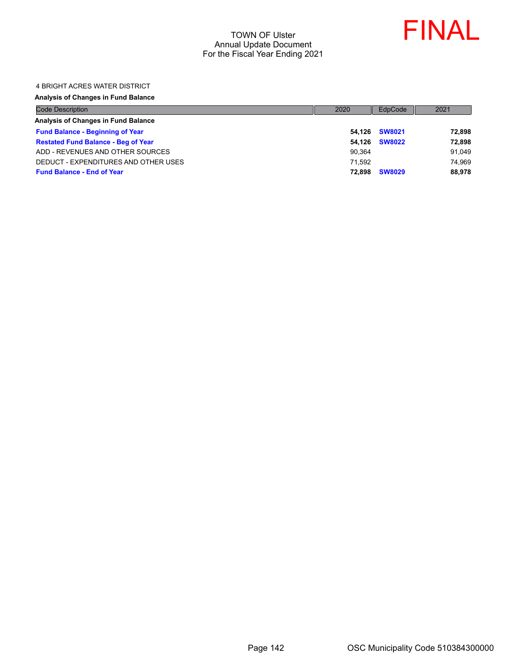

#### 4 BRIGHT ACRES WATER DISTRICT

#### **Analysis of Changes in Fund Balance**

| <b>Code Description</b>                    | 2020   | EdpCode       | 2021   |
|--------------------------------------------|--------|---------------|--------|
| Analysis of Changes in Fund Balance        |        |               |        |
| <b>Fund Balance - Beginning of Year</b>    |        | 54.126 SW8021 | 72,898 |
| <b>Restated Fund Balance - Beg of Year</b> | 54.126 | <b>SW8022</b> | 72,898 |
| ADD - REVENUES AND OTHER SOURCES           | 90.364 |               | 91.049 |
| DEDUCT - EXPENDITURES AND OTHER USES       | 71.592 |               | 74.969 |
| <b>Fund Balance - End of Year</b>          | 72.898 | <b>SW8029</b> | 88,978 |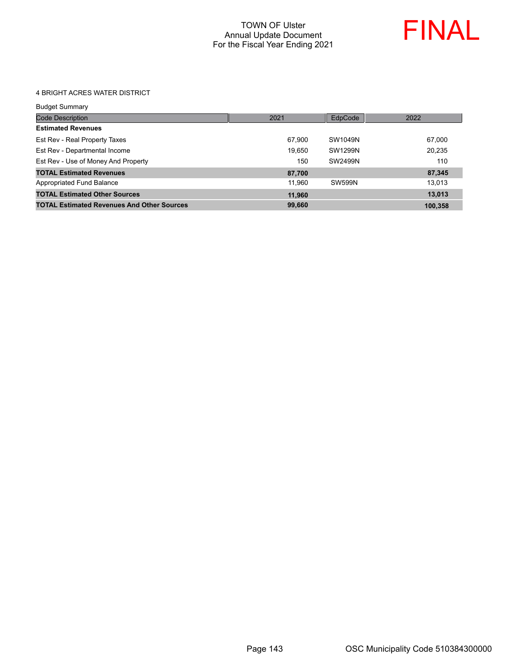

#### 4 BRIGHT ACRES WATER DISTRICT

| Budget Summary |  |
|----------------|--|
|                |  |

| <b>Code Description</b>                           | 2021   | EdpCode       | 2022    |
|---------------------------------------------------|--------|---------------|---------|
| <b>Estimated Revenues</b>                         |        |               |         |
| Est Rev - Real Property Taxes                     | 67.900 | SW1049N       | 67.000  |
| Est Rev - Departmental Income                     | 19,650 | SW1299N       | 20,235  |
| Est Rev - Use of Money And Property               | 150    | SW2499N       | 110     |
| <b>TOTAL Estimated Revenues</b>                   | 87,700 |               | 87,345  |
| Appropriated Fund Balance                         | 11.960 | <b>SW599N</b> | 13,013  |
| <b>TOTAL Estimated Other Sources</b>              | 11.960 |               | 13,013  |
| <b>TOTAL Estimated Revenues And Other Sources</b> | 99.660 |               | 100.358 |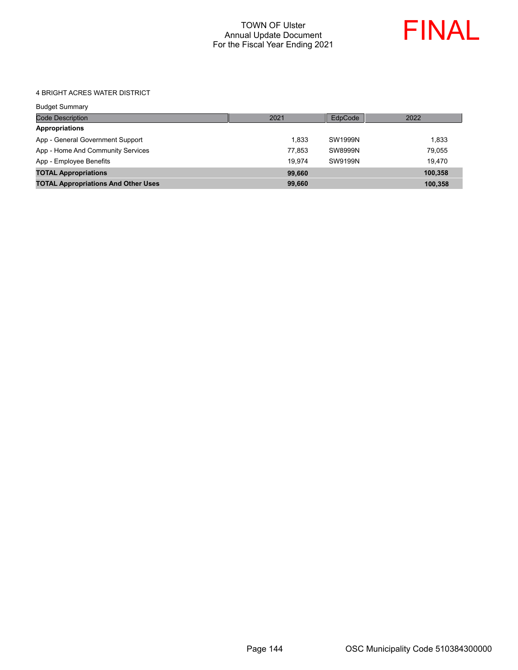

#### 4 BRIGHT ACRES WATER DISTRICT

| <b>Code Description</b>                    | 2021   | EdpCode | 2022    |
|--------------------------------------------|--------|---------|---------|
| <b>Appropriations</b>                      |        |         |         |
| App - General Government Support           | 1.833  | SW1999N | 1.833   |
| App - Home And Community Services          | 77.853 | SW8999N | 79.055  |
| App - Employee Benefits                    | 19.974 | SW9199N | 19.470  |
| <b>TOTAL Appropriations</b>                | 99,660 |         | 100.358 |
| <b>TOTAL Appropriations And Other Uses</b> | 99,660 |         | 100,358 |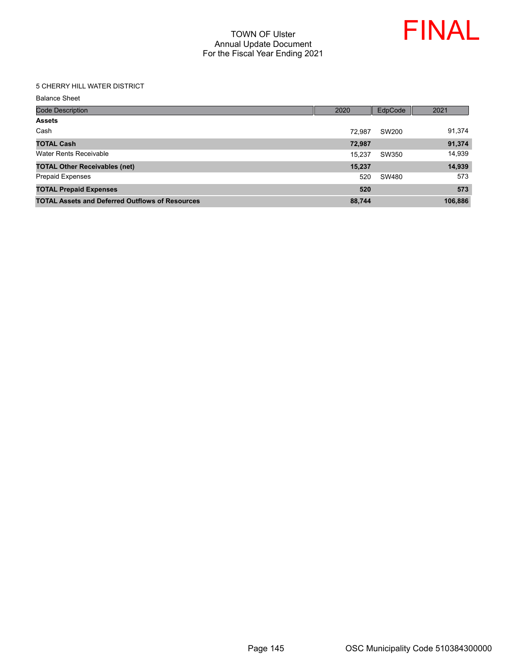

#### 5 CHERRY HILL WATER DISTRICT

| <b>Code Description</b>                                | 2020   | EdpCode | 2021    |
|--------------------------------------------------------|--------|---------|---------|
| <b>Assets</b>                                          |        |         |         |
| Cash                                                   | 72.987 | SW200   | 91,374  |
| <b>TOTAL Cash</b>                                      | 72,987 |         | 91,374  |
| Water Rents Receivable                                 | 15,237 | SW350   | 14,939  |
| <b>TOTAL Other Receivables (net)</b>                   | 15,237 |         | 14,939  |
| <b>Prepaid Expenses</b>                                | 520    | SW480   | 573     |
| <b>TOTAL Prepaid Expenses</b>                          | 520    |         | 573     |
| <b>TOTAL Assets and Deferred Outflows of Resources</b> | 88,744 |         | 106,886 |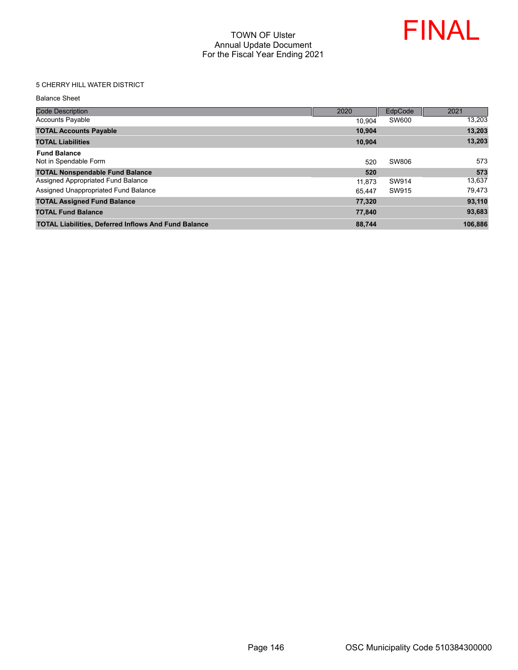

### 5 CHERRY HILL WATER DISTRICT

| <b>Code Description</b>                                     | 2020   | EdpCode | 2021    |
|-------------------------------------------------------------|--------|---------|---------|
| <b>Accounts Payable</b>                                     | 10.904 | SW600   | 13,203  |
| <b>TOTAL Accounts Payable</b>                               | 10.904 |         | 13,203  |
| <b>TOTAL Liabilities</b>                                    | 10.904 |         | 13,203  |
| <b>Fund Balance</b><br>Not in Spendable Form                | 520    | SW806   | 573     |
| <b>TOTAL Nonspendable Fund Balance</b>                      | 520    |         | 573     |
| Assigned Appropriated Fund Balance                          | 11.873 | SW914   | 13.637  |
| Assigned Unappropriated Fund Balance                        | 65.447 | SW915   | 79,473  |
| <b>TOTAL Assigned Fund Balance</b>                          | 77,320 |         | 93,110  |
| <b>TOTAL Fund Balance</b>                                   | 77.840 |         | 93,683  |
| <b>TOTAL Liabilities, Deferred Inflows And Fund Balance</b> | 88,744 |         | 106.886 |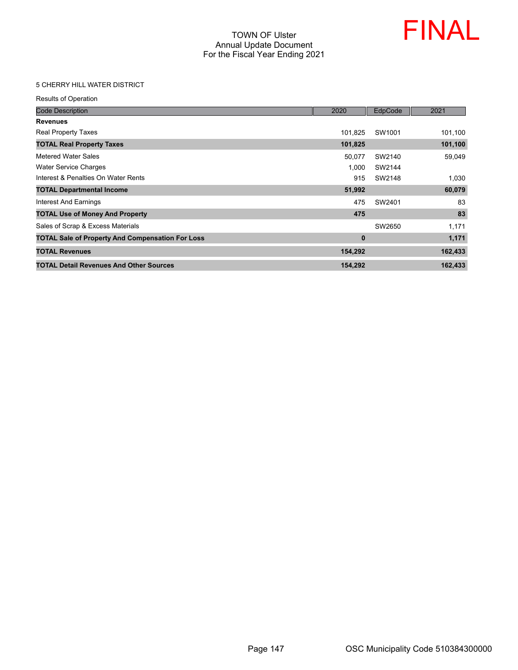

#### 5 CHERRY HILL WATER DISTRICT

Results of Operation

| <b>Code Description</b>                                 | 2020     | EdpCode | 2021    |
|---------------------------------------------------------|----------|---------|---------|
| <b>Revenues</b>                                         |          |         |         |
| <b>Real Property Taxes</b>                              | 101.825  | SW1001  | 101,100 |
| <b>TOTAL Real Property Taxes</b>                        | 101,825  |         | 101,100 |
| Metered Water Sales                                     | 50,077   | SW2140  | 59,049  |
| Water Service Charges                                   | 1.000    | SW2144  |         |
| Interest & Penalties On Water Rents                     | 915      | SW2148  | 1,030   |
| <b>TOTAL Departmental Income</b>                        | 51,992   |         | 60,079  |
| Interest And Earnings                                   | 475      | SW2401  | 83      |
| <b>TOTAL Use of Money And Property</b>                  | 475      |         | 83      |
| Sales of Scrap & Excess Materials                       |          | SW2650  | 1,171   |
| <b>TOTAL Sale of Property And Compensation For Loss</b> | $\bf{0}$ |         | 1,171   |
| <b>TOTAL Revenues</b>                                   | 154,292  |         | 162,433 |
| <b>TOTAL Detail Revenues And Other Sources</b>          | 154,292  |         | 162,433 |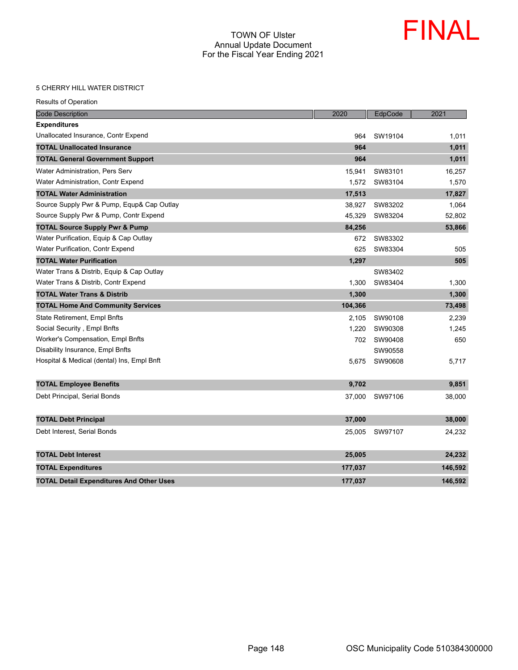

#### 5 CHERRY HILL WATER DISTRICT

|  | <b>Results of Operation</b> |
|--|-----------------------------|
|  |                             |

| <b>Code Description</b>                         | 2020    | EdpCode | 2021    |
|-------------------------------------------------|---------|---------|---------|
| <b>Expenditures</b>                             |         |         |         |
| Unallocated Insurance, Contr Expend             | 964     | SW19104 | 1,011   |
| <b>TOTAL Unallocated Insurance</b>              | 964     |         | 1,011   |
| <b>TOTAL General Government Support</b>         | 964     |         | 1,011   |
| Water Administration, Pers Serv                 | 15,941  | SW83101 | 16,257  |
| Water Administration, Contr Expend              | 1,572   | SW83104 | 1,570   |
| <b>TOTAL Water Administration</b>               | 17,513  |         | 17,827  |
| Source Supply Pwr & Pump, Equp& Cap Outlay      | 38,927  | SW83202 | 1,064   |
| Source Supply Pwr & Pump, Contr Expend          | 45.329  | SW83204 | 52,802  |
| <b>TOTAL Source Supply Pwr &amp; Pump</b>       | 84,256  |         | 53,866  |
| Water Purification, Equip & Cap Outlay          | 672     | SW83302 |         |
| Water Purification, Contr Expend                | 625     | SW83304 | 505     |
| <b>TOTAL Water Purification</b>                 | 1,297   |         | 505     |
| Water Trans & Distrib, Equip & Cap Outlay       |         | SW83402 |         |
| Water Trans & Distrib, Contr Expend             | 1,300   | SW83404 | 1,300   |
| <b>TOTAL Water Trans &amp; Distrib</b>          | 1,300   |         | 1,300   |
| <b>TOTAL Home And Community Services</b>        | 104,366 |         | 73,498  |
| State Retirement, Empl Bnfts                    | 2,105   | SW90108 | 2,239   |
| Social Security, Empl Bnfts                     | 1.220   | SW90308 | 1,245   |
| Worker's Compensation, Empl Bnfts               | 702     | SW90408 | 650     |
| Disability Insurance, Empl Bnfts                |         | SW90558 |         |
| Hospital & Medical (dental) Ins, Empl Bnft      | 5,675   | SW90608 | 5,717   |
| <b>TOTAL Employee Benefits</b>                  | 9,702   |         | 9,851   |
| Debt Principal, Serial Bonds                    | 37,000  | SW97106 | 38,000  |
| <b>TOTAL Debt Principal</b>                     | 37,000  |         | 38,000  |
| Debt Interest, Serial Bonds                     | 25,005  | SW97107 | 24,232  |
| <b>TOTAL Debt Interest</b>                      | 25,005  |         | 24,232  |
| <b>TOTAL Expenditures</b>                       | 177,037 |         | 146,592 |
| <b>TOTAL Detail Expenditures And Other Uses</b> | 177,037 |         | 146,592 |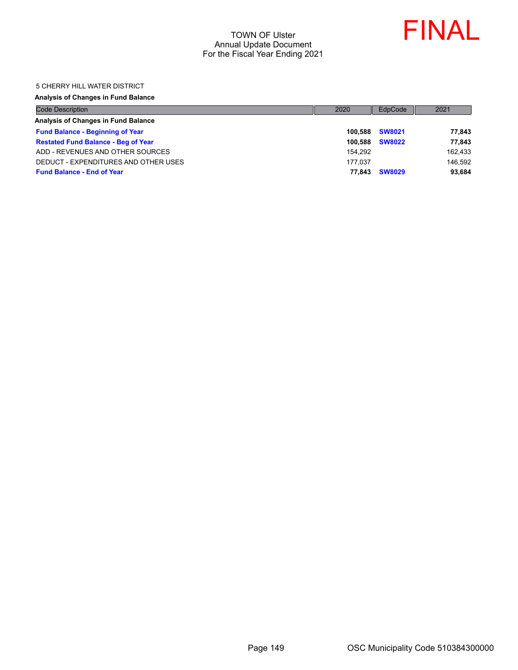

#### 5 CHERRY HILL WATER DISTRICT

#### **Analysis of Changes in Fund Balance**

| <b>Code Description</b>                    | 2020    | EdpCode       | 2021    |
|--------------------------------------------|---------|---------------|---------|
| Analysis of Changes in Fund Balance        |         |               |         |
| <b>Fund Balance - Beginning of Year</b>    | 100.588 | <b>SW8021</b> | 77,843  |
| <b>Restated Fund Balance - Beg of Year</b> | 100.588 | <b>SW8022</b> | 77,843  |
| ADD - REVENUES AND OTHER SOURCES           | 154.292 |               | 162,433 |
| DEDUCT - EXPENDITURES AND OTHER USES       | 177.037 |               | 146.592 |
| <b>Fund Balance - End of Year</b>          | 77.843  | <b>SW8029</b> | 93,684  |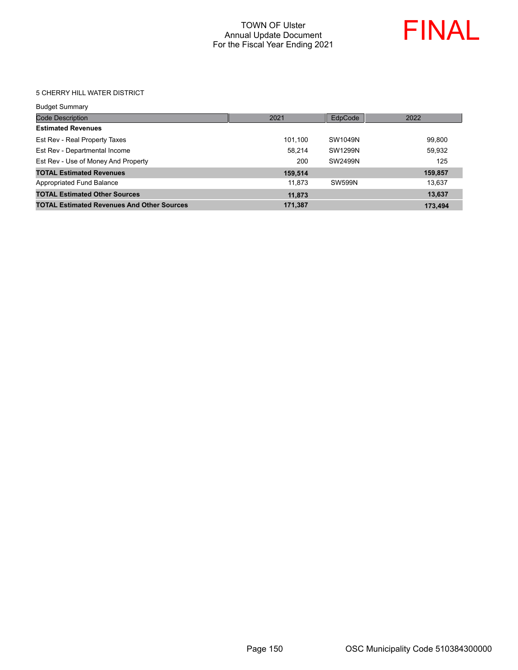

#### 5 CHERRY HILL WATER DISTRICT

| <b>Budget Summary</b>                             |         |               |         |
|---------------------------------------------------|---------|---------------|---------|
| <b>Code Description</b>                           | 2021    | EdpCode       | 2022    |
| <b>Estimated Revenues</b>                         |         |               |         |
| Est Rev - Real Property Taxes                     | 101.100 | SW1049N       | 99,800  |
| Est Rev - Departmental Income                     | 58.214  | SW1299N       | 59,932  |
| Est Rev - Use of Money And Property               | 200     | SW2499N       | 125     |
| <b>TOTAL Estimated Revenues</b>                   | 159,514 |               | 159,857 |
| Appropriated Fund Balance                         | 11.873  | <b>SW599N</b> | 13.637  |
| <b>TOTAL Estimated Other Sources</b>              | 11,873  |               | 13,637  |
| <b>TOTAL Estimated Revenues And Other Sources</b> | 171,387 |               | 173.494 |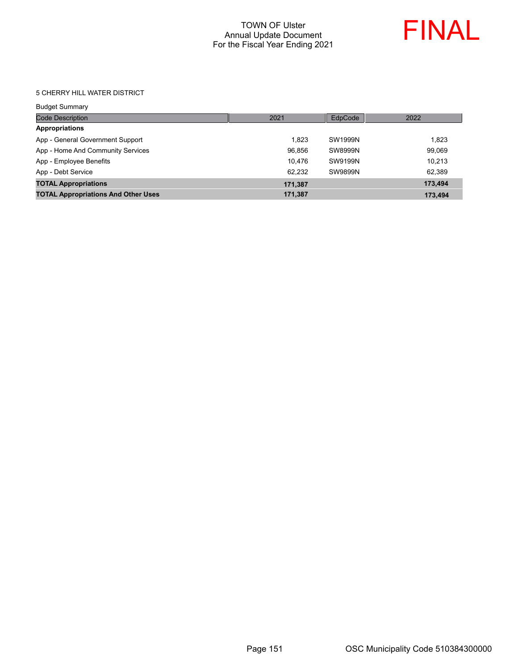

#### 5 CHERRY HILL WATER DISTRICT

| <b>Budget Summary</b>                      |         |         |         |
|--------------------------------------------|---------|---------|---------|
| <b>Code Description</b>                    | 2021    | EdpCode | 2022    |
| <b>Appropriations</b>                      |         |         |         |
| App - General Government Support           | 1.823   | SW1999N | 1,823   |
| App - Home And Community Services          | 96,856  | SW8999N | 99,069  |
| App - Employee Benefits                    | 10.476  | SW9199N | 10.213  |
| App - Debt Service                         | 62.232  | SW9899N | 62,389  |
| <b>TOTAL Appropriations</b>                | 171,387 |         | 173.494 |
| <b>TOTAL Appropriations And Other Uses</b> | 171,387 |         | 173,494 |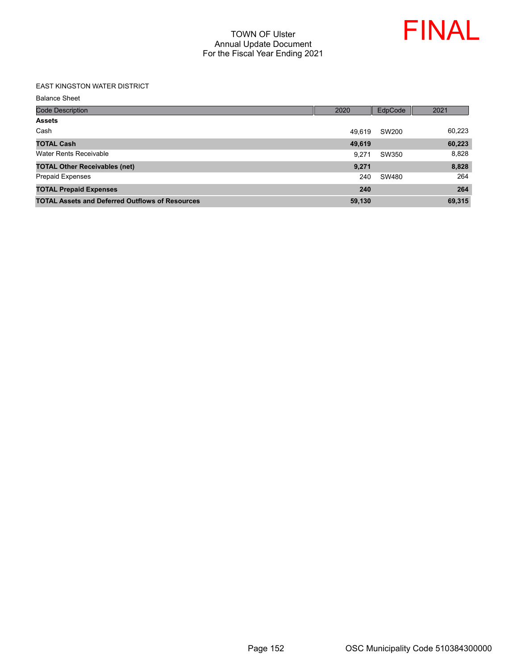

#### EAST KINGSTON WATER DISTRICT

| <b>Code Description</b>                                | 2020   | EdpCode | 2021   |
|--------------------------------------------------------|--------|---------|--------|
| <b>Assets</b>                                          |        |         |        |
| Cash                                                   | 49.619 | SW200   | 60,223 |
| <b>TOTAL Cash</b>                                      | 49,619 |         | 60,223 |
| Water Rents Receivable                                 | 9.271  | SW350   | 8,828  |
| <b>TOTAL Other Receivables (net)</b>                   | 9,271  |         | 8,828  |
| <b>Prepaid Expenses</b>                                | 240    | SW480   | 264    |
| <b>TOTAL Prepaid Expenses</b>                          | 240    |         | 264    |
| <b>TOTAL Assets and Deferred Outflows of Resources</b> | 59,130 |         | 69,315 |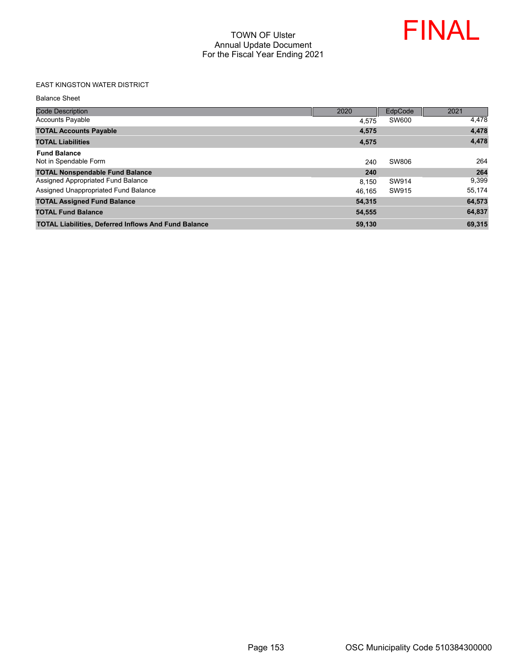

### EAST KINGSTON WATER DISTRICT

| <b>Code Description</b>                                     | 2020   | EdpCode | 2021   |
|-------------------------------------------------------------|--------|---------|--------|
| <b>Accounts Payable</b>                                     | 4.575  | SW600   | 4,478  |
| <b>TOTAL Accounts Payable</b>                               | 4,575  |         | 4,478  |
| <b>TOTAL Liabilities</b>                                    | 4,575  |         | 4,478  |
| <b>Fund Balance</b><br>Not in Spendable Form                | 240    | SW806   | 264    |
| <b>TOTAL Nonspendable Fund Balance</b>                      | 240    |         | 264    |
| Assigned Appropriated Fund Balance                          | 8.150  | SW914   | 9,399  |
| Assigned Unappropriated Fund Balance                        | 46.165 | SW915   | 55,174 |
| <b>TOTAL Assigned Fund Balance</b>                          | 54.315 |         | 64,573 |
| <b>TOTAL Fund Balance</b>                                   | 54,555 |         | 64,837 |
| <b>TOTAL Liabilities, Deferred Inflows And Fund Balance</b> | 59,130 |         | 69,315 |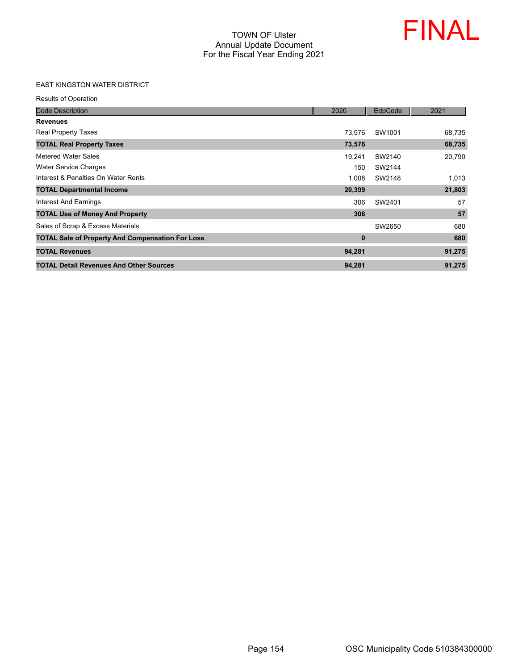

### EAST KINGSTON WATER DISTRICT

Results of Operation

| <b>Code Description</b>                                 | 2020     | EdpCode | 2021   |
|---------------------------------------------------------|----------|---------|--------|
| <b>Revenues</b>                                         |          |         |        |
| <b>Real Property Taxes</b>                              | 73.576   | SW1001  | 68,735 |
| <b>TOTAL Real Property Taxes</b>                        | 73,576   |         | 68,735 |
| Metered Water Sales                                     | 19,241   | SW2140  | 20,790 |
| Water Service Charges                                   | 150      | SW2144  |        |
| Interest & Penalties On Water Rents                     | 1.008    | SW2148  | 1,013  |
| <b>TOTAL Departmental Income</b>                        | 20,399   |         | 21,803 |
| Interest And Earnings                                   | 306      | SW2401  | 57     |
| <b>TOTAL Use of Money And Property</b>                  | 306      |         | 57     |
| Sales of Scrap & Excess Materials                       |          | SW2650  | 680    |
| <b>TOTAL Sale of Property And Compensation For Loss</b> | $\bf{0}$ |         | 680    |
| <b>TOTAL Revenues</b>                                   | 94,281   |         | 91,275 |
| <b>TOTAL Detail Revenues And Other Sources</b>          | 94,281   |         | 91,275 |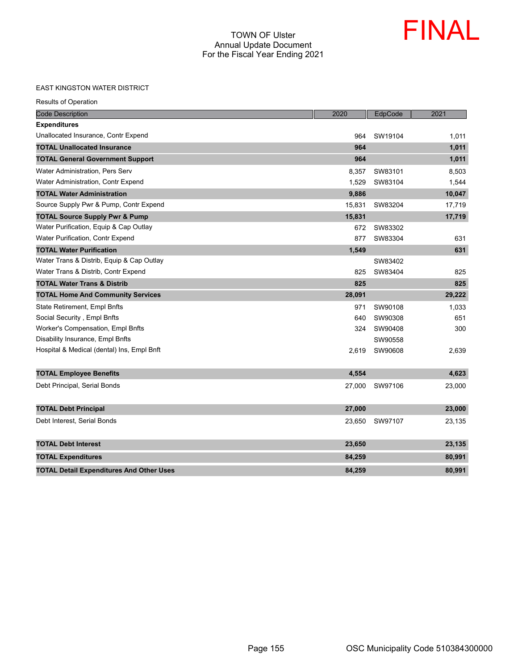

#### EAST KINGSTON WATER DISTRICT

| <b>Code Description</b>                         | 2020   | EdpCode | 2021   |
|-------------------------------------------------|--------|---------|--------|
| <b>Expenditures</b>                             |        |         |        |
| Unallocated Insurance, Contr Expend             | 964    | SW19104 | 1,011  |
| <b>TOTAL Unallocated Insurance</b>              | 964    |         | 1,011  |
| <b>TOTAL General Government Support</b>         | 964    |         | 1,011  |
| Water Administration, Pers Serv                 | 8,357  | SW83101 | 8,503  |
| Water Administration, Contr Expend              | 1,529  | SW83104 | 1,544  |
| <b>TOTAL Water Administration</b>               | 9,886  |         | 10,047 |
| Source Supply Pwr & Pump, Contr Expend          | 15,831 | SW83204 | 17,719 |
| <b>TOTAL Source Supply Pwr &amp; Pump</b>       | 15,831 |         | 17,719 |
| Water Purification, Equip & Cap Outlay          | 672    | SW83302 |        |
| Water Purification, Contr Expend                | 877    | SW83304 | 631    |
| <b>TOTAL Water Purification</b>                 | 1,549  |         | 631    |
| Water Trans & Distrib, Equip & Cap Outlay       |        | SW83402 |        |
| Water Trans & Distrib, Contr Expend             | 825    | SW83404 | 825    |
| <b>TOTAL Water Trans &amp; Distrib</b>          | 825    |         | 825    |
| <b>TOTAL Home And Community Services</b>        | 28,091 |         | 29,222 |
| State Retirement, Empl Bnfts                    | 971    | SW90108 | 1,033  |
| Social Security, Empl Bnfts                     | 640    | SW90308 | 651    |
| Worker's Compensation, Empl Bnfts               | 324    | SW90408 | 300    |
| Disability Insurance, Empl Bnfts                |        | SW90558 |        |
| Hospital & Medical (dental) Ins, Empl Bnft      | 2,619  | SW90608 | 2,639  |
| <b>TOTAL Employee Benefits</b>                  | 4,554  |         | 4,623  |
| Debt Principal, Serial Bonds                    | 27,000 | SW97106 | 23,000 |
| <b>TOTAL Debt Principal</b>                     | 27,000 |         | 23,000 |
| Debt Interest, Serial Bonds                     | 23,650 | SW97107 | 23,135 |
| <b>TOTAL Debt Interest</b>                      | 23,650 |         | 23,135 |
| <b>TOTAL Expenditures</b>                       | 84,259 |         | 80,991 |
| <b>TOTAL Detail Expenditures And Other Uses</b> | 84,259 |         | 80,991 |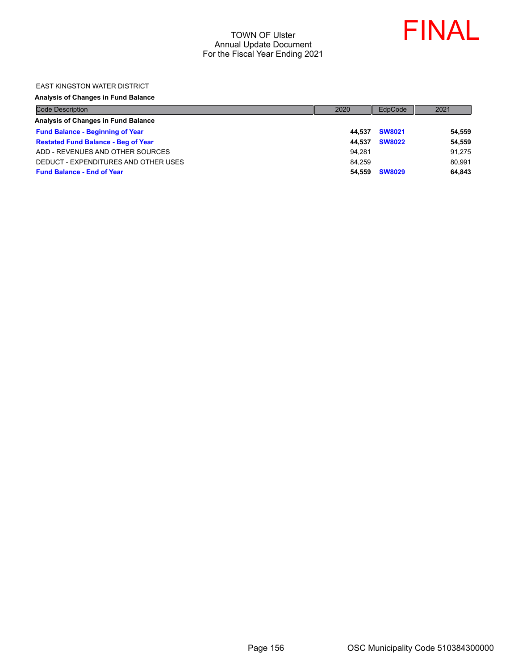

#### EAST KINGSTON WATER DISTRICT

#### **Analysis of Changes in Fund Balance**

| <b>Code Description</b>                    | 2020   | EdpCode       | 2021   |
|--------------------------------------------|--------|---------------|--------|
| Analysis of Changes in Fund Balance        |        |               |        |
| <b>Fund Balance - Beginning of Year</b>    | 44.537 | <b>SW8021</b> | 54,559 |
| <b>Restated Fund Balance - Beg of Year</b> | 44.537 | <b>SW8022</b> | 54,559 |
| ADD - REVENUES AND OTHER SOURCES           | 94.281 |               | 91,275 |
| DEDUCT - EXPENDITURES AND OTHER USES       | 84.259 |               | 80.991 |
| <b>Fund Balance - End of Year</b>          | 54.559 | <b>SW8029</b> | 64,843 |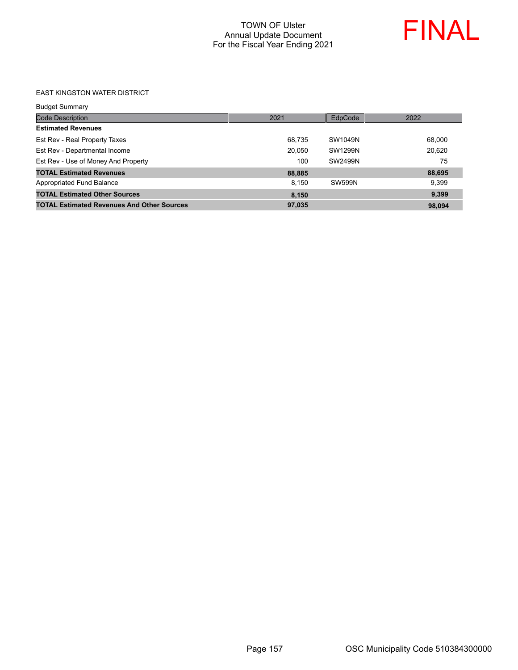

#### EAST KINGSTON WATER DISTRICT

| <b>Budget Summary</b>                             |        |                |        |
|---------------------------------------------------|--------|----------------|--------|
| <b>Code Description</b>                           | 2021   | EdpCode        | 2022   |
| <b>Estimated Revenues</b>                         |        |                |        |
| Est Rev - Real Property Taxes                     | 68,735 | SW1049N        | 68,000 |
| Est Rev - Departmental Income                     | 20,050 | <b>SW1299N</b> | 20,620 |
| Est Rev - Use of Money And Property               | 100    | SW2499N        | 75     |
| <b>TOTAL Estimated Revenues</b>                   | 88,885 |                | 88,695 |
| Appropriated Fund Balance                         | 8.150  | <b>SW599N</b>  | 9.399  |
| <b>TOTAL Estimated Other Sources</b>              | 8,150  |                | 9,399  |
| <b>TOTAL Estimated Revenues And Other Sources</b> | 97,035 |                | 98.094 |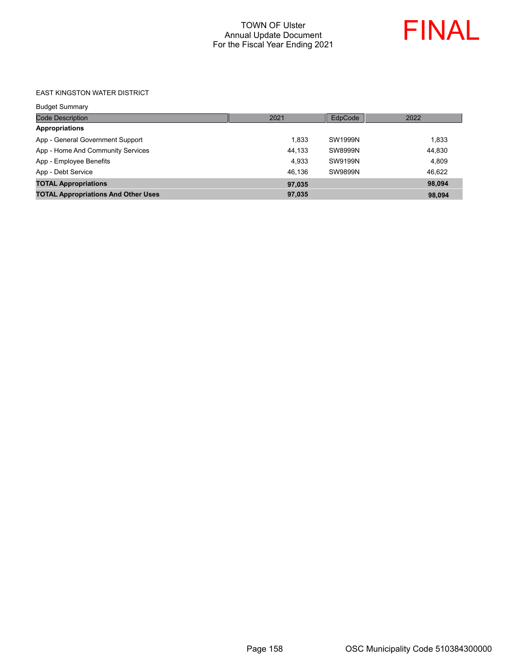

#### EAST KINGSTON WATER DISTRICT

| <b>Budget Summary</b>                      |        |         |        |
|--------------------------------------------|--------|---------|--------|
| <b>Code Description</b>                    | 2021   | EdpCode | 2022   |
| <b>Appropriations</b>                      |        |         |        |
| App - General Government Support           | 1.833  | SW1999N | 1,833  |
| App - Home And Community Services          | 44,133 | SW8999N | 44,830 |
| App - Employee Benefits                    | 4,933  | SW9199N | 4.809  |
| App - Debt Service                         | 46.136 | SW9899N | 46,622 |
| <b>TOTAL Appropriations</b>                | 97,035 |         | 98.094 |
| <b>TOTAL Appropriations And Other Uses</b> | 97,035 |         | 98,094 |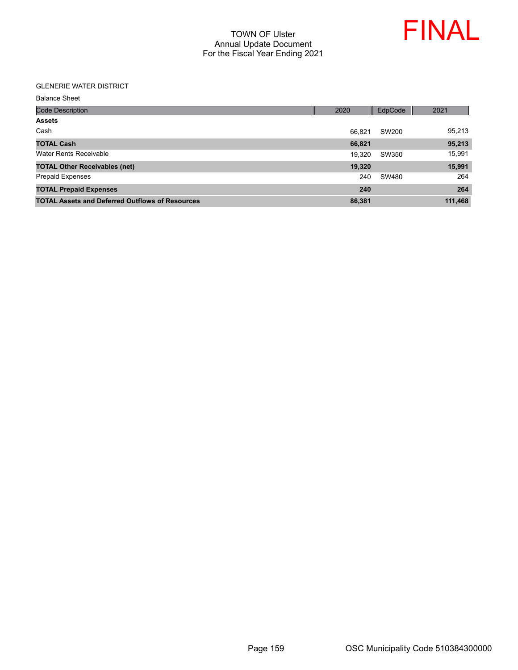

#### GLENERIE WATER DISTRICT

| <b>Code Description</b>                                | 2020   | EdpCode | 2021    |
|--------------------------------------------------------|--------|---------|---------|
| <b>Assets</b>                                          |        |         |         |
| Cash                                                   | 66.821 | SW200   | 95,213  |
| <b>TOTAL Cash</b>                                      | 66,821 |         | 95,213  |
| Water Rents Receivable                                 | 19.320 | SW350   | 15,991  |
| <b>TOTAL Other Receivables (net)</b>                   | 19,320 |         | 15,991  |
| <b>Prepaid Expenses</b>                                | 240    | SW480   | 264     |
| <b>TOTAL Prepaid Expenses</b>                          | 240    |         | 264     |
| <b>TOTAL Assets and Deferred Outflows of Resources</b> | 86,381 |         | 111,468 |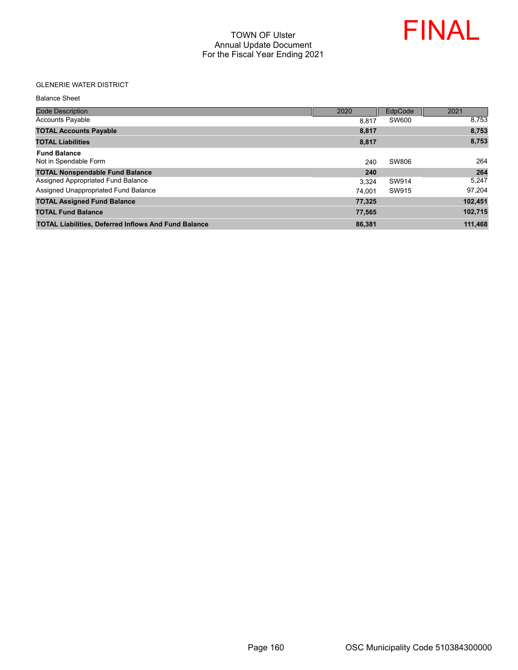

#### GLENERIE WATER DISTRICT

| <b>Code Description</b>                                     | 2020   | EdpCode | 2021    |
|-------------------------------------------------------------|--------|---------|---------|
| <b>Accounts Payable</b>                                     | 8.817  | SW600   | 8,753   |
| <b>TOTAL Accounts Payable</b>                               | 8,817  |         | 8,753   |
| <b>TOTAL Liabilities</b>                                    | 8,817  |         | 8,753   |
| <b>Fund Balance</b><br>Not in Spendable Form                | 240    | SW806   | 264     |
| <b>TOTAL Nonspendable Fund Balance</b>                      | 240    |         | 264     |
| Assigned Appropriated Fund Balance                          | 3.324  | SW914   | 5,247   |
| Assigned Unappropriated Fund Balance                        | 74.001 | SW915   | 97,204  |
| <b>TOTAL Assigned Fund Balance</b>                          | 77,325 |         | 102,451 |
| <b>TOTAL Fund Balance</b>                                   | 77,565 |         | 102,715 |
| <b>TOTAL Liabilities, Deferred Inflows And Fund Balance</b> | 86,381 |         | 111,468 |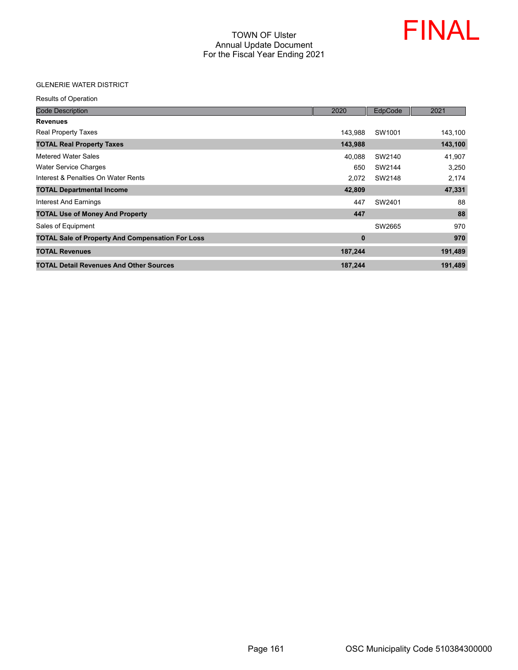

#### GLENERIE WATER DISTRICT

Results of Operation

| <b>Code Description</b>                                 | 2020     | EdpCode | 2021    |
|---------------------------------------------------------|----------|---------|---------|
| <b>Revenues</b>                                         |          |         |         |
| <b>Real Property Taxes</b>                              | 143,988  | SW1001  | 143,100 |
| <b>TOTAL Real Property Taxes</b>                        | 143,988  |         | 143,100 |
| Metered Water Sales                                     | 40,088   | SW2140  | 41,907  |
| <b>Water Service Charges</b>                            | 650      | SW2144  | 3,250   |
| Interest & Penalties On Water Rents                     | 2.072    | SW2148  | 2,174   |
| <b>TOTAL Departmental Income</b>                        | 42,809   |         | 47,331  |
| Interest And Earnings                                   | 447      | SW2401  | 88      |
| <b>TOTAL Use of Money And Property</b>                  | 447      |         | 88      |
| Sales of Equipment                                      |          | SW2665  | 970     |
| <b>TOTAL Sale of Property And Compensation For Loss</b> | $\bf{0}$ |         | 970     |
| <b>TOTAL Revenues</b>                                   | 187,244  |         | 191,489 |
| <b>TOTAL Detail Revenues And Other Sources</b>          | 187,244  |         | 191,489 |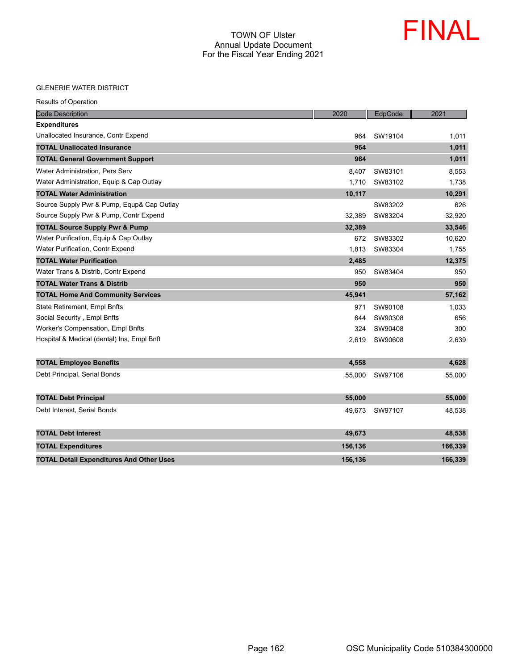

#### GLENERIE WATER DISTRICT

|  | <b>Results of Operation</b> |
|--|-----------------------------|
|  |                             |

| <b>Code Description</b>                         | 2020    | EdpCode | 2021    |
|-------------------------------------------------|---------|---------|---------|
| <b>Expenditures</b>                             |         |         |         |
| Unallocated Insurance, Contr Expend             | 964     | SW19104 | 1,011   |
| <b>TOTAL Unallocated Insurance</b>              | 964     |         | 1,011   |
| <b>TOTAL General Government Support</b>         | 964     |         | 1,011   |
| Water Administration, Pers Serv                 | 8,407   | SW83101 | 8,553   |
| Water Administration, Equip & Cap Outlay        | 1,710   | SW83102 | 1,738   |
| <b>TOTAL Water Administration</b>               | 10,117  |         | 10,291  |
| Source Supply Pwr & Pump, Equp& Cap Outlay      |         | SW83202 | 626     |
| Source Supply Pwr & Pump, Contr Expend          | 32,389  | SW83204 | 32,920  |
| <b>TOTAL Source Supply Pwr &amp; Pump</b>       | 32,389  |         | 33,546  |
| Water Purification, Equip & Cap Outlay          | 672     | SW83302 | 10,620  |
| Water Purification, Contr Expend                | 1,813   | SW83304 | 1,755   |
| <b>TOTAL Water Purification</b>                 | 2,485   |         | 12,375  |
| Water Trans & Distrib, Contr Expend             | 950     | SW83404 | 950     |
| <b>TOTAL Water Trans &amp; Distrib</b>          | 950     |         | 950     |
| <b>TOTAL Home And Community Services</b>        | 45,941  |         | 57,162  |
| <b>State Retirement, Empl Bnfts</b>             | 971     | SW90108 | 1,033   |
| Social Security, Empl Bnfts                     | 644     | SW90308 | 656     |
| Worker's Compensation, Empl Bnfts               | 324     | SW90408 | 300     |
| Hospital & Medical (dental) Ins, Empl Bnft      | 2,619   | SW90608 | 2,639   |
|                                                 |         |         |         |
| <b>TOTAL Employee Benefits</b>                  | 4,558   |         | 4,628   |
| Debt Principal, Serial Bonds                    | 55,000  | SW97106 | 55,000  |
|                                                 |         |         |         |
| <b>TOTAL Debt Principal</b>                     | 55,000  |         | 55,000  |
| Debt Interest, Serial Bonds                     | 49,673  | SW97107 | 48,538  |
|                                                 |         |         |         |
| <b>TOTAL Debt Interest</b>                      | 49,673  |         | 48,538  |
| <b>TOTAL Expenditures</b>                       | 156,136 |         | 166,339 |
| <b>TOTAL Detail Expenditures And Other Uses</b> | 156,136 |         | 166,339 |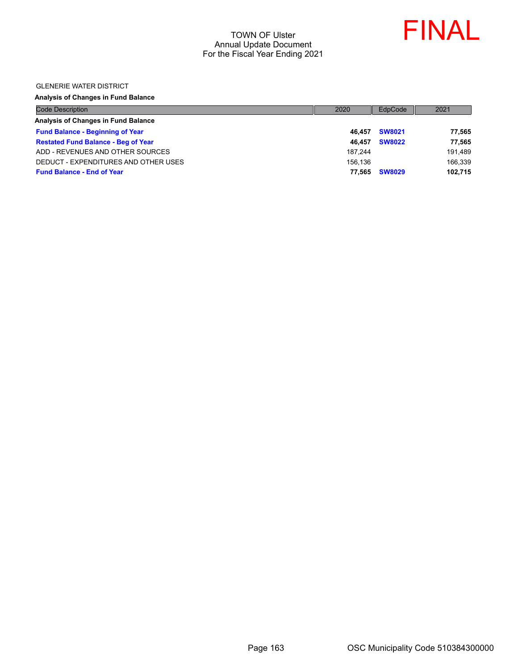

GLENERIE WATER DISTRICT

### **Analysis of Changes in Fund Balance**

| <b>Code Description</b>                    | 2020    | EdpCode       | 2021    |
|--------------------------------------------|---------|---------------|---------|
| Analysis of Changes in Fund Balance        |         |               |         |
| <b>Fund Balance - Beginning of Year</b>    | 46.457  | <b>SW8021</b> | 77,565  |
| <b>Restated Fund Balance - Beg of Year</b> | 46.457  | <b>SW8022</b> | 77,565  |
| ADD - REVENUES AND OTHER SOURCES           | 187.244 |               | 191.489 |
| DEDUCT - EXPENDITURES AND OTHER USES       | 156.136 |               | 166,339 |
| <b>Fund Balance - End of Year</b>          | 77.565  | <b>SW8029</b> | 102,715 |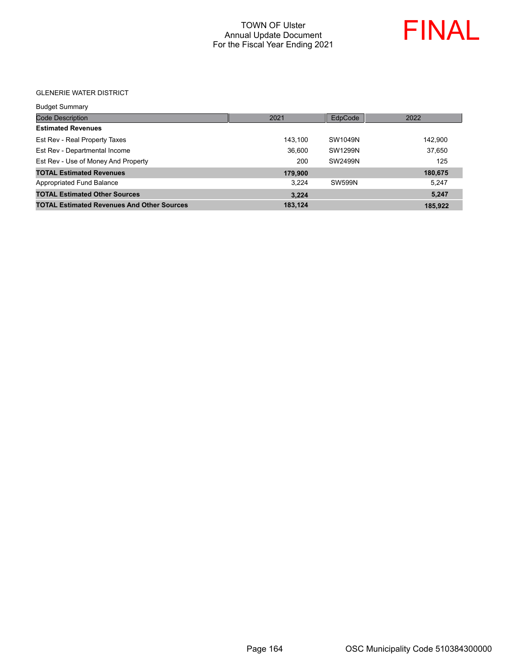

GLENERIE WATER DISTRICT

| <b>Budget Summary</b>                             |         |               |         |
|---------------------------------------------------|---------|---------------|---------|
| <b>Code Description</b>                           | 2021    | EdpCode       | 2022    |
| <b>Estimated Revenues</b>                         |         |               |         |
| Est Rev - Real Property Taxes                     | 143.100 | SW1049N       | 142.900 |
| Est Rev - Departmental Income                     | 36,600  | SW1299N       | 37.650  |
| Est Rev - Use of Money And Property               | 200     | SW2499N       | 125     |
| <b>TOTAL Estimated Revenues</b>                   | 179,900 |               | 180,675 |
| Appropriated Fund Balance                         | 3.224   | <b>SW599N</b> | 5.247   |
| <b>TOTAL Estimated Other Sources</b>              | 3.224   |               | 5.247   |
| <b>TOTAL Estimated Revenues And Other Sources</b> | 183,124 |               | 185,922 |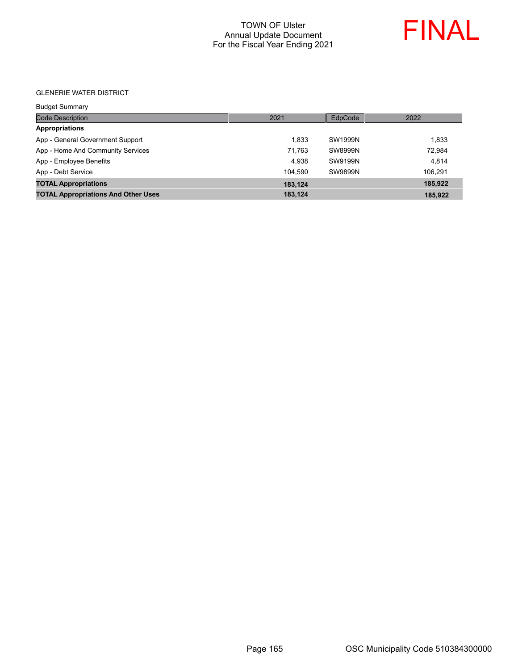

GLENERIE WATER DISTRICT

| <b>Budget Summary</b>                      |         |                |         |
|--------------------------------------------|---------|----------------|---------|
| <b>Code Description</b>                    | 2021    | EdpCode        | 2022    |
| <b>Appropriations</b>                      |         |                |         |
| App - General Government Support           | 1.833   | SW1999N        | 1.833   |
| App - Home And Community Services          | 71,763  | <b>SW8999N</b> | 72.984  |
| App - Employee Benefits                    | 4.938   | SW9199N        | 4.814   |
| App - Debt Service                         | 104.590 | <b>SW9899N</b> | 106.291 |
| <b>TOTAL Appropriations</b>                | 183,124 |                | 185,922 |
| <b>TOTAL Appropriations And Other Uses</b> | 183,124 |                | 185,922 |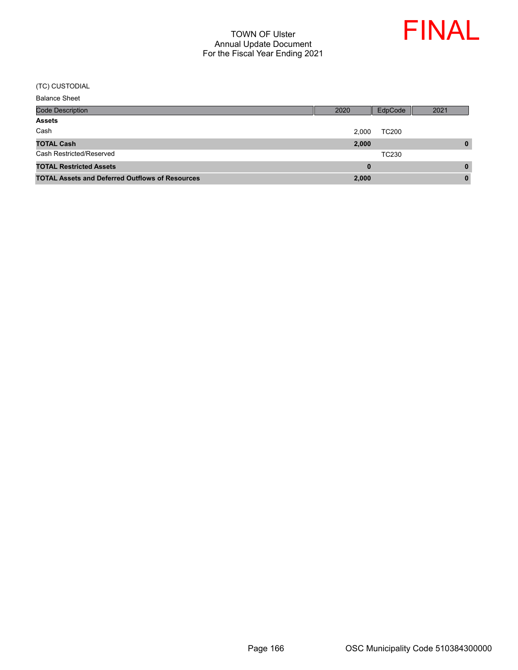

| <b>Code Description</b>                                | 2020  | EdpCode      | 2021     |
|--------------------------------------------------------|-------|--------------|----------|
| <b>Assets</b>                                          |       |              |          |
| Cash                                                   | 2.000 | <b>TC200</b> |          |
| <b>TOTAL Cash</b>                                      | 2,000 |              | $\bf{0}$ |
| Cash Restricted/Reserved                               |       | TC230        |          |
| <b>TOTAL Restricted Assets</b>                         | 0     |              | $\bf{0}$ |
| <b>TOTAL Assets and Deferred Outflows of Resources</b> | 2,000 |              | $\bf{0}$ |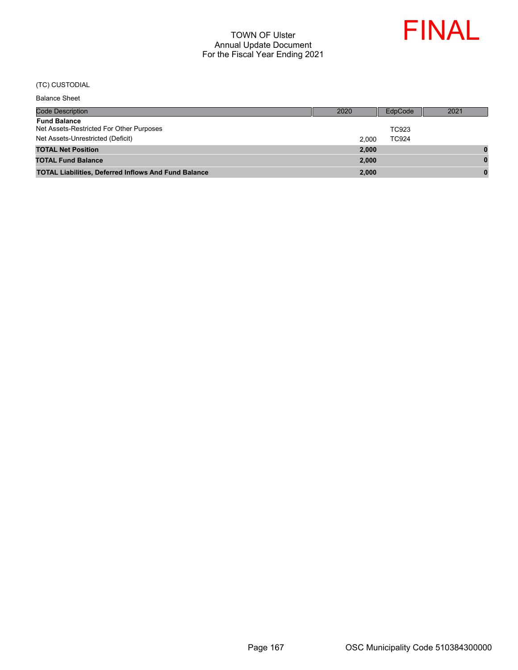

| <b>Code Description</b>                                         | 2020  | EdpCode      | 2021 |
|-----------------------------------------------------------------|-------|--------------|------|
| <b>Fund Balance</b><br>Net Assets-Restricted For Other Purposes |       | TC923        |      |
| Net Assets-Unrestricted (Deficit)                               | 2.000 | <b>TC924</b> |      |
| <b>TOTAL Net Position</b>                                       | 2.000 |              |      |
| <b>TOTAL Fund Balance</b>                                       | 2.000 |              | n    |
| <b>TOTAL Liabilities, Deferred Inflows And Fund Balance</b>     | 2,000 |              |      |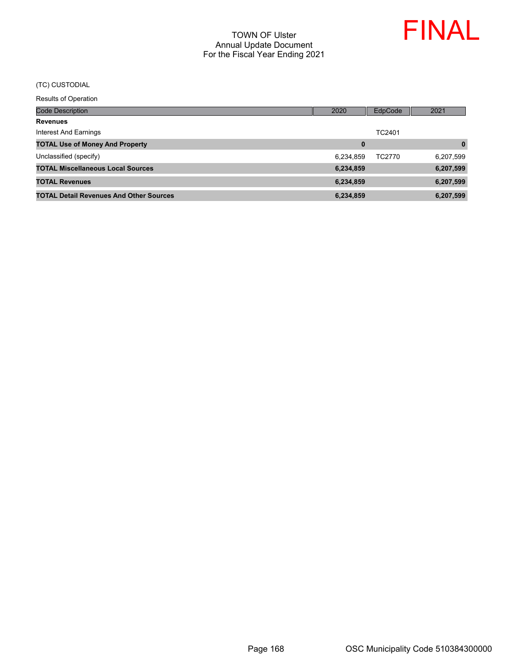

Results of Operation

| <b>Code Description</b>                        | 2020      | <b>EdpCode</b> | 2021      |
|------------------------------------------------|-----------|----------------|-----------|
| <b>Revenues</b>                                |           |                |           |
| Interest And Earnings                          |           | TC2401         |           |
| <b>TOTAL Use of Money And Property</b>         | 0         |                | $\bf{0}$  |
| Unclassified (specify)                         | 6,234,859 | TC2770         | 6,207,599 |
| <b>TOTAL Miscellaneous Local Sources</b>       | 6,234,859 |                | 6,207,599 |
| <b>TOTAL Revenues</b>                          | 6,234,859 |                | 6,207,599 |
| <b>TOTAL Detail Revenues And Other Sources</b> | 6,234,859 |                | 6,207,599 |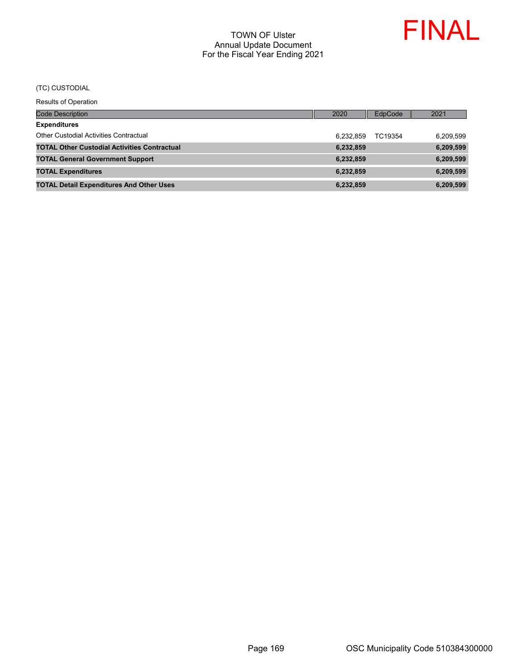

Results of Operation

| <b>Code Description</b>                             | 2020      | EdpCode | 2021      |
|-----------------------------------------------------|-----------|---------|-----------|
| <b>Expenditures</b>                                 |           |         |           |
| <b>Other Custodial Activities Contractual</b>       | 6.232.859 | TC19354 | 6,209,599 |
| <b>TOTAL Other Custodial Activities Contractual</b> | 6,232,859 |         | 6,209,599 |
| <b>TOTAL General Government Support</b>             | 6,232,859 |         | 6,209,599 |
| <b>TOTAL Expenditures</b>                           | 6,232,859 |         | 6,209,599 |
| <b>TOTAL Detail Expenditures And Other Uses</b>     | 6,232,859 |         | 6,209,599 |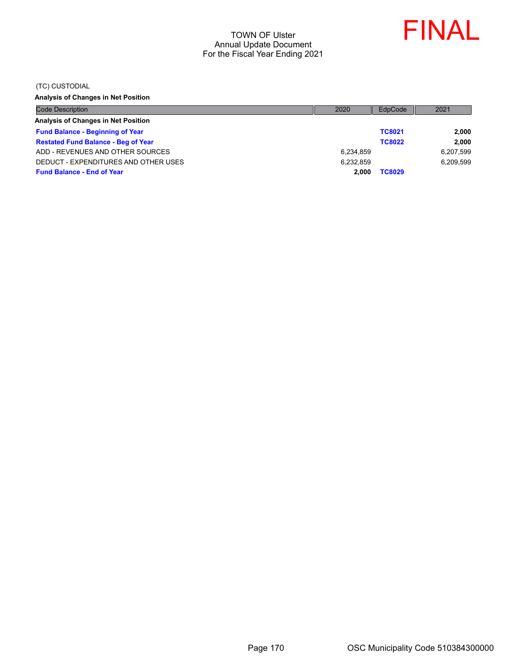

(TC) CUSTODIAL

**Analysis of Changes in Net Position**

| <b>Code Description</b>                    | 2020      | EdpCode       | 2021      |
|--------------------------------------------|-----------|---------------|-----------|
| Analysis of Changes in Net Position        |           |               |           |
| <b>Fund Balance - Beginning of Year</b>    |           | <b>TC8021</b> | 2,000     |
| <b>Restated Fund Balance - Beg of Year</b> |           | <b>TC8022</b> | 2,000     |
| ADD - REVENUES AND OTHER SOURCES           | 6,234,859 |               | 6,207,599 |
| DEDUCT - EXPENDITURES AND OTHER USES       | 6.232.859 |               | 6,209,599 |
| <b>Fund Balance - End of Year</b>          | 2.000     | <b>TC8029</b> |           |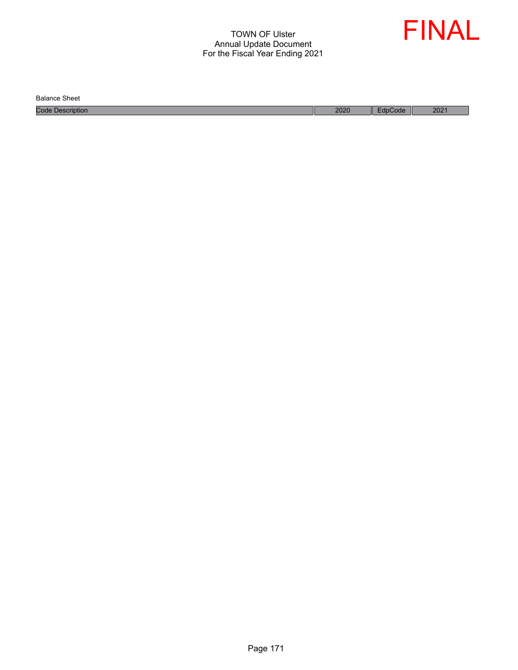

Balance Sheet

Code Description 2020 EdpCode 2021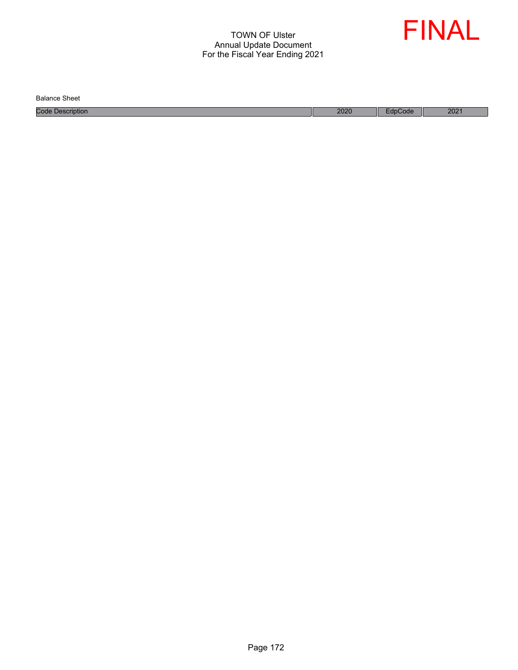

| <b>Balance Sheet</b>    |      |             |      |
|-------------------------|------|-------------|------|
| <b>Code Description</b> | 2020 | <b>Code</b> | 2021 |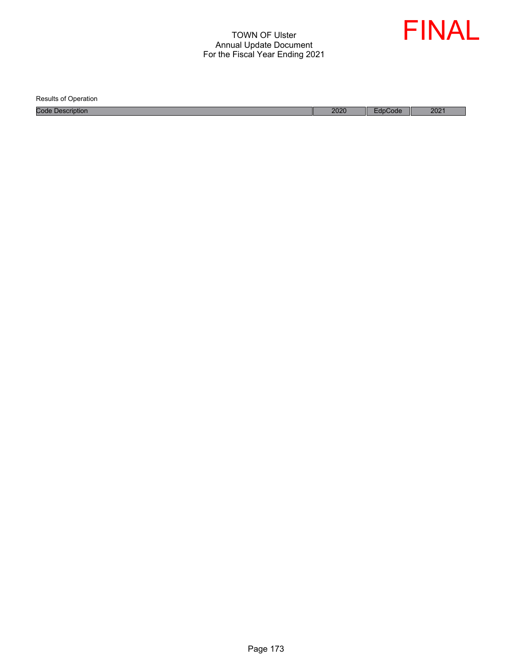

Results of Operation

Code Description 2021 2021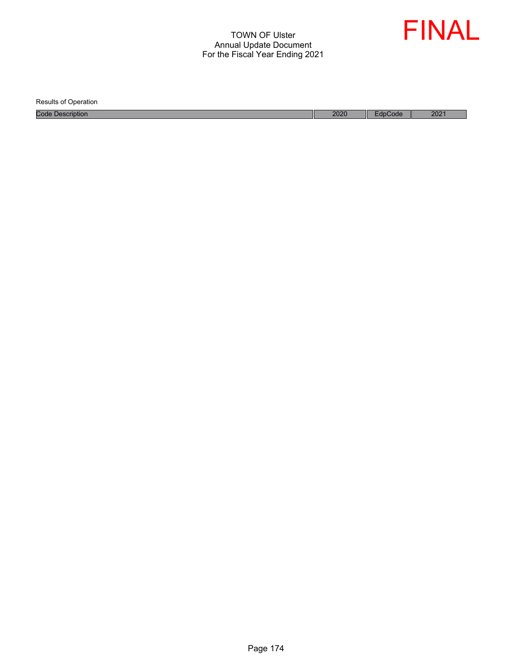

Results of Operation Code Description 2020 EdpCode 2021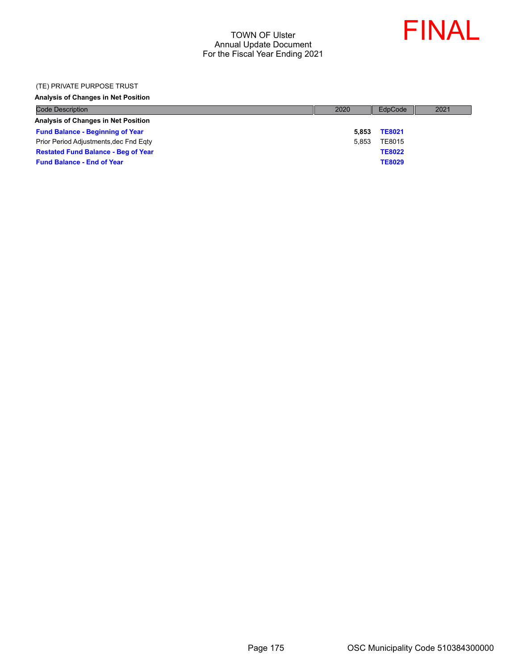

#### (TE) PRIVATE PURPOSE TRUST

#### **Analysis of Changes in Net Position**

| <b>Code Description</b>                    | 2020  | EdpCode       | 2021 |
|--------------------------------------------|-------|---------------|------|
| Analysis of Changes in Net Position        |       |               |      |
| <b>Fund Balance - Beginning of Year</b>    | 5.853 | <b>TE8021</b> |      |
| Prior Period Adjustments, dec Fnd Eqty     | 5.853 | TE8015        |      |
| <b>Restated Fund Balance - Beg of Year</b> |       | <b>TE8022</b> |      |
| <b>Fund Balance - End of Year</b>          |       | <b>TE8029</b> |      |
|                                            |       |               |      |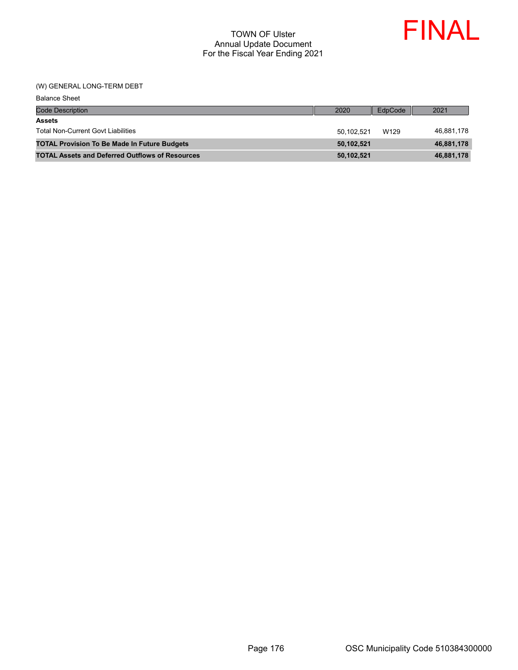

#### (W) GENERAL LONG-TERM DEBT

| <b>Balance Sheet</b>                                   |            |         |            |
|--------------------------------------------------------|------------|---------|------------|
| <b>Code Description</b>                                | 2020       | EdpCode | 2021       |
| <b>Assets</b>                                          |            |         |            |
| <b>Total Non-Current Govt Liabilities</b>              | 50,102,521 | W129    | 46,881,178 |
| <b>TOTAL Provision To Be Made In Future Budgets</b>    | 50,102,521 |         | 46,881,178 |
| <b>TOTAL Assets and Deferred Outflows of Resources</b> | 50,102,521 |         | 46,881,178 |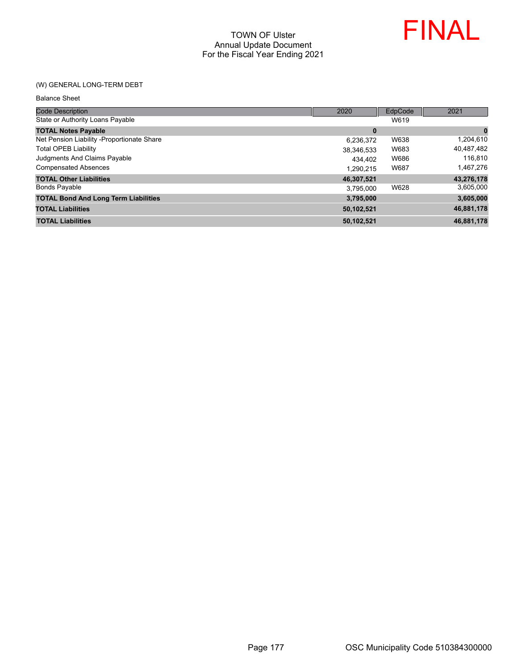

### (W) GENERAL LONG-TERM DEBT

| <b>Code Description</b>                     | 2020       | EdpCode | 2021       |
|---------------------------------------------|------------|---------|------------|
| State or Authority Loans Payable            |            | W619    |            |
| <b>TOTAL Notes Payable</b>                  | 0          |         | $\bf{0}$   |
| Net Pension Liability - Proportionate Share | 6,236,372  | W638    | 1,204,610  |
| <b>Total OPEB Liability</b>                 | 38,346,533 | W683    | 40,487,482 |
| Judgments And Claims Payable                | 434.402    | W686    | 116,810    |
| <b>Compensated Absences</b>                 | 1.290.215  | W687    | 1,467,276  |
| <b>TOTAL Other Liabilities</b>              | 46,307,521 |         | 43,276,178 |
| <b>Bonds Payable</b>                        | 3.795.000  | W628    | 3,605,000  |
| <b>TOTAL Bond And Long Term Liabilities</b> | 3,795,000  |         | 3,605,000  |
| <b>TOTAL Liabilities</b>                    | 50,102,521 |         | 46,881,178 |
| <b>TOTAL Liabilities</b>                    | 50.102.521 |         | 46,881,178 |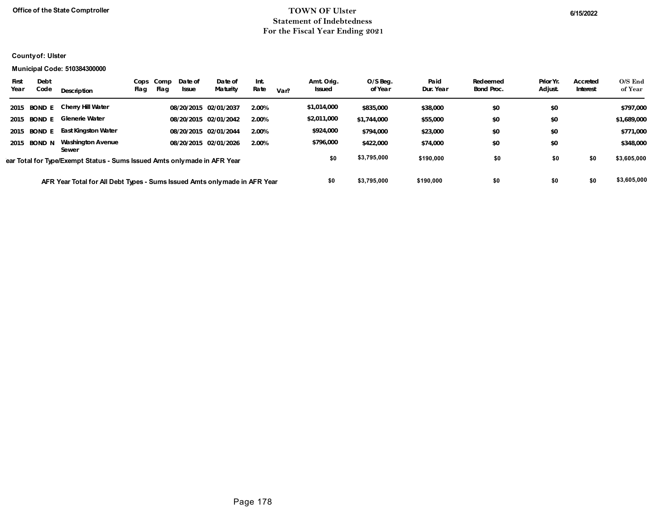### **Office of the State Comptroller** 6/15/2022 **Statement of Indebtedness For the Fiscal Year Ending 2021**

### **County of: Ulster**

#### **Municipal Code: 510384300000**

| First<br>Year                                                              | Debt<br>Code  | Description                                                               | Cops<br>Flag | Comp<br>Flag | Date of<br>Issue | Date of<br>Maturity   | Int.<br>Rate | Var?      | Amt. Orig.<br><b>Issued</b> | O/S Beg.<br>of Year | Paid<br>Dur. Year | Redeemed<br><b>Bond Proc.</b> | Prior Yr.<br>Adjust. | Accreted<br>Interest | $O/S$ End<br>of Year |
|----------------------------------------------------------------------------|---------------|---------------------------------------------------------------------------|--------------|--------------|------------------|-----------------------|--------------|-----------|-----------------------------|---------------------|-------------------|-------------------------------|----------------------|----------------------|----------------------|
|                                                                            | 2015 BOND E   | Cherry Hill Water                                                         |              |              |                  | 08/20/2015 02/01/2037 | 2.00%        |           | \$1,014,000                 | \$835,000           | \$38,000          | \$0                           | \$0                  |                      | \$797,000            |
| 2015                                                                       | <b>BOND E</b> | <b>Glenerie Water</b>                                                     |              |              |                  | 08/20/2015 02/01/2042 | 2.00%        |           | \$2,011,000                 | \$1,744,000         | \$55,000          | \$0                           | \$0                  |                      | \$1,689,000          |
|                                                                            | 2015 BOND E   | <b>East Kingston Water</b>                                                |              |              |                  | 08/20/2015 02/01/2044 | 2.00%        |           | \$924,000                   | \$794,000           | \$23,000          | \$0                           | \$0                  |                      | \$771,000            |
|                                                                            | 2015 BOND N   | Washington Avenue<br>Sewer                                                |              |              |                  | 08/20/2015 02/01/2026 | 2.00%        |           | \$796,000                   | \$422,000           | \$74,000          | \$0                           | \$0                  |                      | \$348,000            |
|                                                                            |               | ear Total for Type/Exempt Status - Sums Issued Amts only made in AFR Year |              |              |                  |                       |              |           | \$0                         | \$3,795,000         | \$190,000         | \$0                           | \$0                  | \$0                  | \$3,605,000          |
| AFR Year Total for All Debt Types - Sums Issued Amts only made in AFR Year |               |                                                                           |              |              |                  | \$0                   | \$3,795,000  | \$190,000 | \$0                         | \$0                 | \$0               | \$3,605,000                   |                      |                      |                      |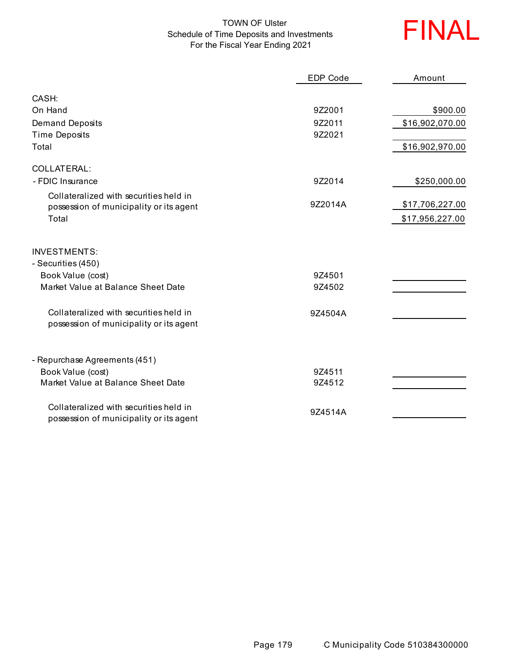# TOWN OF Ulster Schedule of Time Deposits and Investments For the Fiscal Year Ending 2021



|                                                                                   | <b>EDP Code</b> | Amount          |
|-----------------------------------------------------------------------------------|-----------------|-----------------|
| CASH:                                                                             |                 |                 |
| On Hand                                                                           | 9Z2001          | \$900.00        |
| <b>Demand Deposits</b>                                                            | 9Z2011          | \$16,902,070.00 |
| <b>Time Deposits</b>                                                              | 9Z2021          |                 |
| Total                                                                             |                 | \$16,902,970.00 |
| COLLATERAL:                                                                       |                 |                 |
| - FDIC Insurance                                                                  | 9Z2014          | \$250,000.00    |
| Collateralized with securities held in                                            |                 |                 |
| possession of municipality or its agent                                           | 9Z2014A         | \$17,706,227.00 |
| Total                                                                             |                 | \$17,956,227.00 |
| <b>INVESTMENTS:</b><br>- Securities (450)                                         |                 |                 |
| Book Value (cost)                                                                 | 9Z4501          |                 |
| Market Value at Balance Sheet Date                                                | 9Z4502          |                 |
| Collateralized with securities held in<br>possession of municipality or its agent | 9Z4504A         |                 |
| - Repurchase Agreements (451)                                                     |                 |                 |
| Book Value (cost)                                                                 | 9Z4511          |                 |
| Market Value at Balance Sheet Date                                                | 9Z4512          |                 |
| Collateralized with securities held in<br>possession of municipality or its agent | 9Z4514A         |                 |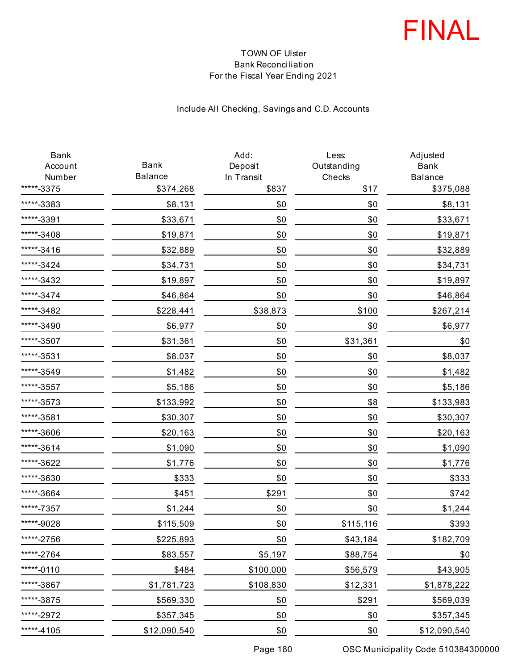

## TOWN OF Ulster Bank Reconciliation For the Fiscal Year Ending 2021

# Include All Checking, Savings and C.D. Accounts

| Bank<br>Account | Bank           | Add:<br>Deposit | Less:<br>Outstanding | Adjusted<br><b>Bank</b> |
|-----------------|----------------|-----------------|----------------------|-------------------------|
| Number          | <b>Balance</b> | In Transit      | Checks               | <b>Balance</b>          |
| *****-3375      | \$374,268      | \$837           | \$17                 | \$375,088               |
| *****-3383      | \$8,131        | \$0             | \$0                  | \$8,131                 |
| *****-3391      | \$33,671       | \$0             | \$0                  | \$33,671                |
| *****-3408      | \$19,871       | \$0             | \$0                  | \$19,871                |
| *****-3416      | \$32,889       | \$0             | \$0                  | \$32,889                |
| *****-3424      | \$34,731       | \$0             | \$0                  | \$34,731                |
| *****-3432      | \$19,897       | \$0             | \$0                  | \$19,897                |
| *****-3474      | \$46,864       | \$0             | \$0                  | \$46,864                |
| *****-3482      | \$228,441      | \$38,873        | \$100                | \$267,214               |
| *****-3490      | \$6,977        | \$0             | \$0                  | \$6,977                 |
| *****-3507      | \$31,361       | \$0             | \$31,361             | \$0                     |
| *****-3531      | \$8,037        | \$0             | \$0                  | \$8,037                 |
| *****-3549      | \$1,482        | \$0             | \$0                  | \$1,482                 |
| *****-3557      | \$5,186        | \$0             | \$0                  | \$5,186                 |
| *****-3573      | \$133,992      | \$0             | \$8                  | \$133,983               |
| *****-3581      | \$30,307       | \$0             | \$0                  | \$30,307                |
| *****-3606      | \$20,163       | \$0             | \$0                  | \$20,163                |
| *****-3614      | \$1,090        | \$0             | \$0                  | \$1,090                 |
| *****-3622      | \$1,776        | \$0             | \$0                  | \$1,776                 |
| *****-3630      | \$333          | \$0             | \$0                  | \$333                   |
| *****-3664      | \$451          | \$291           | \$0                  | \$742                   |
| *****-7357      | \$1,244        | \$0             | \$0                  | \$1,244                 |
| *****-9028      | \$115,509      | \$0             | \$115,116            | \$393                   |
| *****-2756      | \$225,893      | \$0             | \$43,184             | \$182,709               |
| *****-2764      | \$83,557       | \$5,197         | \$88,754             | \$0                     |
| *****-0110      | \$484          | \$100,000       | \$56,579             | \$43,905                |
| *****-3867      | \$1,781,723    | \$108,830       | \$12,331             | \$1,878,222             |
| *****-3875      | \$569,330      | \$0             | \$291                | \$569,039               |
| *****-2972      | \$357,345      | \$0             | \$0                  | \$357,345               |
| *****-4105      | \$12,090,540   | \$0             | \$0                  | \$12,090,540            |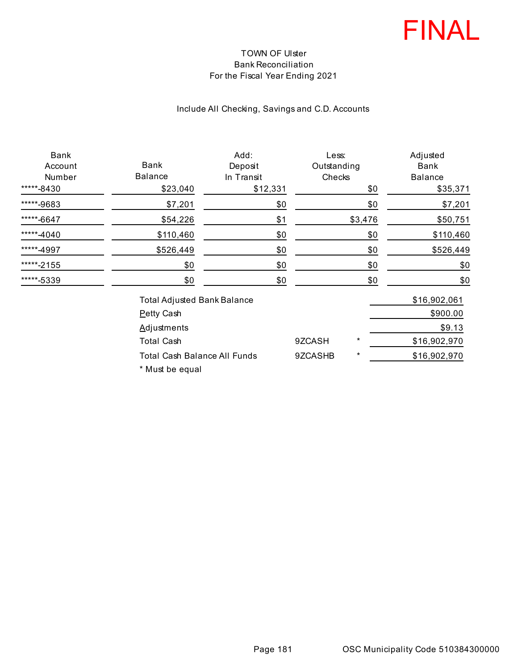

## TOWN OF Ulster Bank Reconciliation For the Fiscal Year Ending 2021

# Include All Checking, Savings and C.D. Accounts

| Bank<br>Account<br>Number<br>*****-8430 | Bank<br><b>Balance</b><br>\$23,040  | Add:<br>Deposit<br>In Transit<br>\$12,331 | Less:<br>Outstanding<br>Checks | \$0      | Adjusted<br>Bank<br><b>Balance</b><br>\$35,371 |
|-----------------------------------------|-------------------------------------|-------------------------------------------|--------------------------------|----------|------------------------------------------------|
| *****-9683                              | \$7,201                             | \$0                                       |                                | \$0      | \$7,201                                        |
| *****-6647                              | \$54,226                            | \$1                                       |                                | \$3,476  | \$50,751                                       |
| *****-4040                              | \$110,460                           | \$0                                       |                                | \$0      | \$110,460                                      |
| *****-4997                              | \$526,449                           | \$0                                       |                                | \$0      | \$526,449                                      |
| *****-2155                              | \$0                                 | \$0                                       |                                | \$0      | \$0                                            |
| *****-5339                              | \$0                                 | \$0                                       |                                | \$0      | \$0                                            |
|                                         | <b>Total Adjusted Bank Balance</b>  |                                           |                                |          | \$16,902,061                                   |
|                                         | Petty Cash                          |                                           |                                |          | \$900.00                                       |
|                                         | <b>Adjustments</b>                  |                                           |                                |          | \$9.13                                         |
|                                         | <b>Total Cash</b>                   |                                           | 9ZCASH                         | $^\star$ | \$16,902,970                                   |
|                                         | <b>Total Cash Balance All Funds</b> |                                           | 9ZCASHB                        | $^\star$ | \$16,902,970                                   |

\* Must be equal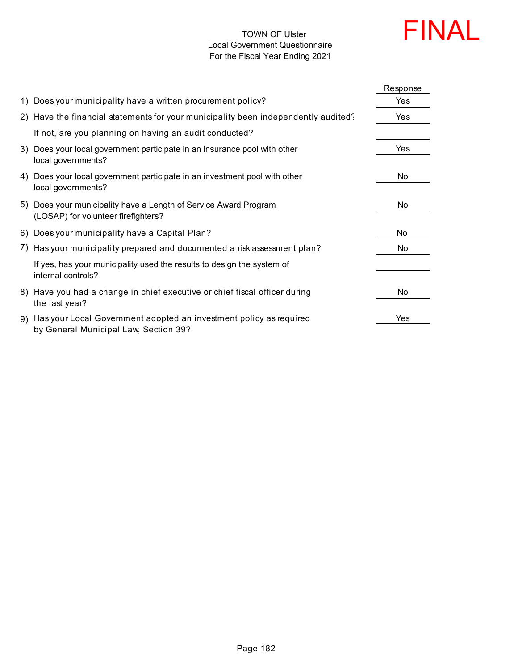#### TOWN OF Ulster Local Government Questionnaire For the Fiscal Year Ending 2021



|                                                                                                                | Response |
|----------------------------------------------------------------------------------------------------------------|----------|
| 1) Does your municipality have a written procurement policy?                                                   | Yes      |
| 2) Have the financial statements for your municipality been independently audited?                             | Yes      |
| If not, are you planning on having an audit conducted?                                                         |          |
| 3) Does your local government participate in an insurance pool with other<br>local governments?                | Yes      |
| 4) Does your local government participate in an investment pool with other<br>local governments?               | No       |
| 5) Does your municipality have a Length of Service Award Program<br>(LOSAP) for volunteer firefighters?        | No       |
| 6) Does your municipality have a Capital Plan?                                                                 | No.      |
| 7) Has your municipality prepared and documented a risk assessment plan?                                       | No       |
| If yes, has your municipality used the results to design the system of<br>internal controls?                   |          |
| 8) Have you had a change in chief executive or chief fiscal officer during<br>the last year?                   | No       |
| 9) Has your Local Government adopted an investment policy as required<br>by General Municipal Law, Section 39? | Yes      |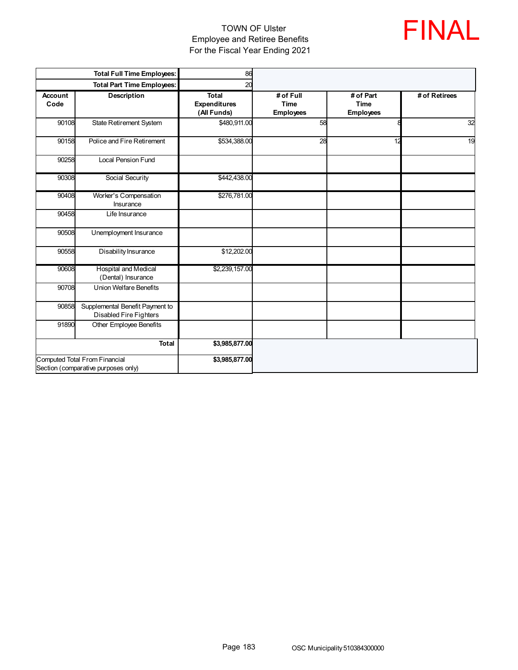## TOWN OF Ulster Employee and Retiree Benefits For the Fiscal Year Ending 2021



|                                                                      | <b>Total Full Time Employees:</b>                         | 86                                                 |                                              |                                              |               |
|----------------------------------------------------------------------|-----------------------------------------------------------|----------------------------------------------------|----------------------------------------------|----------------------------------------------|---------------|
|                                                                      | <b>Total Part Time Employees:</b>                         | 20                                                 |                                              |                                              |               |
| Account<br>Code                                                      | <b>Description</b>                                        | <b>Total</b><br><b>Expenditures</b><br>(All Funds) | # of Full<br><b>Time</b><br><b>Employees</b> | # of Part<br><b>Time</b><br><b>Employees</b> | # of Retirees |
| 90108                                                                | State Retirement System                                   | \$480,911.00                                       | 58                                           |                                              | 32            |
| 90158                                                                | Police and Fire Retirement                                | \$534,388.00                                       | 28                                           | 12                                           | 19            |
| 90258                                                                | <b>Local Pension Fund</b>                                 |                                                    |                                              |                                              |               |
| 90308                                                                | Social Security                                           | \$442,438.00                                       |                                              |                                              |               |
| 90408                                                                | Worker's Compensation<br>Insurance                        | \$276,781.00                                       |                                              |                                              |               |
| 90458                                                                | Life Insurance                                            |                                                    |                                              |                                              |               |
| 90508                                                                | Unemployment Insurance                                    |                                                    |                                              |                                              |               |
| 90558                                                                | Disability Insurance                                      | \$12,202.00                                        |                                              |                                              |               |
| 90608                                                                | <b>Hospital and Medical</b><br>(Dental) Insurance         | \$2,239,157.00                                     |                                              |                                              |               |
| 90708                                                                | <b>Union Welfare Benefits</b>                             |                                                    |                                              |                                              |               |
| 90858                                                                | Supplemental Benefit Payment to<br>Disabled Fire Fighters |                                                    |                                              |                                              |               |
| 91890                                                                | Other Employee Benefits                                   |                                                    |                                              |                                              |               |
|                                                                      | <b>Total</b>                                              | \$3,985,877.00                                     |                                              |                                              |               |
| Computed Total From Financial<br>Section (comparative purposes only) |                                                           | \$3,985,877.00                                     |                                              |                                              |               |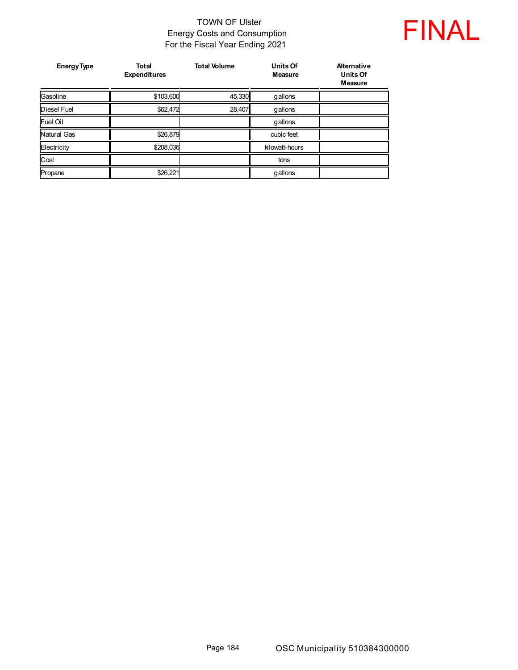## TOWN OF Ulster Energy Costs and Consumption For the Fiscal Year Ending 2021



| <b>Energy Type</b> | <b>Total</b><br><b>Expenditures</b> | <b>Total Volume</b> | <b>Units Of</b><br><b>Measure</b> | Alternative<br><b>Units Of</b><br>Measure |
|--------------------|-------------------------------------|---------------------|-----------------------------------|-------------------------------------------|
| Gasoline           | \$103,600                           | 45,330              | gallons                           |                                           |
| <b>Diesel Fuel</b> | \$62,472                            | 28,407              | gallons                           |                                           |
| Fuel Oil           |                                     |                     | gallons                           |                                           |
| Natural Gas        | \$26,879                            |                     | cubic feet                        |                                           |
| Electricity        | \$208,036                           |                     | kilowatt-hours                    |                                           |
| Coal               |                                     |                     | tons                              |                                           |
| Propane            | \$26,221                            |                     | gallons                           |                                           |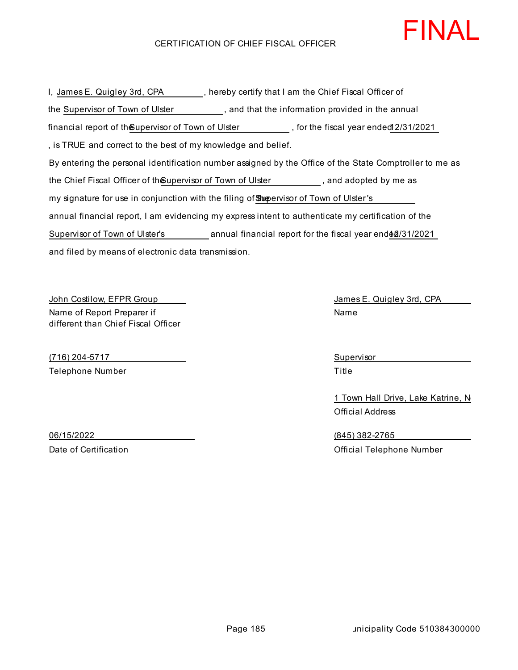#### CERTIFICATION OF CHIEF FISCAL OFFICER

and filed by means of electronic data transmission. I, James E. Quigley 3rd, CPA , hereby certify that I am the Chief Fiscal Officer of By entering the personal identification number assigned by the Office of the State Comptroller to me as the Supervisor of Town of Ulster , and that the information provided in the annual the Chief Fiscal Officer of th**e**upervisor of Town of Ulster  $\qquad \qquad ,$  and adopted by me as annual financial report, I am evidencing my express intent to authenticate my certification of the my signature for use in conjunction with the filing of **Supervisor of Town of Ulster's** , is TRUE and correct to the best of my knowledge and belief. financial report of the Supervisor of Town of Ulster , for the fiscal year ended12/31/2021 Supervisor of Town of Ulster's annual financial report for the fiscal year end 60/31/2021

John Costilow, EFPR Group James E. Quigley 3rd, CPA Name of Report Preparer if different than Chief Fiscal Officer

(716) 204-5717 Supervisor Telephone Number Title

Name

1 Town Hall Drive, Lake Katrine, No Official Address

06/15/2022 (845) 382-2765 Date of Certification Official Telephone Number